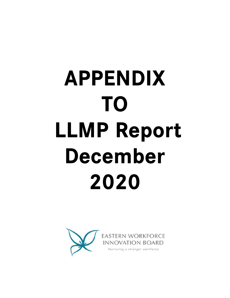# **APPENDIX** TO **LLMP Report** December 2020

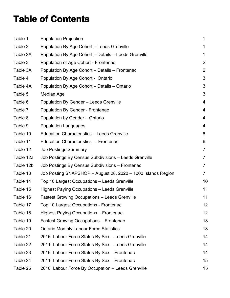# **Table of Contents**

| Table 1   | <b>Population Projection</b>                                 | 1              |
|-----------|--------------------------------------------------------------|----------------|
| Table 2   | Population By Age Cohort – Leeds Grenville                   | 1              |
| Table 2A  | Population By Age Cohort - Details - Leeds Grenville         | 1              |
| Table 3   | Population of Age Cohort - Frontenac                         | $\overline{2}$ |
| Table 3A  | Population By Age Cohort - Details - Frontenac               | 2              |
| Table 4   | Population By Age Cohort - Ontario                           | 3              |
| Table 4A  | Population By Age Cohort - Details - Ontario                 | 3              |
| Table 5   | Median Age                                                   | 3              |
| Table 6   | <b>Population By Gender - Leeds Grenville</b>                | 4              |
| Table 7   | Population By Gender - Frontenac                             | 4              |
| Table 8   | Population by Gender - Ontario                               | 4              |
| Table 9   | <b>Population Languages</b>                                  | 4              |
| Table 10  | <b>Education Characteristics - Leeds Grenville</b>           | 6              |
| Table 11  | <b>Education Characteristics - Frontenac</b>                 | 6              |
| Table 12  | <b>Job Postings Summary</b>                                  | 7              |
| Table 12a | Job Postings By Census Subdivisions - Leeds Grenville        | 7              |
| Table 12b | Job Postings By Census Subdivisions - Frontenac              | 7              |
| Table 13  | Job Posting SNAPSHOP - August 28, 2020 - 1000 Islands Region | $\mathbf{7}$   |
| Table 14  | Top 10 Largest Occupations - Leeds Grenville                 | 10             |
| Table 15  | <b>Highest Paying Occupations - Leeds Grenville</b>          | 11             |
| Table 16  | <b>Fastest Growing Occupations - Leeds Grenville</b>         | 11             |
| Table 17  | Top 10 Largest Occupations - Frontenac                       | 12             |
| Table 18  | Highest Paying Occupations - Frontenac                       | 12             |
| Table 19  | <b>Fastest Growing Occupations – Frontenac</b>               | 13             |
| Table 20  | <b>Ontario Monthly Labour Force Statistics</b>               | 13             |
| Table 21  | 2016 Labour Force Status By Sex - Leeds Grenville            | 14             |
| Table 22  | 2011 Labour Force Status By Sex - Leeds Grenville            | 14             |
| Table 23  | 2016 Labour Force Status By Sex - Frontenac                  | 14             |
| Table 24  | 2011 Labour Force Status By Sex - Frontenac                  | 15             |
| Table 25  | 2016 Labour Force By Occupation - Leeds Grenville            | 15             |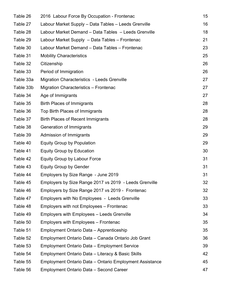| Table 26  | 2016 Labour Force By Occupation - Frontenac             | 15 |
|-----------|---------------------------------------------------------|----|
| Table 27  | Labour Market Supply – Data Tables – Leeds Grenville    | 16 |
| Table 28  | Labour Market Demand - Data Tables - Leeds Grenville    | 18 |
| Table 29  | Labour Market Supply - Data Tables - Frontenac          | 21 |
| Table 30  | Labour Market Demand - Data Tables - Frontenac          | 23 |
| Table 31  | <b>Mobility Characteristics</b>                         | 25 |
| Table 32  | Citizenship                                             | 26 |
| Table 33  | Period of Immigration                                   | 26 |
| Table 33a | <b>Migration Characteristics - Leeds Grenville</b>      | 27 |
| Table 33b | Migration Characteristics - Frontenac                   | 27 |
| Table 34  | Age of Immigrants                                       | 27 |
| Table 35  | <b>Birth Places of Immigrants</b>                       | 28 |
| Table 36  | Top Birth Places of Immigrants                          | 28 |
| Table 37  | <b>Birth Places of Recent Immigrants</b>                | 28 |
| Table 38  | Generation of Immigrants                                | 29 |
| Table 39  | Admission of Immigrants                                 | 29 |
| Table 40  | <b>Equity Group by Population</b>                       | 29 |
| Table 41  | <b>Equity Group by Education</b>                        | 30 |
| Table 42  | <b>Equity Group by Labour Force</b>                     | 31 |
| Table 43  | <b>Equity Group by Gender</b>                           | 31 |
| Table 44  | Employers by Size Range - June 2019                     | 31 |
| Table 45  | Employers by Size Range 2017 vs 2019 - Leeds Grenville  | 32 |
| Table 46  | Employers by Size Range 2017 vs 2019 - Frontenac        | 32 |
| Table 47  | Employers with No Employees - Leeds Grenville           | 33 |
| Table 48  | Employers with not Employees - Frontenac                | 33 |
| Table 49  | Employers with Employees - Leeds Grenville              | 34 |
| Table 50  | Employers with Employees - Frontenac                    | 35 |
| Table 51  | Employment Ontario Data - Apprenticeship                | 35 |
| Table 52  | Employment Ontario Data - Canada Ontario Job Grant      | 36 |
| Table 53  | Employment Ontario Data - Employment Service            | 39 |
| Table 54  | Employment Ontario Data - Literacy & Basic Skills       | 42 |
| Table 55  | Employment Ontario Data – Ontario Employment Assistance | 45 |
| Table 56  | <b>Employment Ontario Data - Second Career</b>          | 47 |
|           |                                                         |    |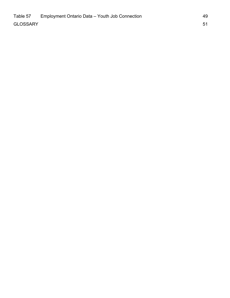| Table 57        | Employment Ontario Data - Youth Job Connection | 49 |
|-----------------|------------------------------------------------|----|
| <b>GLOSSARY</b> |                                                |    |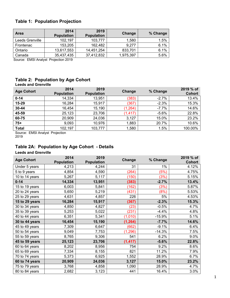# **Table 1: Population Projection**

| <b>Area</b>     | 2014<br><b>Population</b> | 2019<br><b>Population</b> | Change    | % Change |
|-----------------|---------------------------|---------------------------|-----------|----------|
| Leeds Grenville | 102,197                   | 103,777                   | 1,580     | 1.5%     |
| Frontenac       | 153,205                   | 162,482                   | 9.277     | 6.1%     |
| Ontario         | 13,617,553                | 14,451,254                | 833,701   | 6.1%     |
| Canada          | 35,437,435                | 37,412,832                | 1,975,397 | 5.6%     |

Source: EMSI Analyst Projection 2019

# **Table 2: Population by Age Cohort**

| <b>Leeds and Grenville</b> |                           |                           |          |          |                            |
|----------------------------|---------------------------|---------------------------|----------|----------|----------------------------|
| <b>Age Cohort</b>          | 2014<br><b>Population</b> | 2019<br><b>Population</b> | Change   | % Change | 2019 % of<br><b>Cohort</b> |
| $0 - 14$                   | 14,334                    | 13,951                    | (383)    | $-2.7%$  | 13.4%                      |
| 15-29                      | 16,284                    | 15,917                    | (367)    | $-2.3%$  | 15.3%                      |
| 30-44                      | 16,454                    | 15,190                    | (1, 264) | $-7.7%$  | 14.6%                      |
| 45-59                      | 25,123                    | 23,706                    | (1, 417) | $-5.6%$  | 22.8%                      |
| 60-75                      | 20,909                    | 24,036                    | 3,127    | 15.0%    | 23.2%                      |
| $75+$                      | 9,093                     | 10,976                    | 1,883    | 20.7%    | 10.6%                      |
| <b>Total</b>               | 102,197                   | 103,777                   | 1,580    | 1.5%     | 100.00%                    |
|                            |                           |                           |          |          |                            |

Source: EMSI Analyst Projection 2019

# **Table 2A: Population by Age Cohort - Details**

**Leeds and Grenville** 

| <b>Age Cohort</b> | 2014<br><b>Population</b> | 2019<br><b>Population</b> | Change   | % Change | 2019 % of<br><b>Cohort</b> |
|-------------------|---------------------------|---------------------------|----------|----------|----------------------------|
| Under 5 years     | 4,213                     | 4,244                     | 31       | $1\%$    | 4.12%                      |
| 5 to 9 years      | 4,854                     | 4,590                     | (264)    | (5%)     | 4.75%                      |
| 10 to 14 years    | 5,267                     | 5,117                     | (150)    | (3%)     | 5.15%                      |
| $0 - 14$          | 14,334                    | 13,951                    | (383)    | $-2.7%$  | 13.4%                      |
| 15 to 19 years    | 6,003                     | 5,841                     | (162)    | (3%)     | 5.87%                      |
| 20 to 24 years    | 5,650                     | 5,219                     | (431)    | (8%)     | 5.53%                      |
| 25 to 29 years    | 4,631                     | 4,857                     | 226      | 5%       | 4.53%                      |
| 15 to 29 years    | 16,284                    | 15,917                    | (367)    | $-2.3%$  | 15.3%                      |
| 30 to 34 years    | 4,850                     | 4,827                     | (23)     | $-0.5%$  | 4.7%                       |
| 35 to 39 years    | 5,253                     | 5,022                     | (231)    | $-4.4%$  | 4.8%                       |
| 40 to 44 years    | 6,351                     | 5,341                     | (1,010)  | $-15.9%$ | 5.1%                       |
| 30 to 44 years    | 16,454                    | 15,190                    | (1, 264) | $-7.7%$  | 14.6%                      |
| 45 to 49 years    | 7,309                     | 6,647                     | (662)    | $-9.1%$  | 6.4%                       |
| 50 to 54 years    | 9,049                     | 7,753                     | (1, 296) | $-14.3%$ | 7.5%                       |
| 55 to 59 years    | 8,765                     | 9,306                     | 541      | 6.2%     | 9.0%                       |
| 45 to 59 years    | 25,123                    | 23,706                    | (1, 417) | $-5.6%$  | 22.8%                      |
| 60 to 64 years    | 8,202                     | 8,956                     | 754      | 9.2%     | 8.6%                       |
| 65 to 69 years    | 7,334                     | 8,155                     | 821      | 11.2%    | 7.9%                       |
| 70 to 74 years    | 5,373                     | 6,925                     | 1,552    | 28.9%    | 6.7%                       |
| 60 to 74 years    | 20,909                    | 24,036                    | 3,127    | 15.0%    | 23.2%                      |
| 75 to 79 years    | 3,768                     | 4,858                     | 1,090    | 28.9%    | 4.7%                       |
| 80 to 84 years    | 2,682                     | 3,123                     | 441      | 16.4%    | 3.0%                       |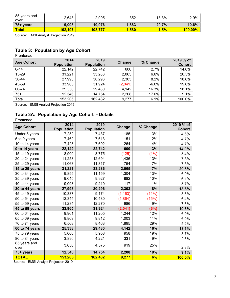| 85 years and<br>over | 2,643   | 2,995   | 352   | 13.3% | 2.9%       |
|----------------------|---------|---------|-------|-------|------------|
| 75+ years            | 9,093   | 10,976  | 1,883 | 20.7% | 10.6%      |
| <b>Total</b>         | 102,197 | 103,777 | ,580  | 1.5%  | $100.00\%$ |

# **Table 3: Population by Age Cohort**

Frontenac

| <b>Age Cohort</b> | 2014<br><b>Population</b> | 2019<br><b>Population</b> | <b>Change</b> | % Change | 2019 % of<br><b>Cohort</b> |
|-------------------|---------------------------|---------------------------|---------------|----------|----------------------------|
| $0 - 14$          | 22,142                    | 22,742                    | 600           | 2.7%     | 14.0%                      |
| 15-29             | 31,221                    | 33,286                    | 2,065         | 6.6%     | 20.5%                      |
| 30-44             | 27,993                    | 30,296                    | 2,303         | 8.2%     | 18.6%                      |
| 45-59             | 33,965                    | 31,924                    | (2,041)       | $-6.0%$  | 19.6%                      |
| 60-74             | 25,338                    | 29,480                    | 4,142         | 16.3%    | 18.1%                      |
| $75+$             | 12,546                    | 14,754                    | 2,208         | 17.6%    | 9.1%                       |
| Total             | 153,205                   | 162,482                   | 9,277         | 6.1%     | 100.0%                     |

Source: EMSI Analyst Projection 2019

# **Table 3A: Population by Age Cohort - Details**

| Frontenac            |                           |                           |          |          |                            |
|----------------------|---------------------------|---------------------------|----------|----------|----------------------------|
| <b>Age Cohort</b>    | 2014<br><b>Population</b> | 2019<br><b>Population</b> | Change   | % Change | 2019 % of<br><b>Cohort</b> |
| Under 5 years        | 7,252                     | 7,437                     | 185      | 3%       | 4.6%                       |
| 5 to 9 years         | 7,462                     | 7,613                     | 151      | 2%       | 4.7%                       |
| 10 to 14 years       | 7,428                     | 7,692                     | 264      | 4%       | 4.7%                       |
| 0 to 14 years        | 22,142                    | 22,742                    | 600      | 3%       | 14.0%                      |
| 15 to 19 years       | 8,900                     | 8,775                     | (125)    | (1%)     | 5.4%                       |
| 20 to 24 years       | 11,258                    | 12,694                    | 1,436    | 13%      | 7.8%                       |
| 25 to 29 years       | 11,063                    | 11,817                    | 754      | 7%       | 7.3%                       |
| 15 to 29 years       | 31,221                    | 33,286                    | 2,065    | 7%       | 20.5%                      |
| 30 to 34 years       | 9,855                     | 11,159                    | 1,304    | 13%      | 6.9%                       |
| 35 to 39 years       | 9,045                     | 9,927                     | 882      | 10%      | 6.1%                       |
| 40 to 44 years       | 9,093                     | 9,210                     | 117      | 1%       | 5.7%                       |
| 30 to 44 years       | 27,993                    | 30,296                    | 2,303    | 8%       | 18.6%                      |
| 45 to 49 years       | 10,337                    | 9,174                     | (1, 163) | (11%)    | 5.6%                       |
| 50 to 54 years       | 12,344                    | 10,480                    | (1,864)  | (15%)    | 6.4%                       |
| 55 to 59 years       | 11,284                    | 12,270                    | 986      | 9%       | 7.6%                       |
| 45 to 59 years       | 33,965                    | 31,924                    | (2,041)  | (6%)     | 19.6%                      |
| 60 to 64 years       | 9,961                     | 11,205                    | 1,244    | 12%      | 6.9%                       |
| 65 to 69 years       | 8,809                     | 9,812                     | 1,003    | 11%      | 6.0%                       |
| 70 to 74 years       | 6,568                     | 8,463                     | 1,895    | 29%      | 5.2%                       |
| 60 to 74 years       | 25,338                    | 29,480                    | 4,142    | 16%      | 18.1%                      |
| 75 to 79 years       | 5,000                     | 5,958                     | 958      | 19%      | 3.7%                       |
| 80 to 84 years       | 3,890                     | 4,221                     | 331      | 9%       | 2.6%                       |
| 85 years and<br>over | 3,656                     | 4,575                     | 919      | 25%      | 2.8%                       |
| 75+ years            | 12,546                    | 14,754                    | 2,208    | 18%      | 9.1%                       |
| <b>TOTAL</b>         | 153,205                   | 162,482                   | 9,277    | 6%       | 100.0%                     |

Source: EMSI Analyst Projection 2019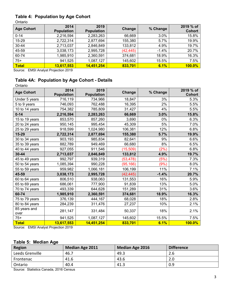# **Table 4: Population by Age Cohort**

Ontario

| <b>Age Cohort</b> | 2014<br><b>Population</b> | 2019<br><b>Population</b> | Change    | % Change | 2019 % of<br><b>Cohort</b> |
|-------------------|---------------------------|---------------------------|-----------|----------|----------------------------|
| $0 - 14$          | 2,216,594                 | 2,283,263                 | 66,669    | 3.0%     | 15.8%                      |
| 15-29             | 2,722,314                 | 2,877,694                 | 155,380   | 5.7%     | 19.9%                      |
| 30-44             | 2,713,037                 | 2,846,849                 | 133,812   | 4.9%     | 19.7%                      |
| 45-59             | 3,038,173                 | 2,995,728                 | (42, 445) | $-1.4%$  | 20.7%                      |
| 60-74             | 1,985,910                 | 2,360,591                 | 374,681   | 18.9%    | 16.3%                      |
| $75+$             | 941,525                   | 1,087,127                 | 145,602   | 15.5%    | 7.5%                       |
| <b>Total</b>      | 13,617,553                | 14,451,254                | 833,701   | 6.1%     | $100.0\%$                  |

Source: EMSI Analyst Projection 2019

# **Table 4A: Population by Age Cohort - Details**

Ontario

| <b>Age Cohort</b>    | 2014<br><b>Population</b> | 2019<br><b>Population</b> | Change    | % Change | 2019 % of<br><b>Cohort</b> |
|----------------------|---------------------------|---------------------------|-----------|----------|----------------------------|
| Under 5 years        | 716,119                   | 734,966                   | 18,847    | 3%       | 5.3%                       |
| 5 to 9 years         | 746,093                   | 762,488                   | 16,395    | 2%       | 5.5%                       |
| 10 to 14 years       | 754,382                   | 785,809                   | 31,427    | 4%       | 5.5%                       |
| $0 - 14$             | 2,216,594                 | 2,283,263                 | 66,669    | 3.0%     | 15.8%                      |
| 15 to 19 years       | 853,570                   | 857,260                   | 3,690     | 0%       | 6.3%                       |
| 20 to 24 years       | 950,145                   | 995,454                   | 45,309    | 5%       | 7.0%                       |
| 25 to 29 years       | 918,599                   | 1,024,980                 | 106,381   | 12%      | 6.8%                       |
| 15-29                | 2,722,314                 | 2,877,694                 | 155,380   | 5.7%     | 19.9%                      |
| 30 to 34 years       | 903,193                   | 985,834                   | 82,641    | 9%       | 6.6%                       |
| 35 to 39 years       | 882,789                   | 949,469                   | 66,680    | 8%       | 6.5%                       |
| 40 to 44 years       | 927,055                   | 911,546                   | (15, 509) | (2%)     | 6.8%                       |
| $30 - 44$            | 2,713,037                 | 2,846,849                 | 133,812   | 4.9%     | 19.7%                      |
| 45 to 49 years       | 992,797                   | 939,319                   | (53, 478) | (5%)     | 7.3%                       |
| 50 to 54 years       | 1,085,394                 | 990,228                   | (95, 166) | (9%      | 8.0%                       |
| 55 to 59 years       | 959,982                   | 1,066,181                 | 106,199   | 11%      | 7.1%                       |
| 45-59                | 3,038,173                 | 2,995,728                 | (42, 445) | $-1.4%$  | 20.7%                      |
| 60 to 64 years       | 806,510                   | 938,063                   | 131,553   | 16%      | 5.9%                       |
| 65 to 69 years       | 686,061                   | 777,900                   | 91,839    | 13%      | 5.0%                       |
| 70 to 74 years       | 493,339                   | 644,628                   | 151,289   | 31%      | 3.6%                       |
| 60-74                | 1,985,910                 | 2,360,591                 | 374,681   | 18.9%    | 16.3%                      |
| 75 to 79 years       | 376,139                   | 444,167                   | 68,028    | 18%      | 2.8%                       |
| 80 to 84 years       | 284,239                   | 311,476                   | 27,237    | 10%      | 2.1%                       |
| 85 years and<br>over | 281,147                   | 331,484                   | 50,337    | 18%      | 2.1%                       |
| $75+$                | 941,525                   | 1,087,127                 | 145,602   | 15.5%    | 7.5%                       |
| <b>Total</b>         | 13,617,553                | 14,451,254                | 833,701   | 6.1%     | <b>100.0%</b>              |

Source: EMSI Analyst Projection 2019

# **Table 5: Median Age**

| Region             | <b>Median Age 2011</b> | <b>Median Age 2016</b> | <b>Difference</b> |
|--------------------|------------------------|------------------------|-------------------|
| Leeds Grenville    | 46.7                   | 49.3                   | 2.6               |
| Frontenac          | 41.6                   | 43.6                   | 2.0               |
| Ontario            | 40.4                   | 41.3                   | 0.9               |
| $\sim$<br>$\cdots$ |                        |                        |                   |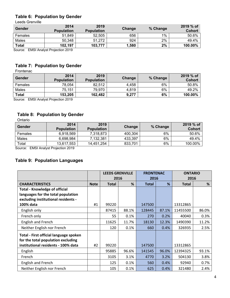# **Table 6: Population by Gender**

Leeds Grenville

| Gender                             | 2014<br><b>Population</b> | 2019<br><b>Population</b> | Change | % Change | 2019 % of<br><b>Cohort</b> |
|------------------------------------|---------------------------|---------------------------|--------|----------|----------------------------|
| Females                            | 51,849                    | 52,505                    | 656    | 1%       | 50.6%                      |
| Males                              | 50,348                    | 51,272                    | 924    | 2%       | 49.4%                      |
| <b>Total</b>                       | 102,197                   | 103,777                   | 1,580  | 2%       | 100.00%                    |
| Course, FMOLArabet Distanting 0040 |                           |                           |        |          |                            |

Source: EMSI Analyst Projection 2019

# **Table 7: Population by Gender**

Frontenac

| Gender       | 2014<br><b>Population</b> | 2019<br><b>Population</b> | Change | % Change | 2019 % of<br><b>Cohort</b> |
|--------------|---------------------------|---------------------------|--------|----------|----------------------------|
| Females      | 78,054                    | 82,512                    | 4,458  | 6%       | 50.8%                      |
| Males        | 75,151                    | 79,970                    | 4,819  | 6%       | 49.2%                      |
| <b>Total</b> | 153,205                   | 162,482                   | 9.277  | 6%       | 100.00%                    |
|              |                           |                           |        |          |                            |

Source: EMSI Analyst Projection 2019

# **Table 8: Population by Gender**

Ontario

| Gender                      | 2014<br><b>Population</b> | 2019<br><b>Population</b> | Change  | % Change | 2019 % of<br>Cohort |
|-----------------------------|---------------------------|---------------------------|---------|----------|---------------------|
| Females                     | 6,918,569                 | 7,318,873                 | 400,304 | 6%       | 50.6%               |
| Males                       | 6.698.984                 | 7.132.381                 | 433.397 | 6%       | 49.4%               |
| Total                       | 13,617,553                | 14,451,254                | 833,701 | 6%       | 100.00%             |
| $- \cdot - \cdot$<br>$\sim$ | ----<br>$\sim$            |                           |         |          |                     |

Source: EMSI Analyst Projection 2019

# **Table 9: Population Languages**

|                                        |             |              | <b>LEEDS GRENVILLE</b> | <b>FRONTENAC</b> |       | <b>ONTARIO</b> |       |
|----------------------------------------|-------------|--------------|------------------------|------------------|-------|----------------|-------|
|                                        |             |              | 2016                   | 2016             |       | 2016           |       |
| <b>CHARACTERISTICS</b>                 | <b>Note</b> | <b>Total</b> | %                      | <b>Total</b>     | %     | <b>Total</b>   | %     |
| <b>Total - Knowledge of official</b>   |             |              |                        |                  |       |                |       |
| languages for the total population     |             |              |                        |                  |       |                |       |
| excluding institutional residents -    |             |              |                        |                  |       |                |       |
| 100% data                              | #1          | 99220        |                        | 147500           |       | 13312865       |       |
| English only                           |             | 87415        | 88.1%                  | 128445           | 87.1% | 11455500       | 86.0% |
| French only                            |             | 55           | 0.1%                   | 270              | 0.2%  | 40040          | 0.3%  |
| English and French                     |             | 11625        | 11.7%                  | 18130            | 12.3% | 1490390        | 11.2% |
| Neither English nor French             |             | 120          | 0.1%                   | 660              | 0.4%  | 326935         | 2.5%  |
| Total - First official language spoken |             |              |                        |                  |       |                |       |
| for the total population excluding     |             |              |                        |                  |       |                |       |
| institutional residents - 100% data    | #2          | 99220        |                        | 147500           |       | 13312865       |       |
| English                                |             | 95885        | 96.6%                  | 141545           | 96.0% | 12394325       | 93.1% |
| French                                 |             | 3105         | 3.1%                   | 4770             | 3.2%  | 504130         | 3.8%  |
| <b>English and French</b>              |             | 125          | 0.1%                   | 560              | 0.4%  | 92940          | 0.7%  |
| Neither English nor French             |             | 105          | 0.1%                   | 625              | 0.4%  | 321480         | 2.4%  |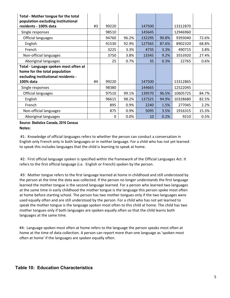| <b>Total - Mother tongue for the total</b><br>population excluding institutional                              |    |       |       |        |       |          |       |
|---------------------------------------------------------------------------------------------------------------|----|-------|-------|--------|-------|----------|-------|
| residents - 100% data                                                                                         | #3 | 99220 |       | 147500 |       | 13312870 |       |
| Single responses                                                                                              |    | 98510 |       | 145645 |       | 12946960 |       |
| <b>Official languages</b>                                                                                     |    | 94760 | 96.2% | 132295 | 90.8% | 9393040  | 72.6% |
| English                                                                                                       |    | 91530 | 92.9% | 127565 | 87.6% | 8902320  | 68.8% |
| French                                                                                                        |    | 3225  | 3.3%  | 4735   | 3.3%  | 490715   | 3.8%  |
| Non-official languages                                                                                        |    | 3750  | 3.8%  | 13345  | 9.2%  | 3553920  | 27.4% |
| Aboriginal languages                                                                                          |    | 25    | 0.7%  | 35     | 0.3%  | 22765    | 0.6%  |
| Total - Language spoken most often at<br>home for the total population<br>excluding institutional residents - |    |       |       |        |       |          |       |
| 100% data                                                                                                     | #4 | 99220 |       | 147500 |       | 13312865 |       |
| Single responses                                                                                              |    | 98380 |       | 144665 |       | 12522045 |       |
| <b>Official languages</b>                                                                                     |    | 97510 | 99.1% | 139570 | 96.5% | 10605725 | 84.7% |
| English                                                                                                       |    | 96615 | 98.2% | 137325 | 94.9% | 10328680 | 82.5% |
| French                                                                                                        |    | 895   | 0.9%  | 2240   | 1.5%  | 277045   | 2.2%  |
| Non-official languages                                                                                        |    | 875   | 0.9%  | 5095   | 3.5%  | 1916315  | 15.3% |
| Aboriginal languages                                                                                          |    | 0     | 0.0%  | 10     | 0.2%  | 9210     | 0.5%  |

**Source: Statistics Canada, 2016 Census Notes:** 

#1: Knowledge of official languages refers to whether the person can conduct a conversation in English only French only in both languages or in neither language. For a child who has not yet learned to speak this includes languages that the child is learning to speak at home.

#2: First official language spoken is specified within the framework of the Official Languages Act. It refers to the first official language (i.e. English or French) spoken by the person.

#3: Mother tongue refers to the first language learned at home in childhood and still understood by the person at the time the data was collected. If the person no longer understands the first language learned the mother tongue is the second language learned. For a person who learned two languages at the same time in early childhood the mother tongue is the language this person spoke most often at home before starting school. The person has two mother tongues only if the two languages were used equally often and are still understood by the person. For a child who has not yet learned to speak the mother tongue is the language spoken most often to this child at home. The child has two mother tongues only if both languages are spoken equally often so that the child learns both languages at the same time.

#4: Language spoken most often at home refers to the language the person speaks most often at home at the time of data collection. A person can report more than one language as 'spoken most often at home' if the languages are spoken equally often.

# **Table 10: Education Characteristics**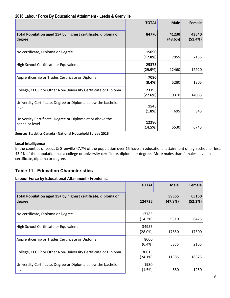# **2016 Labour Force By Educational Attainment - Leeds & Grenville**

|                                                                             | <b>TOTAL</b>     | <b>Male</b>      | Female           |
|-----------------------------------------------------------------------------|------------------|------------------|------------------|
| Total Population aged 15+ by highest certificate, diploma or<br>degree      | 84770            | 41230<br>(48.6%) | 43540<br>(51.4%) |
| No certificate, Diploma or Degree                                           | 15090<br>(17.8%) | 7955             | 7135             |
| High School Certificate or Equivalent                                       | 25375<br>(29.9%) | 12460            | 12920            |
| Apprenticeship or Trades Certificate or Diploma                             | 7090<br>(8.4%)   | 5280             | 1805             |
| College, CEGEP or Other Non-University Certificate or Diploma               | 23395<br>(27.6%) | 9310             | 14085            |
| University Certificate, Degree or Diploma below the bachelor<br>level       | 1545<br>(1.8%)   | 695              | 845              |
| University Certificate, Degree or Diploma at or above the<br>bachelor level | 12280<br>(14.5%) | 5530             | 6745             |

**Source: Statistics Canada ‐ National Household Survey 2016**

### **Local Intelligence**

In the counties of Leeds & Grenville 47.7% of the population over 15 have an educational attainment of high school or less. 43.9% of the population has a college or university certificate, diploma or degree. More males than females have no certificate, diploma or degree.

# **Table 11: Education Characteristics**

# **Labour Force by Educational Attainment - Frontenac**

|                                                                        | <b>TOTAL</b>        | <b>Male</b>      | <b>Female</b>    |
|------------------------------------------------------------------------|---------------------|------------------|------------------|
| Total Population aged 15+ by highest certificate, diploma or<br>degree | 124725              | 59565<br>(47.8%) | 65160<br>(52.2%) |
| No certificate, Diploma or Degree                                      | 17785<br>(14.3%)    | 9310             | 8475             |
| High School Certificate or Equivalent                                  | 34955<br>$(28.0\%)$ | 17650            | 17300            |
| Apprenticeship or Trades Certificate or Diploma                        | 8000<br>(6.4%)      | 5835             | 2165             |
| College, CEGEP or Other Non-University Certificate or Diploma          | 30015<br>$(24.1\%)$ | 11385            | 18625            |
| University Certificate, Degree or Diploma below the bachelor<br>level  | 1930<br>(1.5%)      | 680              | 1250             |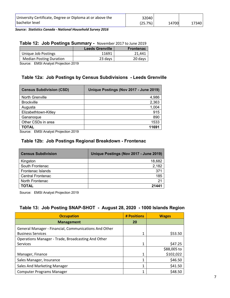*Source: Statistics Canada ‐ National Household Survey 2016*

# **Table 12: Job Postings Summary -** November 2017 to June 2019

| <b>Leeds Grenville</b> | <b>Frontenac</b> |
|------------------------|------------------|
| 11691                  | 21.441           |
| 23 days                | 20 days          |
|                        |                  |

Source: EMSI Analyst Projection 2019

# **Table 12a: Job Postings by Census Subdivisions - Leeds Grenville**

| <b>Census Subdivision (CSD)</b> | Unique Postings (Nov 2017 - June 2019) |
|---------------------------------|----------------------------------------|
| <b>North Grenville</b>          | 4,986                                  |
| <b>Brockville</b>               | 2,363                                  |
| Augusta                         | 1,004                                  |
| Elizabethtown-Kitley            | 915                                    |
| Gananoque                       | 890                                    |
| Other CSDs in area              | 1533                                   |
| <b>TOTAL</b>                    | 11691                                  |

Source: EMSI Analyst Projection 2019

# **Table 12b: Job Postings Regional Breakdown - Frontenac**

| <b>Census Subdivision</b> | Unique Postings (Nov 2017 - June 2019) |
|---------------------------|----------------------------------------|
| Kingston                  | 18,682                                 |
| South Frontenac           | 2,182                                  |
| Frontenac Islands         | 371                                    |
| <b>Central Frontenac</b>  | 185                                    |
| North Frontenac           | 21                                     |
| <b>TOTAL</b>              | 21441                                  |

Source: EMSI Analyst Projection 2019

# **Table 13: Job Posting SNAP-SHOT - August 28, 2020 - 1000 Islands Region**

| <b>Occupation</b>                                     | # Positions | <b>Wages</b> |
|-------------------------------------------------------|-------------|--------------|
| <b>Management</b>                                     | 20          |              |
| General Manager - Financial, Communications And Other |             |              |
| <b>Business Services</b>                              |             | \$53.50      |
| Operations Manager - Trade, Broadcasting And Other    |             |              |
| <b>Services</b>                                       | 1           | \$47.25      |
|                                                       |             | \$88,005 to  |
| Manager, Finance                                      |             | \$102,022    |
| Sales Manager, Insurance                              |             | \$46.50      |
| Sales And Marketing Manager                           |             | \$41.50      |
| <b>Computer Programs Manager</b>                      |             | \$48.50      |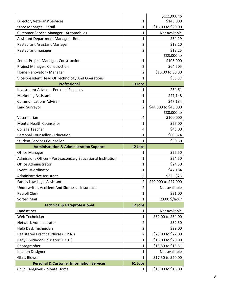|                                                             |                | \$111,000 to                             |
|-------------------------------------------------------------|----------------|------------------------------------------|
| Director, Veterans' Services                                | 1              | \$148,000                                |
| Store Manager - Retail                                      | $\mathbf{1}$   | \$16.00 to \$20.00                       |
| <b>Customer Service Manager - Automobiles</b>               | $\mathbf{1}$   | Not available                            |
| Assistant Department Manager - Retail                       | 1              | \$34.19                                  |
| <b>Restaurant Assistant Manager</b>                         | $\overline{2}$ | \$18.10                                  |
| Restaurant manager                                          | $\overline{2}$ | \$18.25                                  |
|                                                             |                | \$83,000 to                              |
| Senior Project Manager, Construction                        | 1              | \$105,000                                |
| Project Manager, Construction                               | $\overline{2}$ | \$64,505                                 |
| Home Renovator - Manager                                    | $\overline{2}$ | \$15.00 to 30.00                         |
| Vice-president Head Of Technology And Operations            | 1              | \$53.37                                  |
| <b>Professional</b>                                         | 13 Jobs        |                                          |
| <b>Investment Advisor - Personal Finances</b>               | 1              | \$34.61                                  |
| <b>Marketing Assistant</b>                                  | $\mathbf{1}$   | \$47,148                                 |
| <b>Communications Adviser</b>                               | $\mathbf{1}$   | \$47,184                                 |
| Land Surveyor                                               | $\overline{2}$ | \$44,000 to \$48,000                     |
|                                                             |                | \$80,000 to                              |
| Veterinarian                                                | 4              | \$100,000                                |
| <b>Mental Health Counsellor</b>                             | $\mathbf{1}$   | \$27.00                                  |
| College Teacher                                             | 4              | \$48.00                                  |
| Personal Counsellor - Education                             | $\mathbf{1}$   | \$60,674                                 |
| <b>Student Services Counsellor</b>                          | $\mathbf{1}$   | \$30.50                                  |
|                                                             |                |                                          |
| <b>Administration &amp; Administration Support</b>          | 12 Jobs        |                                          |
| <b>Office Manager</b>                                       | 1              | \$26.50                                  |
| Admissions Officer - Post-secondary Educational Institution | 1              | \$24.50                                  |
| <b>Office Administrator</b>                                 | 1              | \$24.50                                  |
| <b>Event Co-ordinator</b>                                   | $\mathbf{1}$   | \$47,184                                 |
| Administrative Assistant                                    | $\overline{2}$ | $$22 - $25$                              |
| Family Law Legal Assistant                                  | $\overline{2}$ | \$40,000 to \$47,000                     |
| Underwriter, Accident And Sickness - Insurance              | 2              | Not available                            |
| Payroll Clerk                                               | $\mathbf{1}$   | \$21.00                                  |
| Sorter, Mail                                                | $\mathbf{1}$   | 23.00 \$/hour                            |
| <b>Technical &amp; Paraprofessional</b>                     | 12 Jobs        |                                          |
| Landscaper                                                  | 1              | Not available                            |
| Web Technician                                              | 1              | \$32.00 to \$34.00                       |
| Network Administrator                                       | $\overline{2}$ | \$32.50                                  |
| Help Desk Technician                                        | $\overline{2}$ | \$29.00                                  |
| Registered Practical Nurse (R.P.N.)                         | $\overline{2}$ | \$25.00 to \$27.00                       |
|                                                             | $\mathbf{1}$   |                                          |
| Early Childhood Educator (E.C.E.)<br>Photographer           | $\mathbf{1}$   | \$18.00 to \$20.00<br>\$15.50 to \$15.51 |
|                                                             | $\mathbf{1}$   | Not available                            |
| Kitchen Designer<br><b>Glass Blower</b>                     | $\mathbf{1}$   | \$17.50 to \$20.00                       |
| <b>Personal &amp; Customer Information Services</b>         |                |                                          |
| Child Caregiver - Private Home                              | 61 Jobs<br>1   | \$15.00 to \$16.00                       |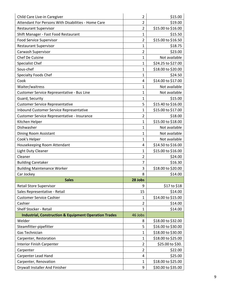| Child Care Live-in Caregiver                                     | 2              | \$15.00            |
|------------------------------------------------------------------|----------------|--------------------|
| Attendant For Persons With Disabilities - Home Care              | $\overline{2}$ | \$19.00            |
| <b>Restaurant Supervisor</b>                                     | $\overline{2}$ | \$15.00 to \$16.00 |
| Shift Manager - Fast Food Restaurant                             | 1              | \$15.50            |
| <b>Food Service Supervisor</b>                                   | $\overline{2}$ | \$15.00 to \$16.50 |
| <b>Restaurant Supervisor</b>                                     | 1              | \$18.75            |
| Carwash Supervisor                                               | 2              | \$23.00            |
| Chef De Cuisine                                                  | $\mathbf{1}$   | Not available      |
| Specialist Chef                                                  | 1              | \$24.25 to \$27.00 |
| Sous-chef                                                        | $\mathbf{1}$   | \$18.00 to \$20.00 |
| <b>Specialty Foods Chef</b>                                      | 1              | \$24.50            |
| Cook                                                             | 4              | \$14.00 to \$17.00 |
| Waiter/waitress                                                  | 1              | Not available      |
| Customer Service Representative - Bus Line                       | $\mathbf{1}$   | Not available      |
| Guard, Security                                                  | 1              | \$15.00            |
| <b>Customer Service Representative</b>                           | 5              | \$15.40 to \$16.00 |
| <b>Inbound Customer Service Representative</b>                   | $\mathbf{1}$   | \$15.00 to \$17.00 |
| Customer Service Representative - Insurance                      | $\overline{2}$ | \$18.00            |
| Kitchen Helper                                                   | $\mathbf{1}$   | \$15.00 to \$18.00 |
| Dishwasher                                                       | $\mathbf{1}$   | Not available      |
| Dining Room Assistant                                            | 1              | Not available      |
| Cook's Helper                                                    | $\mathbf{1}$   | Not available      |
| Housekeeping Room Attendant                                      | 4              | \$14.50 to \$16.00 |
| Light Duty Cleaner                                               | 1              | \$15.00 to \$16.00 |
| Cleaner                                                          | $\overline{2}$ | \$24.00            |
| <b>Building Caretaker</b>                                        | 7              | \$16.30            |
| <b>Building Maintenance Worker</b>                               | 3              | \$18.00 to \$20.00 |
| Car Jockey                                                       | 8              | \$14.00            |
| <b>Sales</b>                                                     | 28 Jobs        |                    |
| Retail Store Supervisor                                          | 9              | \$17 to \$18       |
| Sales Representative - Retail                                    | 15             | \$14.00            |
| <b>Customer Service Cashier</b>                                  | $\mathbf{1}$   | \$14.00 to \$15.00 |
| Cashier                                                          | $\overline{2}$ | \$14.00            |
| Shelf Stocker - Retail                                           | $\mathbf{1}$   | \$14.00            |
| <b>Industrial, Construction &amp; Equipment Operation Trades</b> | 46 Jobs        |                    |
| Welder                                                           | 8              | \$18.00 to \$32.00 |
| Steamfitter-pipefitter                                           | 5              | \$16.00 to \$30.00 |
| Gas Technician                                                   | $\mathbf{1}$   | \$18.00 to \$30.00 |
| Carpenter, Restoration                                           | 1              | \$18.00 to \$25.00 |
| <b>Interior Finish Carpenter</b>                                 | $\overline{2}$ | \$25.00 to \$30.   |
| Carpenter                                                        | $\overline{2}$ | \$22.00            |
| Carpenter Lead Hand                                              | 4              | \$25.00            |
| Carpenter, Renovation                                            | 1              | \$18.00 to \$25.00 |
| Drywall Installer And Finisher                                   | 9              | \$30.00 to \$35.00 |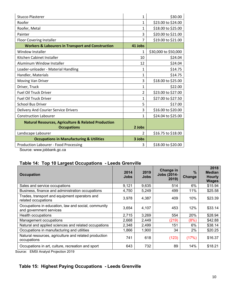| <b>Stucco Plasterer</b>                                                        | $\mathbf 1$    | \$30.00              |
|--------------------------------------------------------------------------------|----------------|----------------------|
| Roofer                                                                         | 1              | \$23.00 to \$24.00   |
| Roofer, Metal                                                                  | 1              | \$18.00 to \$25.00   |
| Painter                                                                        | 3              | \$20.00 to \$21.00   |
| Floor Covering Installer                                                       | 7              | \$19.00 to \$21.00   |
| <b>Workers &amp; Labourers in Transport and Construction</b>                   | 41 Jobs        |                      |
| <b>Window Installer</b>                                                        | 1              | \$30,000 to \$50,000 |
| Kitchen Cabinet Installer                                                      | 10             | \$24.04              |
| Aluminum Window Installer                                                      | 12             | \$24.04              |
| Loader-unloader - Material Handling                                            | 1              | \$14.75              |
| Handler, Materials                                                             | 1              | \$14.75              |
| Moving Van Driver                                                              | 3              | \$18.00 to \$25.00   |
| Driver, Truck                                                                  | $\mathbf{1}$   | \$22.00              |
| <b>Fuel Oil Truck Driver</b>                                                   | $\overline{2}$ | \$23.00 to \$27.00   |
| <b>Fuel Oil Truck Driver</b>                                                   | 1              | \$27.00 to \$27.50   |
| <b>School Bus Driver</b>                                                       | 5              | \$17.00              |
| Delivery And Courier Service Drivers                                           | 3              | \$16.00 to \$20.00   |
| <b>Construction Labourer</b>                                                   | 1              | \$24.04 to \$25.00   |
| <b>Natural Resources, Agriculture &amp; Related Production</b>                 |                |                      |
| <b>Occupations</b>                                                             | 2 Jobs         |                      |
| Landscape Labourer                                                             | $\mathfrak{p}$ | \$16.75 to \$18.00   |
| <b>Occupations in Manufacturing &amp; Utilities</b>                            | 3 Jobs         |                      |
| Production Labourer - Food Processing<br>المساملة والمتصطامة المقدود والمدارية | 3              | \$18.00 to \$20.00   |

Source: www.jobbank.gc.ca

# **Table 14: Top 10 Largest Occupations - Leeds Grenville**

| <b>Occupation</b>                                                              | 2014<br><b>Jobs</b> | 2019<br><b>Jobs</b> | Change in<br><b>Jobs (2014-</b><br>2019 | $\%$<br><b>Change</b> | 2018<br><b>Median</b><br><b>Hourly</b><br><b>Wages</b> |
|--------------------------------------------------------------------------------|---------------------|---------------------|-----------------------------------------|-----------------------|--------------------------------------------------------|
| Sales and service occupations                                                  | 9,121               | 9,635               | 514                                     | 6%                    | \$15.94                                                |
| Business, finance and administration occupations                               | 4,750               | 5,249               | 499                                     | 11%                   | \$25.58                                                |
| Trades, transport and equipment operators and<br>related occupations           | 3,978               | 4,387               | 409                                     | 10%                   | \$23.39                                                |
| Occupations in education, law and social, community<br>and government services | 3,654               | 4,107               | 453                                     | 12%                   | \$33.14                                                |
| Health occupations                                                             | 2,715               | 3,269               | 554                                     | 20%                   | \$28.94                                                |
| Management occupations                                                         | 2,668               | 2,449               | (219)                                   | (8%)                  | \$42.88                                                |
| Natural and applied sciences and related occupations                           | 2,348               | 2,499               | 151                                     | 6%                    | \$38.14                                                |
| Occupations in manufacturing and utilities                                     | 1,866               | 1,900               | 34                                      | 2%                    | \$20.25                                                |
| Natural resources, agriculture and related production<br>occupations           | 741                 | 618                 | (123)                                   | (17%)                 | \$16.37                                                |
| Occupations in art, culture, recreation and sport<br>$\blacksquare$            | 643                 | 732                 | 89                                      | 14%                   | \$18.21                                                |

Source: EMSI Analyst Projection 2019

# **Table 15: Highest Paying Occupations - Leeds Grenville**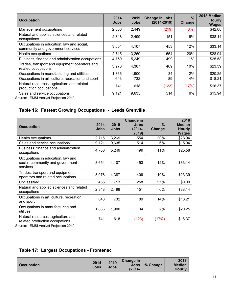| <b>Occupation</b>                                                              | 2014<br><b>Jobs</b> | 2019<br><b>Jobs</b> | <b>Change in Jobs</b><br>$(2014 - 2019)$ | $\frac{0}{0}$<br><b>Change</b> | 2018 Median<br><b>Hourly</b><br><b>Wages</b> |
|--------------------------------------------------------------------------------|---------------------|---------------------|------------------------------------------|--------------------------------|----------------------------------------------|
| Management occupations                                                         | 2,668               | 2,449               | (219)                                    | (8%)                           | \$42.88                                      |
| Natural and applied sciences and related<br>occupations                        | 2,348               | 2,499               | 151                                      | 6%                             | \$38.14                                      |
| Occupations in education, law and social,<br>community and government services | 3,654               | 4,107               | 453                                      | 12%                            | \$33.14                                      |
| Health occupations                                                             | 2,715               | 3,269               | 554                                      | 20%                            | \$28.94                                      |
| Business, finance and administration occupations                               | 4,750               | 5,249               | 499                                      | 11%                            | \$25.58                                      |
| Trades, transport and equipment operators and<br>related occupations           | 3,978               | 4,387               | 409                                      | 10%                            | \$23.39                                      |
| Occupations in manufacturing and utilities                                     | 1,866               | 1,900               | 34                                       | 2%                             | \$20.25                                      |
| Occupations in art, culture, recreation and sport                              | 643                 | 732                 | 89                                       | 14%                            | \$18.21                                      |
| Natural resources, agriculture and related<br>production occupations           | 741                 | 618                 | (123)                                    | (17%)                          | \$16.37                                      |
| Sales and service occupations                                                  | 9,121               | 9,635               | 514                                      | 6%                             | \$15.94                                      |

# **Table 16: Fastest Growing Occupations - Leeds Grenville**

| <b>Occupation</b>                                                                 | 2014<br><b>Jobs</b> | 2019<br><b>Jobs</b> | Change in<br>Jobs<br>$(2014 -$<br>2019) | $\frac{9}{6}$<br>Change | 2018<br><b>Median</b><br><b>Hourly</b><br><b>Wages</b> |
|-----------------------------------------------------------------------------------|---------------------|---------------------|-----------------------------------------|-------------------------|--------------------------------------------------------|
| Health occupations                                                                | 2,715               | 3,269               | 554                                     | 20%                     | \$28.94                                                |
| Sales and service occupations                                                     | 9,121               | 9,635               | 514                                     | 6%                      | \$15.94                                                |
| Business, finance and administration<br>occupations                               | 4,750               | 5,249               | 499                                     | 11%                     | \$25.58                                                |
| Occupations in education, law and<br>social, community and government<br>services | 3,654               | 4,107               | 453                                     | 12%                     | \$33.14                                                |
| Trades, transport and equipment<br>operators and related occupations              | 3,978               | 4,387               | 409                                     | 10%                     | \$23.39                                                |
| Unclassified                                                                      | 455                 | 713                 | 258                                     | 57%                     | \$0.00                                                 |
| Natural and applied sciences and related<br>occupations                           | 2,348               | 2,499               | 151                                     | 6%                      | \$38.14                                                |
| Occupations in art, culture, recreation<br>and sport                              | 643                 | 732                 | 89                                      | 14%                     | \$18.21                                                |
| Occupations in manufacturing and<br>utilities                                     | 1,866               | 1,900               | 34                                      | 2%                      | \$20.25                                                |
| Natural resources, agriculture and<br>related production occupations              | 741                 | 618                 | (123)                                   | (17%)                   | \$16.37                                                |

Source: EMSI Analyst Projection 2019

|  | <b>Table 17: Largest Occupations - Frontenac</b> |  |
|--|--------------------------------------------------|--|
|--|--------------------------------------------------|--|

| <b>Occupation</b> | 2014<br>Jobs | 2019<br>Jobs | Change in<br>Jobs '<br>$(2014 -$ | $\frac{1}{2}$ % Change | 2018<br><b>Median</b><br><b>Hourly</b> |
|-------------------|--------------|--------------|----------------------------------|------------------------|----------------------------------------|
|-------------------|--------------|--------------|----------------------------------|------------------------|----------------------------------------|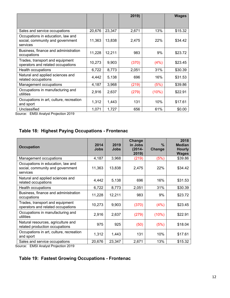|                                                                                   |        |        | 2019) |       | <b>Wages</b> |
|-----------------------------------------------------------------------------------|--------|--------|-------|-------|--------------|
| Sales and service occupations                                                     | 20,676 | 23,347 | 2,671 | 13%   | \$15.32      |
| Occupations in education, law and<br>social, community and government<br>services | 11,363 | 13,838 | 2,475 | 22%   | \$34.42      |
| Business, finance and administration<br>occupations                               | 11,228 | 12,211 | 983   | 9%    | \$23.72      |
| Trades, transport and equipment<br>operators and related occupations              | 10,273 | 9,903  | (370) | (4%)  | \$23.45      |
| Health occupations                                                                | 6,722  | 8,773  | 2,051 | 31%   | \$30.39      |
| Natural and applied sciences and<br>related occupations                           | 4,442  | 5,138  | 696   | 16%   | \$31.53      |
| Management occupations                                                            | 4,187  | 3,968  | (219) | (5%)  | \$39.86      |
| Occupations in manufacturing and<br>utilities                                     | 2,916  | 2,637  | (279) | (10%) | \$22.91      |
| Occupations in art, culture, recreation<br>and sport                              | 1,312  | 1,443  | 131   | 10%   | \$17.61      |
| Unclassified                                                                      | 1,071  | 1,727  | 656   | 61%   | \$0.00       |

# **Table 18: Highest Paying Occupations - Frontenac**

| <b>Occupation</b>                                                                 | 2014<br><b>Jobs</b> | 2019<br>Jobs | Change<br>in Jobs<br>$(2014 -$<br>2019) | $\frac{0}{0}$<br>Change | 2018<br><b>Median</b><br><b>Hourly</b><br><b>Wages</b> |
|-----------------------------------------------------------------------------------|---------------------|--------------|-----------------------------------------|-------------------------|--------------------------------------------------------|
| Management occupations                                                            | 4,187               | 3,968        | (219)                                   | (5%)                    | \$39.86                                                |
| Occupations in education, law and<br>social, community and government<br>services | 11,363              | 13,838       | 2,475                                   | 22%                     | \$34.42                                                |
| Natural and applied sciences and<br>related occupations                           | 4,442               | 5,138        | 696                                     | 16%                     | \$31.53                                                |
| Health occupations                                                                | 6,722               | 8,773        | 2,051                                   | 31%                     | \$30.39                                                |
| Business, finance and administration<br>occupations                               | 11,228              | 12,211       | 983                                     | 9%                      | \$23.72                                                |
| Trades, transport and equipment<br>operators and related occupations              | 10,273              | 9,903        | (370)                                   | (4%)                    | \$23.45                                                |
| Occupations in manufacturing and<br>utilities                                     | 2,916               | 2,637        | (279)                                   | (10%)                   | \$22.91                                                |
| Natural resources, agriculture and<br>related production occupations              | 975                 | 925          | (50)                                    | (5%)                    | \$18.04                                                |
| Occupations in art, culture, recreation<br>and sport                              | 1,312               | 1,443        | 131                                     | 10%                     | \$17.61                                                |
| Sales and service occupations                                                     | 20,676              | 23,347       | 2,671                                   | 13%                     | \$15.32                                                |

Source: EMSI Analyst Projection 2019

# **Table 19: Fastest Growing Occupations - Frontenac**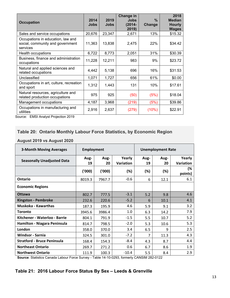|                                         |             |             | Change in   |        | 2018          |
|-----------------------------------------|-------------|-------------|-------------|--------|---------------|
| <b>Occupation</b>                       | 2014        | 2019        | <b>Jobs</b> | $\%$   | <b>Median</b> |
|                                         | <b>Jobs</b> | <b>Jobs</b> | (2014-      | Change | <b>Hourly</b> |
|                                         |             |             | 2019)       |        | <b>Wages</b>  |
| Sales and service occupations           | 20,676      | 23,347      | 2,671       | 13%    | \$15.32       |
| Occupations in education, law and       |             |             |             |        |               |
| social, community and government        | 11,363      | 13,838      | 2,475       | 22%    | \$34.42       |
| services                                |             |             |             |        |               |
| Health occupations                      | 6,722       | 8,773       | 2,051       | 31%    | \$30.39       |
| Business, finance and administration    | 11,228      | 12,211      | 983         | 9%     | \$23.72       |
| occupations                             |             |             |             |        |               |
| Natural and applied sciences and        | 4,442       | 5,138       | 696         | 16%    | \$31.53       |
| related occupations                     |             |             |             |        |               |
| Unclassified                            | 1,071       | 1,727       | 656         | 61%    | \$0.00        |
| Occupations in art, culture, recreation |             |             |             |        |               |
| and sport                               | 1,312       | 1,443       | 131         | 10%    | \$17.61       |
| Natural resources, agriculture and      |             |             |             |        |               |
| related production occupations          | 975         | 925         | (50)        | (5%)   | \$18.04       |
| Management occupations                  | 4,187       | 3,968       | (219)       | (5%)   | \$39.86       |
| Occupations in manufacturing and        |             |             |             |        |               |
| utilities                               | 2,916       | 2,637       | (279)       | (10%)  | \$22.91       |

# **Table 20: Ontario Monthly Labour Force Statistics, by Economic Region**

# **August 2019 vs August 2020**

| <b>3-Month Moving Averages</b>     | <b>Employment</b> |            |                            |            | <b>Unemployment Rate</b> |                     |
|------------------------------------|-------------------|------------|----------------------------|------------|--------------------------|---------------------|
| <b>Seasonally Unadjusted Data</b>  | Aug-<br>19        | Aug-<br>20 | Yearly<br><b>Variation</b> | Aug-<br>19 | Aug-<br>20               | Yearly<br>Variation |
|                                    | (000)             | (000)      | (%)                        | (%)        | (%)                      | (%<br>points)       |
| <b>Ontario</b>                     | 8019.3            | 7967.7     | $-0.6$                     | 6          | 12.1                     | 6.1                 |
| <b>Economic Regions</b>            |                   |            |                            |            |                          |                     |
| <b>Ottawa</b>                      | 802.7             | 777.5      | $-3.1$                     | 5.2        | 9.8                      | 4.6                 |
| <b>Kingston - Pembroke</b>         | 232.6             | 220.6      | $-5.2$                     | 6          | 10.1                     | 4.1                 |
| Muskoka - Kawarthas                | 187.3             | 195.9      | 4.6                        | 5.9        | 9.1                      | 3.2                 |
| Toronto                            | 3945.6            | 3986.4     | 1.0                        | 6.3        | 14.2                     | 7.9                 |
| Kitchener - Waterloo - Barrie      | 804.1             | 791.9      | $-1.5$                     | 5.5        | 10.7                     | 5.2                 |
| Hamilton - Niagara Peninsula       | 814.7             | 798.5      | $-2.0$                     | 5.3        | 10.6                     | 5.3                 |
| London                             | 358.0             | 370.0      | 3.4                        | 6.5        | 9                        | 2.5                 |
| <b>Windsor - Sarnia</b>            | 324.5             | 301.0      | $-7.2$                     | 7          | 11.3                     | 4.3                 |
| <b>Stratford - Bruce Peninsula</b> | 168.4             | 154.3      | $-8.4$                     | 4.3        | 8.7                      | 4.4                 |
| <b>Northeast Ontario</b>           | 269.7             | 271.2      | 0.6                        | 6.7        | 8.6                      | 1.9                 |
| <b>Northwest Ontario</b>           | 111.9             | 100.3      | $-10.4$                    | 5.5        | 8.4                      | 2.9                 |

**Source**: Statistics Canada Labour Force Survey - Table 14-10-0293, formerly CANSIM 282-0122

# **Table 21: 2016 Labour Force Status By Sex – Leeds & Grenville**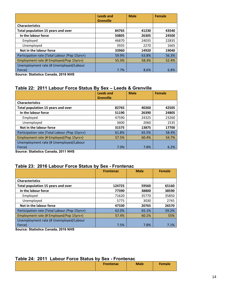|                                                                                                                                                                                                                                                                                                                                                                        | <b>Leeds and</b><br><b>Grenville</b> | <b>Male</b> | <b>Female</b> |
|------------------------------------------------------------------------------------------------------------------------------------------------------------------------------------------------------------------------------------------------------------------------------------------------------------------------------------------------------------------------|--------------------------------------|-------------|---------------|
| <b>Characteristics</b>                                                                                                                                                                                                                                                                                                                                                 |                                      |             |               |
| Total population 15 years and over                                                                                                                                                                                                                                                                                                                                     | 84765                                | 41230       | 43540         |
| In the labour force                                                                                                                                                                                                                                                                                                                                                    | 50805                                | 26305       | 24500         |
| Employed                                                                                                                                                                                                                                                                                                                                                               | 46870                                | 24035       | 22835         |
| Unemployed                                                                                                                                                                                                                                                                                                                                                             | 3935                                 | 2270        | 1665          |
| Not in the labour force                                                                                                                                                                                                                                                                                                                                                | 33960                                | 14920       | 19040         |
| Participation rate (Total Labour / Pop 15yrs+)                                                                                                                                                                                                                                                                                                                         | 59.9%                                | 63.8%       | 56.3%         |
| Employment rate (# Employed/Pop 15yrs+)                                                                                                                                                                                                                                                                                                                                | 55.3%                                | 58.3%       | 52.4%         |
| Unemployment rate (# Unemployed/Labour                                                                                                                                                                                                                                                                                                                                 |                                      |             |               |
| Force)<br>$\mathcal{L}$ . $\mathcal{L}$ $\mathcal{L}$ $\mathcal{L}$ $\mathcal{L}$ $\mathcal{L}$ $\mathcal{L}$ $\mathcal{L}$ $\mathcal{L}$ $\mathcal{L}$ $\mathcal{L}$ $\mathcal{L}$ $\mathcal{L}$ $\mathcal{L}$ $\mathcal{L}$ $\mathcal{L}$ $\mathcal{L}$ $\mathcal{L}$ $\mathcal{L}$ $\mathcal{L}$ $\mathcal{L}$ $\mathcal{L}$ $\mathcal{L}$ $\mathcal{L}$ $\mathcal$ | 7.7%                                 | 8.6%        | 6.8%          |

**Source: Statistics Canada, 2016 NHS** 

# **Table 22: 2011 Labour Force Status By Sex – Leeds & Grenville**

|                                                | Leeds and        | <b>Male</b> | <b>Female</b> |
|------------------------------------------------|------------------|-------------|---------------|
|                                                | <b>Grenville</b> |             |               |
| <b>Characteristics</b>                         |                  |             |               |
| Total population 15 years and over             | 82765            | 40260       | 42505         |
| In the labour force                            | 51190            | 26390       | 24805         |
| Employed                                       | 47590            | 24325       | 23260         |
| Unemployed                                     | 3600             | 2060        | 1535          |
| Not in the labour force                        | 31575            | 13875       | 17700         |
| Participation rate (Total Labour / Pop 15yrs+) | 61.8%            | 65.5%       | 58.4%         |
| Employment rate (# Employed/Pop 15yrs+)        | 57.5%            | 60.4%       | 54.7%         |
| Unemployment rate (# Unemployed/Labour         |                  |             |               |
| Force)<br>---                                  | 7.0%             | 7.8%        | 6.2%          |

**Source: Statistics Canada, 2011 NHS** 

# **Table 23: 2016 Labour Force Status by Sex - Frontenac**

|                                                | <b>Frontenac</b> | <b>Male</b> | <b>Female</b> |
|------------------------------------------------|------------------|-------------|---------------|
|                                                |                  |             |               |
| <b>Characteristics</b>                         |                  |             |               |
| Total population 15 years and over             | 124725           | 59560       | 65160         |
| In the labour force                            | 77390            | 38800       | 38590         |
| Employed                                       | 71620            | 35770       | 35850         |
| Unemployed                                     | 5775             | 3030        | 2745          |
| Not in the labour force                        | 47330            | 20765       | 26570         |
| Participation rate (Total Labour / Pop 15yrs+) | 62.0%            | 65.1%       | 59.2%         |
| Employment rate (# Employed/Pop 15yrs+)        | 57.4%            | 60.1%       | 55%           |
| Unemployment rate (# Unemployed/Labour         |                  |             |               |
| Force)                                         | 7.5%             | 7.8%        | 7.1%          |

**Source: Statistics Canada, 2016 NHS** 

#### **Table 24: 2011 Labour Force Status by Sex - Frontenac**

| <b>Frontenac</b> | <b>Male</b> | <b>Female</b> |
|------------------|-------------|---------------|
|                  |             |               |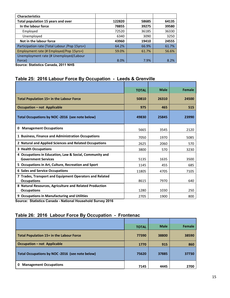| <b>Characteristics</b>                        |        |       |       |
|-----------------------------------------------|--------|-------|-------|
| Total population 15 years and over            | 122820 | 58685 | 64135 |
| In the labour force                           | 78855  | 39275 | 39580 |
| Employed                                      | 72520  | 36185 | 36330 |
| Unemployed                                    | 6340   | 3090  | 3250  |
| Not in the labour force                       | 43960  | 19410 | 24555 |
| Participation rate (Total Labour /Pop 15yrs+) | 64.2%  | 66.9% | 61.7% |
| Employment rate (# Employed/Pop 15yrs+)       | 59.0%  | 61.7% | 56.6% |
| Unemployment rate (# Unemployed/Labour        |        |       |       |
| Force)                                        | 8.0%   | 7.9%  | 8.2%  |

**Source: Statistics Canada, 2011 NHS** 

# **Table 25: 2016 Labour Force By Occupation - Leeds & Grenville**

|                                                                                       | <b>TOTAL</b> | <b>Male</b> | Female |
|---------------------------------------------------------------------------------------|--------------|-------------|--------|
| Total Population 15+ in the Labour Force                                              | 50810        | 26310       | 24500  |
| <b>Occupation - not Applicable</b>                                                    | 975          | 465         | 515    |
| Total Occupations by NOC-2016 (see note below)                                        | 49830        | 25845       | 23990  |
| <b>Management Occupations</b><br>0                                                    | 5665         | 3545        | 2120   |
| 1 Business, Finance and Administration Occupations                                    | 7050         | 1970        | 5085   |
| 2 Natural and Applied Sciences and Related Occupations                                | 2625         | 2060        | 570    |
| <b>3 Health Occupations</b>                                                           | 3800         | 570         | 3230   |
| 4 Occupations in Education, Law & Social, Community and<br><b>Government Services</b> | 5135         | 1635        | 3500   |
| 5 Occupations in Art, Culture, Recreation and Sport                                   | 1145         | 455         | 685    |
| <b>6 Sales and Service Occupations</b>                                                | 11805        | 4705        | 7105   |
| 7 Trades, Transport and Equipment Operators and Related<br><b>Occupations</b>         | 8615         | 7970        | 640    |
| 8 Natural Resources, Agriculture and Related Production<br><b>Occupations</b>         | 1280         | 1030        | 250    |
| 9 Occupations in Manufacturing and Utilities<br>                                      | 2705         | 1900        | 800    |

**Source: Statistics Canada - National Household Survey 2016** 

# **Table 26: 2016 Labour Force By Occupation - Frontenac**

|                                                | <b>TOTAL</b> | <b>Male</b> | <b>Female</b> |
|------------------------------------------------|--------------|-------------|---------------|
| Total Population 15+ in the Labour Force       | 77390        | 38800       | 38590         |
| <b>Occupation - not Applicable</b>             | 1770         | 915         | 860           |
| Total Occupations by NOC-2016 (see note below) | 75620        | 37885       | 37730         |
| <b>Management Occupations</b><br>0             | 7145         | 4445        | 2700          |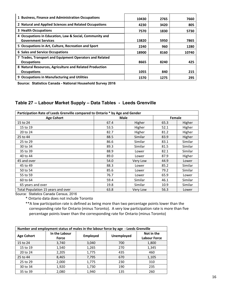| 1 Business, Finance and Administration Occupations      | 10430 | 2765 | 7660  |
|---------------------------------------------------------|-------|------|-------|
| 2 Natural and Applied Sciences and Related Occupations  | 4230  | 3420 | 805   |
| 3 Health Occupations                                    | 7570  | 1830 | 5730  |
| 4 Occupations in Education, Law & Social, Community and |       |      |       |
| <b>Government Services</b>                              | 13820 | 5950 | 7865  |
| 5 Occupations in Art, Culture, Recreation and Sport     | 2240  | 960  | 1280  |
| <b>6 Sales and Service Occupations</b>                  | 18900 | 8160 | 10740 |
| 7 Trades, Transport and Equipment Operators and Related |       |      |       |
| <b>Occupations</b>                                      | 8665  | 8240 | 425   |
| 8 Natural Resources, Agriculture and Related Production |       |      |       |
| <b>Occupations</b>                                      | 1055  | 840  | 215   |
| 9 Occupations in Manufacturing and Utilities            | 1570  | 1275 | 295   |

**Source: Statistics Canada - National Household Survey 2016**

# **Table 27 – Labour Market Supply – Data Tables - Leeds Grenville**

| Participation Rate of Leeds Grenville compared to Ontario * by Age and Gender |      |             |      |                |  |
|-------------------------------------------------------------------------------|------|-------------|------|----------------|--|
| <b>Age Cohort</b>                                                             |      | <b>Male</b> |      | Female         |  |
| 15 to 24                                                                      | 67.4 | Higher      | 65.3 | Higher         |  |
| 15 to 19                                                                      | 53.5 | Higher      | 52.1 | Higher         |  |
| 20 to 24                                                                      | 82.7 | Higher      | 81.2 | Higher         |  |
| 25 to 44                                                                      | 88.5 | Similar     | 83.9 | Higher         |  |
| 25 to 29                                                                      | 86.6 | Similar     | 83.1 | Similar        |  |
| 30 to 34                                                                      | 89.3 | Similar     | 81.5 | <b>Similar</b> |  |
| 35 to 39                                                                      | 88.9 | Lower       | 82.1 | Similar        |  |
| 40 to 44                                                                      | 89.0 | Lower       | 87.9 | Higher         |  |
| 45 and over                                                                   | 54.0 | Very Low    | 44.9 | Lower          |  |
| 45 to 49                                                                      | 88.3 | Lower       | 85.2 | Similar        |  |
| 50 to 54                                                                      | 85.6 | Lower       | 79.2 | Similar        |  |
| 55 to 59                                                                      | 76.7 | Lower       | 65.9 | Lower          |  |
| 60 to 64                                                                      | 59.4 | Similar     | 46.1 | Similar        |  |
| 65 years and over                                                             | 19.8 | Similar     | 10.9 | Similar        |  |
| Total Population 15 years and over                                            | 63.8 | Very Low    | 56.3 | Lower          |  |

Source: Statistics Canada Census, 2016

\* Ontario data does not include Toronto

 \*\*A low participation rate is defined as being more than two percentage points lower than the corresponding rate for Ontario (minus Toronto). A very low participation rate is more than five percentage points lower than the corresponding rate for Ontario (minus Toronto)

| Number and employment status of males in the labour force by age - Leeds Grenville |                        |                 |                   |                                   |  |
|------------------------------------------------------------------------------------|------------------------|-----------------|-------------------|-----------------------------------|--|
| <b>Age Cohort</b>                                                                  | In the Labour<br>Force | <b>Employed</b> | <b>Unemployed</b> | Not in the<br><b>Labour Force</b> |  |
| 15 to 24                                                                           | 3,740                  | 3,040           | 700               | 1,800                             |  |
| 15 to 19                                                                           | 1,540                  | 1,265           | 270               | 1,345                             |  |
| 20 to 24                                                                           | 2,205                  | 1,775           | 435               | 460                               |  |
| 25 to 44                                                                           | 8,465                  | 7,795           | 670               | 1,105                             |  |
| 25 to 29                                                                           | 2,000                  | 1,775           | 230               | 310                               |  |
| 30 to 34                                                                           | 1,920                  | 1,730           | 190               | 235                               |  |
| 35 to 39                                                                           | 2,080                  | 1,940           | 135               | 260                               |  |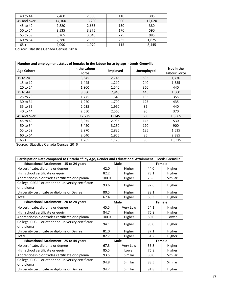| 40 to 44    | 2,460  | 2,350  | 110 | 305    |
|-------------|--------|--------|-----|--------|
| 45 and over | 14,100 | 13,200 | 900 | 12,020 |
| 45 to 49    | 2,820  | 2,665  | 150 | 380    |
| 50 to 54    | 3,535  | 3,375  | 170 | 590    |
| 55 to 59    | 3,265  | 3,040  | 225 | 985    |
| 60 to 64    | 2,380  | 2,150  | 235 | 1,625  |
| $65 +$      | 2,090  | 1,970  | 115 | 8,445  |
|             |        |        |     |        |

Source: Statistics Canada Census, 2016

| Number and employment status of females in the labour force by age - Leeds Grenville |                        |                 |                   |                                   |  |
|--------------------------------------------------------------------------------------|------------------------|-----------------|-------------------|-----------------------------------|--|
| <b>Age Cohort</b>                                                                    | In the Labour<br>Force | <b>Employed</b> | <b>Unemployed</b> | Not in the<br><b>Labour Force</b> |  |
| 15 to 24                                                                             | 3,345                  | 2,745           | 595               | 1,770                             |  |
| 15 to 19                                                                             | 1,445                  | 1,210           | 240               | 1,335                             |  |
| 20 to 24                                                                             | 1,900                  | 1,540           | 360               | 440                               |  |
| 25 to 44                                                                             | 8,380                  | 7,940           | 445               | 1,600                             |  |
| 25 to 29                                                                             | 1.775                  | 1,640           | 135               | 355                               |  |
| 30 to 34                                                                             | 1,920                  | 1,790           | 125               | 435                               |  |
| 35 to 39                                                                             | 2,035                  | 1,950           | 85                | 440                               |  |
| 40 to 44                                                                             | 2,650                  | 2,560           | 90                | 370                               |  |
| 45 and over                                                                          | 12,775                 | 12145           | 630               | 15,665                            |  |
| 45 to 49                                                                             | 3,075                  | 2,935           | 145               | 530                               |  |
| 50 to 54                                                                             | 3,420                  | 3,250           | 170               | 900                               |  |
| 55 to 59                                                                             | 2,970                  | 2,835           | 135               | 1,535                             |  |
| 60 to 64                                                                             | 2,040                  | 1,955           | 85                | 2,385                             |  |
| $65 +$                                                                               | 1,265                  | 1,175           | 90                | 10,315                            |  |

| Participation Rate compared to Ontario ** by Age, Gender and Educational Attainment - Leeds Grenville |             |             |      |         |  |
|-------------------------------------------------------------------------------------------------------|-------------|-------------|------|---------|--|
| <b>Educational Attainment - 15 to 24 years</b>                                                        |             | <b>Male</b> |      | Female  |  |
| No certificate, diploma or degree                                                                     | 42.0        | Higher      | 44.0 | Higher  |  |
| High school certificate or equiv.                                                                     | 82.2        | Higher      | 73.1 | Higher  |  |
| Apprenticeship or trades certificate or diploma                                                       | 100.0       | Higher      | 78.6 | Similar |  |
| College, CEGEP or other non-university certificate<br>or diploma                                      | 93.6        | Higher      | 92.6 | Higher  |  |
| University certificate or diploma or Degree                                                           | 80.5        | Higher      | 88.1 | Higher  |  |
| <b>Total</b>                                                                                          | 67.4        | Higher      | 65.3 | Higher  |  |
| <b>Educational Attainment - 20 to 24 years</b>                                                        | <b>Male</b> |             |      | Female  |  |
| No certificate, diploma or degree                                                                     | 45.5        | Very Low    | 54.1 | Higher  |  |
| High school certificate or equiv.                                                                     | 84.7        | Higher      | 75.8 | Higher  |  |
| Apprenticeship or trades certificate or diploma                                                       | 100.0       | Higher      | 80.0 | Lower   |  |
| College, CEGEP or other non-university certificate<br>or diploma                                      | 94.1        | Higher      | 93.0 | Higher  |  |
| University certificate or diploma or Degree                                                           | 81.0        | Higher      | 87.1 | Higher  |  |
| Total                                                                                                 | 82.7        | Higher      | 81.2 | Higher  |  |
| <b>Educational Attainment - 25 to 44 years</b>                                                        |             | <b>Male</b> |      | Female  |  |
| No certificate, diploma or degree                                                                     | 67.3        | Very Low    | 56.8 | Higher  |  |
| High school certificate or equiv.                                                                     | 85.5        | Lower       | 75.8 | Higher  |  |
| Apprenticeship or trades certificate or diploma                                                       | 93.5        | Similar     | 80.0 | Similar |  |
| College, CEGEP or other non-university certificate<br>or diploma                                      | 94.8        | Similar     | 88.5 | Similar |  |
| University certificate or diploma or Degree                                                           | 94.2        | Similar     | 91.8 | Higher  |  |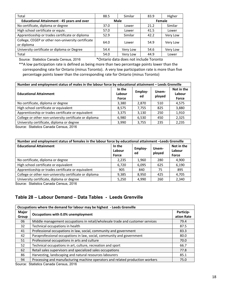| Total                                                            | 88.5 | Similar               | 83.9 | Higher   |
|------------------------------------------------------------------|------|-----------------------|------|----------|
| <b>Educational Attainment - 45 years and over</b>                |      | <b>Male</b><br>Female |      |          |
| No certificate, diploma or degree                                | 37.0 | Lower                 | 21.2 | Similar  |
| High school certificate or equiv.                                | 57.0 | Lower                 | 41.5 | Lower    |
| Apprenticeship or trades certificate or diploma                  | 52.9 | Similar               | 42.2 | Very Low |
| College, CEGEP or other non-university certificate<br>or diploma | 64.0 | Lower                 | 54.9 | Very Low |
| University certificate or diploma or Degree                      | 54.4 | Very Low              | 54.6 | Very Low |
| Total                                                            | 54.0 | Very Low              | 44.9 | Lower    |

Source: Statistics Canada Census, 2016 \*Ontario data does not include Toronto

 \*\*A low participation rate is defined as being more than two percentage points lower than the corresponding rate for Ontario (minus Toronto). A very low participation rate is more than five percentage points lower than the corresponding rate for Ontario (minus Toronto)

| Number and employment status of males in the labour force by educational attainment - Leeds Grenville |                           |               |                 |                               |  |  |
|-------------------------------------------------------------------------------------------------------|---------------------------|---------------|-----------------|-------------------------------|--|--|
| <b>Educational Attainment</b>                                                                         | In the<br>Labour<br>Force | Employ-<br>ed | Unem-<br>ployed | Not in the<br>Labour<br>Force |  |  |
| No certificate, diploma or degree                                                                     | 3,380                     | 2.870         | 510             | 4.575                         |  |  |
| High school certificate or equivalent                                                                 | 8.575                     | 7,755         | 825             | 3,880                         |  |  |
| Apprenticeship or trades certificate or equivalent                                                    | 3.375                     | 3,130         | 250             | 1.910                         |  |  |
| College or other non-university certificate or diploma                                                | 6,980                     | 6,530         | 450             | 2,325                         |  |  |
| University certificate, diploma or degree                                                             | 3,990                     | 3,755         | 235             | 2,235                         |  |  |

Source: Statistics Canada Census, 2016

| Number and employment status of females in the labour force by educational attainment -Leeds Grenville |                                            |       |                 |                               |  |  |
|--------------------------------------------------------------------------------------------------------|--------------------------------------------|-------|-----------------|-------------------------------|--|--|
| <b>Educational Attainment</b>                                                                          | In the<br>Employ-<br>Labour<br>ed<br>Force |       | Unem-<br>ployed | Not in the<br>Labour<br>Force |  |  |
| No certificate, diploma or degree                                                                      | 2,235                                      | 1,960 | 280             | 4,900                         |  |  |
| High school certificate or equivalent                                                                  | 6,720                                      | 6,095 | 625             | 6,190                         |  |  |
| Apprenticeship or trades certificate or equivalent                                                     | 905                                        | 840   | 75              | 895                           |  |  |
| College or other non-university certificate or diploma                                                 | 9,385                                      | 8,950 | 425             | 4,705                         |  |  |
| University certificate, diploma or degree                                                              | 5,250                                      | 4,990 | 260             | 2,340                         |  |  |

Source: Statistics Canada Census, 2016

# **Table 28 – Labour Demand – Data Tables - Leeds Grenville**

|                | Occupations where the demand for labour may be highest - Leeds Grenville      |      |  |  |  |  |
|----------------|-------------------------------------------------------------------------------|------|--|--|--|--|
| Major<br>Group | Occupations with 0.0% unemployment                                            |      |  |  |  |  |
| 06             | Middle management occupations in retail/wholesale trade and customer services | 79.4 |  |  |  |  |
| 32             | Technical occupations in health                                               | 87.5 |  |  |  |  |
| 41             | Professional occupations in law, social, community and government             | 83.3 |  |  |  |  |
| 42             | Paraprofessional occupations in law, social, community and government         | 80.0 |  |  |  |  |
| 51             | Professional occupations in arts and culture                                  | 70.0 |  |  |  |  |
| 52             | Technical occupations in art, culture, recreation and sport                   | 66.7 |  |  |  |  |
| 62             | Retail sales supervisors and specialized sales occupations                    | 77.8 |  |  |  |  |
| 86             | Harvesting, landscaping and natural resources labourers                       | 85.1 |  |  |  |  |
| 94             | Processing and manufacturing machine operators and related production workers | 75.0 |  |  |  |  |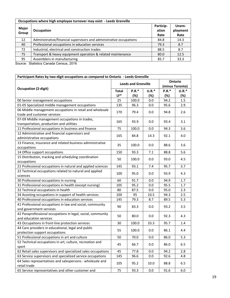|                | Occupations where high employee turnover may exist - Leeds Grenville |                            |                           |  |  |  |  |  |
|----------------|----------------------------------------------------------------------|----------------------------|---------------------------|--|--|--|--|--|
| Major<br>Group | Occupation                                                           | Particip-<br>ation<br>Rate | Unem-<br>ployment<br>Rate |  |  |  |  |  |
| 12             | Administrative/financial supervisors and administrative occupations  | 84.8                       | 14.3                      |  |  |  |  |  |
| 40             | Professional occupations in education services                       | 79.3                       | 8.7                       |  |  |  |  |  |
| 72             | Industrial, electrical and construction trades                       | 88.5                       | 8.7                       |  |  |  |  |  |
| 75             | Transport & heavy equipment operation & related maintenance          | 80.0                       | 12.5                      |  |  |  |  |  |
| 95             | Assemblers in manufacturing                                          | 85.7                       | 33.3                      |  |  |  |  |  |

| Participant Rates by two-digit occupations as compared to Ontario - Leeds Grenville |              |              |         |                 |         |
|-------------------------------------------------------------------------------------|--------------|--------------|---------|-----------------|---------|
| Ontario<br><b>Leeds and Grenville</b>                                               |              |              |         |                 |         |
|                                                                                     |              |              |         | (minus Toronto) |         |
| <b>Occupation (2-digit)</b>                                                         | <b>Total</b> | <b>P.R.*</b> | $U.R.*$ | <b>P.R.*</b>    | $U.R.*$ |
|                                                                                     | $LF*$        | (%)          | (%)     | (%)             | (%)     |
| 00 Senior management occupations                                                    | 25           | 100.0        | 0.0     | 94.2            | 1.5     |
| 01-05 Specialized middle management occupations                                     | 135          | 96.3         | 0.0     | 95.6            | 2.9     |
| 06 Middle management occupations in retail and wholesale                            | 170          | 79.4         | 0.0     | 94.8            | 2.6     |
| trade and customer services                                                         |              |              |         |                 |         |
| 07-09 Middle management occupations in trades,                                      | 165          | 93.9         | 0.0     | 93.4            | 3.1     |
| transportation, production and utilities                                            |              |              |         |                 |         |
| 11 Professional occupations in business and finance                                 | 75           | 100.0        | 0.0     | 94.3            | 3.6     |
| 12 Administrative and financial supervisors and                                     | 165          | 84.8         | 14.3    | 92.1            | 4.0     |
| administrative occupations                                                          |              |              |         |                 |         |
| 13 Finance, insurance and related business administrative                           | 35           | 100.0        | 0.0     | 88.6            | 3.6     |
| occupations                                                                         |              |              |         |                 |         |
| 14 Office support occupations                                                       | 150          | 93.3         | 7.1     | 88.8            | 5.6     |
| 15 Distribution, tracking and scheduling coordination                               | 50           | 100.0        | 0.0     | 93.0            | 4.5     |
| occupations                                                                         |              |              |         |                 |         |
| 21 Professional occupations in natural and applied sciences                         | 145          | 93.1         | 7.4     | 95.7            | 3.7     |
| 22 Technical occupations related to natural and applied                             |              | 95.0         | 0.0     | 93.9            | 4.3     |
| sciences                                                                            | 100          |              |         |                 |         |
| 30 Professional occupations in nursing                                              | 60           | 91.7         | 0.0     | 94.9            | 1.7     |
| 31 Professional occupations in health (except nursing)                              | 105          | 95.2         | 0.0     | 95.5            | 1.7     |
| 32 Technical occupations in health                                                  | 80           | 87.5         | 0.0     | 95.0            | 2.3     |
| 34 Assisting occupations in support of health services                              | 100          | 95           | 10.5    | 94.3            | 2.5     |
| 40 Professional occupations in education services                                   | 145          | 79.3         | 8.7     | 89.5            | 5.3     |
| 41 Professional occupations in law and social, community                            | 90           | 83.3         | 0.0     | 93.2            | 3.5     |
| and government services                                                             |              |              |         |                 |         |
| 42 Paraprofessional occupations in legal, social, community                         | 50           | 80.0         | 0.0     | 92.3            | 4.3     |
| and education services                                                              |              |              |         |                 |         |
| 43 Occupations in front-line protection services                                    | 30           | 100.0        | 33.3    | 95.7            | 1.4     |
| 44 Care providers in educational, legal and public                                  | 55           | 100.0        | 0.0     | 86.1            | 4.4     |
| protection support occupations                                                      |              |              |         |                 |         |
| 51 Professional occupations in art and culture                                      | 50           | 70.0         | 0.0     | 86.0            | 5.3     |
| 52 Technical occupations in art, culture, recreation and                            | 45           | 66.7         | 0.0     | 86.0            | 6.5     |
| sport                                                                               |              |              |         |                 |         |
| 62 Retail sales supervisors and specialized sales occupations                       | 45           | 77.8         | 0.0     | 94.2            | 2.8     |
| 63 Service supervisors and specialized service occupations                          | 145          | 96.6         | 0.0     | 92.6            | 4.8     |
| 64 Sales representatives and salespersons - wholesale and<br>retail trade           | 105          | 95.2         | 10.0    | 88.8            | 6.5     |
| 65 Service representatives and other customer and                                   | 75           | 93.3         | 0.0     | 91.6            | 6.0     |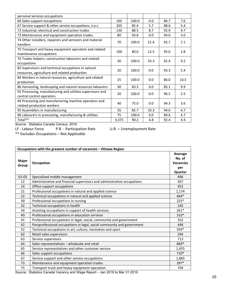| personal services occupations                                                                        |       |       |      |      |      |
|------------------------------------------------------------------------------------------------------|-------|-------|------|------|------|
| 66 Sales support occupations                                                                         | 105   | 100.0 | 0.0  | 86.7 | 7.6  |
| 67 Service support & other service occupations, n.e.c.                                               | 205   | 85.4  | 5.7  | 88.6 | 5.4  |
| 72 Industrial, electrical and construction trades                                                    | 130   | 88.5  | 8.7  | 92.9 | 4.7  |
| 73 Maintenance and equipment operation trades                                                        | 80    | 93.8  | 0.0  | 94.0 | 3.0  |
| 74 Other installers, repairers and servicers and material<br>handlers                                | 70    | 100.0 | 21.4 | 92.7 | 7.1  |
| 75 Transport and heavy equipment operation and related<br>maintenance occupations                    | 100   | 80.0  | 12.5 | 95.0 | 2.8  |
| 76 Trades helpers, construction labourers and related<br>occupations                                 | 30    | 100.0 | 33.3 | 91.4 | 9.2  |
| 82 Supervisors and technical occupations in natural<br>resources, agriculture and related production | 20    | 100.0 | 0.0  | 93.3 | 5.4  |
| 84 Workers in natural resources, agriculture and related<br>production                               | 25    | 100.0 | 0.0  | 86.0 | 10.5 |
| 86 Harvesting, landscaping and natural resources labourers                                           | 30    | 83.3  | 0.0  | 85.1 | 9.9  |
| 92 Processing, manufacturing and utilities supervisors and<br>central control operators              | 20    | 100.0 | 0.0  | 96.2 | 2.5  |
| 94 Processing and manufacturing machine operators and<br>related production workers                  | 40    | 75.0  | 0.0  | 94.3 | 3.6  |
| 95 Assemblers in manufacturing                                                                       | 35    | 85.7  | 33.3 | 94.6 | 4.7  |
| 96 Labourers in processing, manufacturing & utilities                                                | 75    | 100.0 | 0.0  | 89.6 | 4.7  |
| Total**                                                                                              | 3,375 | 90.2  | 4.8  | 92.4 | 4.4  |
|                                                                                                      |       |       |      |      |      |

Source: Statistics Canada Census, 2016

LF - Labour Force P.R. - Participation Rate U.R. – Unemployment Rate

\*\* Excludes Occupations – Not Applicable

|                | Occupations with the greatest number of vacancies - Ottawa Region           |                                                         |  |  |  |
|----------------|-----------------------------------------------------------------------------|---------------------------------------------------------|--|--|--|
| Major<br>Group | Occupation                                                                  | Average<br>No. of<br><b>Vacancies</b><br>per<br>Quarter |  |  |  |
| $01 - 05$      | Specialized middle management                                               | 496                                                     |  |  |  |
| 12             | Administrative and financial supervisors and administrative occupations     | 567                                                     |  |  |  |
| 14             | Office support occupations                                                  | 452                                                     |  |  |  |
| 21             | Professional occupations in natural and applied science                     | 1,174                                                   |  |  |  |
| 22             | Technical occupations in natural and applied science                        | $464*$                                                  |  |  |  |
| 30             | Professional occupations in nursing                                         | $225*$                                                  |  |  |  |
| 32             | Technical occupations in health                                             | 245                                                     |  |  |  |
| 34             | Assisting occupations in support of health services                         | $261*$                                                  |  |  |  |
| 40             | Professional occupations in education services                              | 310*                                                    |  |  |  |
| 41             | Professional occupations in legal, social, community and government         | 352                                                     |  |  |  |
| 42             | Paraprofessional occupations in legal, social community and government      | 446                                                     |  |  |  |
| 52             | Technical occupations in art, culture, recreation and sport                 | 354*                                                    |  |  |  |
| 62             | Retail sales supervisors                                                    | 294                                                     |  |  |  |
| 63             | Service supervisors                                                         | 713                                                     |  |  |  |
| 64             | Sales representatives - wholesale and retail                                | 869*                                                    |  |  |  |
| 65             | Service representatives and other customer service                          | 1,455                                                   |  |  |  |
| 66             | Sales support occupations                                                   | 710*                                                    |  |  |  |
| 67             | Service support and other service occupations                               | 1,865                                                   |  |  |  |
| 73             | Maintenance and equipment operation trades                                  | 397*                                                    |  |  |  |
| 75             | Transport truck and heavy equipment operation                               | 704                                                     |  |  |  |
|                | Source: Statistics Canada Vacancy and Wage Report - Jan 2018 to Mar 31 2019 |                                                         |  |  |  |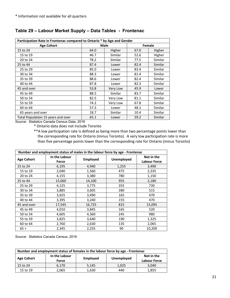| Participation Rate in Frontenac compared to Ontario * by Age and Gender |      |             |        |         |  |  |
|-------------------------------------------------------------------------|------|-------------|--------|---------|--|--|
| <b>Age Cohort</b>                                                       |      | <b>Male</b> | Female |         |  |  |
| 15 to 24                                                                | 64.0 | Higher      | 67.0   | Higher  |  |  |
| 15 to 19                                                                | 46.7 | Similar     | 52.6   | Higher  |  |  |
| 20 to 24                                                                | 78.2 | Similar     | 77.5   | Similar |  |  |
| 25 to 44                                                                | 87.4 | Lower       | 82.4   | Similar |  |  |
| 25 to 29                                                                | 85.0 | Lower       | 83.4   | Similar |  |  |
| 30 to 34                                                                | 88.3 | Lower       | 81.4   | Similar |  |  |
| 35 to 39                                                                | 88.6 | Lower       | 82.4   | Similar |  |  |
| 40 to 44                                                                | 87.8 | Lower       | 82.3   | Similar |  |  |
| 45 and over                                                             | 53.8 | Very Low    | 45.9   | Lower   |  |  |
| 45 to 49                                                                | 88.5 | Similar     | 83.7   | Similar |  |  |
| 50 to 54                                                                | 82.5 | Very Low    | 81.1   | Similar |  |  |
| 55 to 59                                                                | 74.2 | Very Low    | 67.8   | Similar |  |  |
| 60 to 64                                                                | 57.3 | Lower       | 48.1   | Similar |  |  |
| 65 years and over                                                       | 18.7 | Similar     | 10.4   | Similar |  |  |
| Total Population 15 years and over                                      | 65.1 | Lower       | 59.2   | Similar |  |  |

# **Table 29 – Labour Market Supply – Data Tables - Frontenac**

Source: Statistics Canada Census Data, 2016

\* Ontario data does not include Toronto

\*\*A low participation rate is defined as being more than two percentage points lower than the corresponding rate for Ontario (minus Toronto). A very low participation rate is more than five percentage points lower than the corresponding rate for Ontario (minus Toronto)

| Number and employment status of males in the labour force by age - Frontenac |                        |                 |                   |                            |  |  |
|------------------------------------------------------------------------------|------------------------|-----------------|-------------------|----------------------------|--|--|
| <b>Age Cohort</b>                                                            | In the Labour<br>Force | <b>Employed</b> | <b>Unemployed</b> | Not in the<br>Labour Force |  |  |
| 15 to 24                                                                     | 6,195                  | 4,940           | 1,255             | 3,490                      |  |  |
| 15 to 19                                                                     | 2,040                  | 1,560           | 475               | 2,335                      |  |  |
| 20 to 24                                                                     | 4,155                  | 3,380           | 780               | 1,150                      |  |  |
| 25 to 44                                                                     | 15,060                 | 14,100          | 955               | 2,180                      |  |  |
| 25 to 29                                                                     | 4,125                  | 3,775           | 355               | 730                        |  |  |
| 30 to 34                                                                     | 3,885                  | 3,605           | 280               | 515                        |  |  |
| 35 to 39                                                                     | 3,655                  | 3,490           | 165               | 470                        |  |  |
| 40 to 44                                                                     | 3,395                  | 3,240           | 155               | 470                        |  |  |
| 45 and over                                                                  | 17,545                 | 16,725          | 815               | 15,095                     |  |  |
| 45 to 49                                                                     | 4,010                  | 3,845           | 165               | 520                        |  |  |
| 50 to 54                                                                     | 4,605                  | 4,360           | 245               | 980                        |  |  |
| 55 to 59                                                                     | 3,825                  | 3,640           | 190               | 1,325                      |  |  |
| 60 to 64                                                                     | 2,760                  | 2,630           | 135               | 2,065                      |  |  |
| $65 +$                                                                       | 2,345                  | 2,255           | 90                | 10,200                     |  |  |

| Number and employment status of females in the labour force by age - Frontenac                                    |       |       |       |       |  |  |
|-------------------------------------------------------------------------------------------------------------------|-------|-------|-------|-------|--|--|
| In the Labour<br>Not in the<br><b>Unemployed</b><br><b>Age Cohort</b><br>Employed<br><b>Labour Force</b><br>Force |       |       |       |       |  |  |
| 15 to 24                                                                                                          | 6,170 | 5,145 | 1,025 | 3,040 |  |  |
| 15 to 19                                                                                                          | 2,065 | 1,630 | 440   | 1,855 |  |  |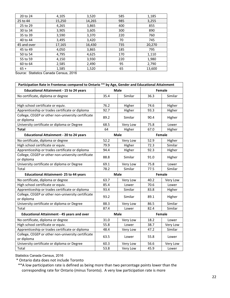Source: Statistics Canada Census, 2016

| Participation Rate in Frontenac compared to Ontario ** by Age, Gender and Educational Attainment |             |             |        |          |  |
|--------------------------------------------------------------------------------------------------|-------------|-------------|--------|----------|--|
| <b>Educational Attainment - 15 to 24 years</b>                                                   | <b>Male</b> |             |        | Female   |  |
| No certificate, diploma or degree                                                                | 35.4        | Similar     | 36.3   | Similar  |  |
|                                                                                                  |             |             |        |          |  |
| High school certificate or equiv.                                                                | 76.2        | Higher      | 74.6   | Higher   |  |
| Apprenticeship or trades certificate or diploma                                                  | 92.7        | Higher      | 93.3   | Higher   |  |
| College, CEGEP or other non-university certificate                                               | 89.2        | Similar     | 90.4   | Higher   |  |
| or diploma                                                                                       |             |             |        |          |  |
| University certificate or diploma or Degree                                                      | 68.5        | Very Low    | 75.8   | Lower    |  |
| <b>Total</b>                                                                                     | 64          | Higher      | 67.0   | Higher   |  |
| <b>Educational Attainment - 20 to 24 years</b>                                                   |             | <b>Male</b> |        | Female   |  |
| No certificate, diploma or degree                                                                | 52.2        | Very Low    | 52.9   | Higher   |  |
| High school certificate or equiv.                                                                | 79.9        | Higher      | 72.3   | Similar  |  |
| Apprenticeship or trades certificate or diploma                                                  | 94.4        | Higher      | 92.3   | Higher   |  |
| College, CEGEP or other non-university certificate                                               | 88.8        | Similar     | 91.0   | Higher   |  |
| or diploma                                                                                       |             |             |        |          |  |
| University certificate or diploma or Degree                                                      | 69.1        | Very Low    | 75.8   | Lower    |  |
| Total                                                                                            | 78.2        | Similar     | 77.5   | Similar  |  |
| <b>Educational Attainment-25 to 44 years</b>                                                     | Male        |             |        | Female   |  |
| No certificate, diploma or degree                                                                | 63.7        | Very Low    | 40.2   | Very Low |  |
| High school certificate or equiv.                                                                | 85.4        | Lower       | 70.6   | Lower    |  |
| Apprenticeship or trades certificate or diploma                                                  | 93.4        | Similar     | 83.8   | Higher   |  |
| College, CEGEP or other non-university certificate<br>or diploma                                 | 93.2        | Similar     | 89.1   | Higher   |  |
| University certificate or diploma or Degree                                                      | 88.3        | Very Low    | 86.5   | Similar  |  |
| Total                                                                                            | 87.4        | Lower       | 82.4   | Similar  |  |
| <b>Educational Attainment - 45 years and over</b>                                                | <b>Male</b> |             | Female |          |  |
| No certificate, diploma or degree                                                                | 31.0        | Very Low    | 18.2   | Lower    |  |
| High school certificate or equiv.                                                                | 55.8        | Lower       | 38.7   | Very Low |  |
| Apprenticeship or trades certificate or diploma                                                  | 48.4        | Very Low    | 47.2   | Similar  |  |
| College, CEGEP or other non-university certificate<br>or diploma                                 | 63.5        | Lower       | 55.8   | Lower    |  |
| University certificate or diploma or Degree                                                      | 60.3        | Very Low    | 56.6   | Very Low |  |
| Total                                                                                            | 53.8        | Very Low    | 45.9   | Lower    |  |

Statistics Canada Census, 2016

\* Ontario data does not include Toronto

 \*\*A low participation rate is defined as being more than two percentage points lower than the corresponding rate for Ontario (minus Toronto). A very low participation rate is more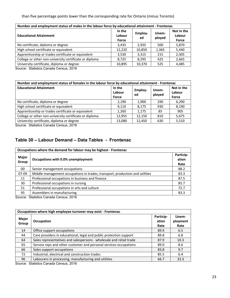than five percentage points lower than the corresponding rate for Ontario (minus Toronto)

| Number and employment status of males in the labour force by educational attainment - Frontenac |                           |                      |                 |                               |  |
|-------------------------------------------------------------------------------------------------|---------------------------|----------------------|-----------------|-------------------------------|--|
| <b>Educational Attainment</b>                                                                   | In the<br>Labour<br>Force | <b>Employ-</b><br>ed | Unem-<br>ployed | Not in the<br>Labour<br>Force |  |
| No certificate, diploma or degree                                                               | 3,435                     | 2.935                | 500             | 5,870                         |  |
| High school certificate or equivalent                                                           | 12,220                    | 10,850               | 1,365           | 5,440                         |  |
| Apprenticeship or trades certificate or equivalent                                              | 3,530                     | 3,315                | 215             | 2,305                         |  |
| College or other non-university certificate or diploma                                          | 8,725                     | 8,295                | 425             | 2,665                         |  |
| University certificate, diploma or degree                                                       | 10.895                    | 10,370               | 525             | 4,485                         |  |

Source: Statistics Canada Census, 2016

| Number and employment status of females in the labour force by educational attainment - Frontenac |                           |               |                 |                               |  |  |
|---------------------------------------------------------------------------------------------------|---------------------------|---------------|-----------------|-------------------------------|--|--|
| <b>Educational Attainment</b>                                                                     | In the<br>Labour<br>Force | Employ-<br>ed | Unem-<br>ployed | Not in the<br>Labour<br>Force |  |  |
| No certificate, diploma or degree                                                                 | 2,190                     | 1,900         | 290             | 6,290                         |  |  |
| High school certificate or equivalent                                                             | 9.110                     | 8,175         | 930             | 8.190                         |  |  |
| Apprenticeship or trades certificate or equivalent                                                | 1,260                     | 1,175         | 85              | 905                           |  |  |
| College or other non-university certificate or diploma                                            | 12.955                    | 12.150        | 810             | 5,675                         |  |  |
| University certificate, diploma or degree                                                         | 13,080                    | 12,450        | 630             | 5,510                         |  |  |

Source: Statistics Canada Census, 2016

# **Table 30 – Labour Demand – Data Tables - Frontenac**

| Occupations where the demand for labour may be highest - Frontenac |                                                                              |                            |  |  |
|--------------------------------------------------------------------|------------------------------------------------------------------------------|----------------------------|--|--|
| Major<br>Group                                                     | Occupations with 0.0% unemployment                                           | Particip-<br>ation<br>Rate |  |  |
| 00                                                                 | Senior management occupations                                                | 88.2                       |  |  |
| $07-09$                                                            | Middle management occupations in trades, transport, production and utilities | 83.3                       |  |  |
| 11                                                                 | Professional occupations in business and finance                             | 87.5                       |  |  |
| 30                                                                 | Professional occupations in nursing                                          | 85.7                       |  |  |
| 51                                                                 | Professional occupations in arts and culture                                 | 72.7                       |  |  |
| 95                                                                 | Assemblers in manufacturing                                                  | 83.3                       |  |  |

Source: Statistics Canada Census, 2016

| Occupations where high employee turnover may exist - Frontenac |                                                                     |                            |                           |  |  |
|----------------------------------------------------------------|---------------------------------------------------------------------|----------------------------|---------------------------|--|--|
| Major<br>Group                                                 | Occupation                                                          | Particip-<br>ation<br>Rate | Unem-<br>ployment<br>Rate |  |  |
| 14                                                             | Office support occupations                                          | 89.9                       | 6.5                       |  |  |
| 44                                                             | Care providers in educational, legal and public protection support  | 89.8                       | 6.8                       |  |  |
| 64                                                             | Sales representatives and salespersons - wholesale and retail trade | 87.9                       | 10.3                      |  |  |
| 65                                                             | Service reps and other customer and personal services occupations   | 89.0                       | 8.6                       |  |  |
| 66                                                             | Sales support occupations                                           | 83.8                       | 9.7                       |  |  |
| 72                                                             | Industrial, electrical and construction trades                      | 85.5                       | 6.4                       |  |  |
| 96                                                             | Labourers in processing, manufacturing and utilities                | 66.7                       | 33.3                      |  |  |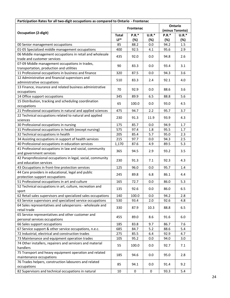| Participation Rates for all two-digit occupations as compared to Ontario - Frontenac |                       |                     |                |                |                            |  |  |
|--------------------------------------------------------------------------------------|-----------------------|---------------------|----------------|----------------|----------------------------|--|--|
|                                                                                      |                       | Frontenac           |                |                | Ontario<br>(minus Toronto) |  |  |
| <b>Occupation (2-digit)</b>                                                          | <b>Total</b><br>$LF*$ | <b>P.R.*</b><br>(%) | $U.R.*$<br>(%) | $P.R.*$<br>(%) | $U.R.*$<br>(%)             |  |  |
| 00 Senior management occupations                                                     | 85                    | 88.2                | 0.0            | 94.2           | 1.5                        |  |  |
| 01-05 Specialized middle management occupations                                      | 400                   | 92.5                | 4.1            | 95.6           | 2.9                        |  |  |
| 06 Middle management occupations in retail and wholesale                             |                       |                     |                |                |                            |  |  |
| trade and customer services                                                          | 435                   | 92.0                | 0.0            | 94.8           | 2.6                        |  |  |
| 07-09 Middle management occupations in trades,                                       |                       |                     |                |                |                            |  |  |
| transportation, production and utilities                                             | 90                    | 83.3                | 0.0            | 93.4           | 3.1                        |  |  |
| 11 Professional occupations in business and finance                                  | 320                   | 87.5                | 0.0            | 94.3           | 3.6                        |  |  |
| 12 Administrative and financial supervisors and                                      |                       |                     |                |                |                            |  |  |
| administrative occupations                                                           | 510                   | 83.3                | 2.4            | 92.1           | 4.0                        |  |  |
| 13 Finance, insurance and related business administrative                            |                       |                     |                |                |                            |  |  |
| occupations                                                                          | 70                    | 92.9                | 0.0            | 88.6           | 3.6                        |  |  |
| 14 Office support occupations                                                        | 345                   | 89.9                | 6.5            | 88.8           | 5.6                        |  |  |
| 15 Distribution, tracking and scheduling coordination                                |                       |                     |                |                |                            |  |  |
| occupations                                                                          | 65                    | 100.0               | 0.0            | 93.0           | 4.5                        |  |  |
| 21 Professional occupations in natural and applied sciences                          | 475                   | 94.7                | 2.2            | 95.7           | 3.7                        |  |  |
| 22 Technical occupations related to natural and applied                              |                       |                     |                |                |                            |  |  |
| sciences                                                                             | 230                   | 91.3                | 11.9           | 93.9           | 4.3                        |  |  |
| 30 Professional occupations in nursing                                               | 175                   | 85.7                | 0.0            | 94.9           | 1.7                        |  |  |
| 31 Professional occupations in health (except nursing)                               | 575                   | 97.4                | 1.8            | 95.5           | 1.7                        |  |  |
| 32 Technical occupations in health                                                   | 205                   | 85.4                | 5.7            | 95.0           | 2.3                        |  |  |
| 34 Assisting occupations in support of health services                               | 215                   | 97.7                | 0.0            | 94.3           | 2.5                        |  |  |
| 40 Professional occupations in education services                                    | 1,170                 | 87.6                | 4.9            | 89.5           | 5.3                        |  |  |
| 41 Professional occupations in law and social, community<br>and government services  | 365                   | 94.5                | 2.9            | 93.2           | 3.5                        |  |  |
| 42 Paraprofessional occupations in legal, social, community                          |                       |                     |                |                |                            |  |  |
| and education services                                                               | 230                   | 91.3                | 7.1            | 92.3           | 4.3                        |  |  |
| 43 Occupations in front-line protection services                                     | 125                   | 96.0                | 0.0            | 95.7           | 1.4                        |  |  |
| 44 Care providers in educational, legal and public                                   |                       |                     |                |                |                            |  |  |
| protection support occupations                                                       | 245                   | 89.8                | 6.8            | 86.1           | 4.4                        |  |  |
| 51 Professional occupations in art and culture                                       | 165                   | 72.7                | 0.0            | 86.0           | 5.3                        |  |  |
| 52 Technical occupations in art, culture, recreation and                             |                       |                     |                |                |                            |  |  |
| sport                                                                                | 135                   | 92.6                | 0.0            | 86.0           | 6.5                        |  |  |
| 62 Retail sales supervisors and specialized sales occupations                        | 140                   | 100.0               | 0.0            | 94.2           | 2.8                        |  |  |
| 63 Service supervisors and specialized service occupations                           | 530                   | 93.4                | 2.0            | 92.6           | 4.8                        |  |  |
| 64 Sales representatives and salespersons - wholesale and                            | 330                   | 87.9                | 10.3           | 88.8           | 6.5                        |  |  |
| retail trade                                                                         |                       |                     |                |                |                            |  |  |
| 65 Service representatives and other customer and                                    | 455                   | 89.0                | 8.6            | 91.6           | 6.0                        |  |  |
| personal services occupations                                                        |                       |                     |                |                |                            |  |  |
| 66 Sales support occupations                                                         | 185                   | 83.8                | 9.7            | 86.7           | 7.6                        |  |  |
| 67 Service support & other service occupations, n.e.c.                               | 685                   | 84.7                | 5.2            | 88.6           | 5.4                        |  |  |
| 72 Industrial, electrical and construction trades                                    | 275                   | 85.5                | 6.4            | 92.9           | 4.7                        |  |  |
| 73 Maintenance and equipment operation trades                                        | 105                   | 95.2                | 0.0            | 94.0           | 3.0                        |  |  |
| 74 Other installers, repairers and servicers and material                            | 55                    | 100.0               | 0.0            | 92.7           | 7.1                        |  |  |
| handlers                                                                             |                       |                     |                |                |                            |  |  |
| 75 Transport and heavy equipment operation and related                               | 185                   | 94.6                | 0.0            | 95.0           | 2.8                        |  |  |
| maintenance occupations                                                              |                       |                     |                |                |                            |  |  |
| 76 Trades helpers, construction labourers and related                                | 85                    | 94.1                | 0.0            | 91.4           | 9.2                        |  |  |
| occupations                                                                          |                       |                     |                |                |                            |  |  |
| 82 Supervisors and technical occupations in natural                                  | 10                    | 0                   | 0              | 93.3           | 5.4                        |  |  |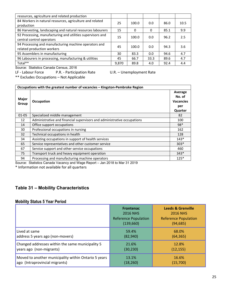| resources, agriculture and related production                                           |       |       |          |      |      |
|-----------------------------------------------------------------------------------------|-------|-------|----------|------|------|
| 84 Workers in natural resources, agriculture and related<br>production                  | 25    | 100.0 | 0.0      | 86.0 | 10.5 |
| 86 Harvesting, landscaping and natural resources labourers                              | 15    | 0     | $\Omega$ | 85.1 | 9.9  |
| 92 Processing, manufacturing and utilities supervisors and<br>central control operators | 15    | 100.0 | 0.0      | 96.2 | 2.5  |
| 94 Processing and manufacturing machine operators and<br>related production workers     | 45    | 100.0 | 0.0      | 94.3 | 3.6  |
| 95 Assemblers in manufacturing                                                          | 30    | 83.3  | 0.0      | 94.6 | 4.7  |
| 96 Labourers in processing, manufacturing & utilities                                   | 45    | 66.7  | 33.3     | 89.6 | 4.7  |
| Total**                                                                                 | 9,870 | 89.8  | 4.0      | 92.4 | 4.4  |

Source: Statistics Canada Census, 2016

LF - Labour Force P.R. - Participation Rate U.R. – Unemployment Rate

\*\* Excludes Occupations – Not Applicable

| Occupations with the greatest number of vacancies - Kingston-Pembroke Region |                                                                         |                                                         |  |  |
|------------------------------------------------------------------------------|-------------------------------------------------------------------------|---------------------------------------------------------|--|--|
| <b>Major</b><br>Group                                                        | Occupation                                                              | Average<br>No. of<br><b>Vacancies</b><br>per<br>Quarter |  |  |
| $01 - 05$                                                                    | Specialized middle management                                           | 82                                                      |  |  |
| 12                                                                           | Administrative and financial supervisors and administrative occupations | 100                                                     |  |  |
| 14                                                                           | Office support occupations                                              | $98*$                                                   |  |  |
| 30                                                                           | Professional occupations in nursing                                     | 162                                                     |  |  |
| 32                                                                           | Technical occupations in health                                         | 128                                                     |  |  |
| 34                                                                           | Assisting occupations in support of health services                     | $143*$                                                  |  |  |
| 65                                                                           | Service representatives and other customer service                      | $303*$                                                  |  |  |
| 67                                                                           | Service support and other service occupations                           | 460                                                     |  |  |
| 75                                                                           | Transport truck and heavy equipment operation                           | $343*$                                                  |  |  |
| 94                                                                           | Processing and manufacturing machine operators                          | $125*$                                                  |  |  |

Source: Statistics Canada Vacancy and Wage Report – Jan 2018 to Mar 31 2019

\* Information not available for all quarters

# **Table 31 – Mobility Characteristics**

# **Mobility Status 5 Year Period**

|                                                      | <b>Frontenac</b><br><b>2016 NHS</b><br><b>Reference Population</b><br>(139,660) | <b>Leeds &amp; Grenville</b><br><b>2016 NHS</b><br><b>Reference Population</b><br>(94, 685) |
|------------------------------------------------------|---------------------------------------------------------------------------------|---------------------------------------------------------------------------------------------|
| Lived at same                                        | 59.4%                                                                           | 68.0%                                                                                       |
| address 5 years ago (non-movers)                     | (82, 940)                                                                       | (64, 365)                                                                                   |
| Changed addresses within the same municipality 5     | 21.6%                                                                           | 12.8%                                                                                       |
| years ago (non-migrants)                             | (30, 230)                                                                       | (12, 155)                                                                                   |
| Moved to another municipality within Ontario 5 years | 13.1%                                                                           | 16.6%                                                                                       |
| ago (Intraprovincial migrants)                       | (18, 260)                                                                       | (15,700)                                                                                    |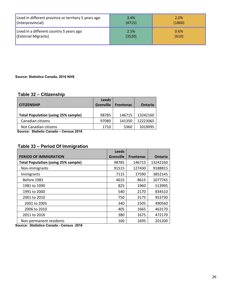| Lived in different province or territory 5 years ago | 3.4%   | 2.0%   |
|------------------------------------------------------|--------|--------|
| (Interprovincial)                                    | (4715) | (1860) |
| Lived in a different country 5 years ago             | 2.5%   | 0.6%   |
| (External Migrants)                                  | (3520) | (610)  |

#### **Source: Statistics Canada, 2016 NHS**

# **Table 32 – Citizenship**

|                                            | <b>Leeds</b>     |                  |                |
|--------------------------------------------|------------------|------------------|----------------|
| <b>CITIZENSHIP</b>                         | <b>Grenville</b> | <b>Frontenac</b> | <b>Ontario</b> |
|                                            |                  |                  |                |
| <b>Total Population (using 25% sample)</b> | 98785            | 146715           | 13242160       |
| Canadian citizens                          | 97080            | 141350           | 12223065       |
| Not Canadian citizens                      | 1710             | 5360             | 1019095        |

 **Source: Statistic Canada – Census 2016** 

# **Table 33 – Period Of Immigration**

|                                            | <b>Leeds</b>     |                  |                |
|--------------------------------------------|------------------|------------------|----------------|
| <b>PERIOD OF IMMIGRATION</b>               | <b>Grenville</b> | <b>Frontenac</b> | <b>Ontario</b> |
| <b>Total Population (using 25% sample)</b> | 98785            | 146715           | 13242160       |
| Non-immigrants                             | 91515            | 127430           | 9188815        |
| Immigrants                                 | 7115             | 17590            | 3852145        |
| Before 1981                                | 4615             | 8615             | 1077745        |
| 1981 to 1990                               | 825              | 1960             | 513995         |
| 1991 to 2000                               | 540              | 2170             | 834510         |
| 2001 to 2010                               | 750              | 3175             | 953730         |
| 2001 to 2005                               | 340              | 1505             | 490560         |
| 2006 to 2010                               | 405              | 1665             | 463170         |
| 2011 to 2016                               | 380              | 1675             | 472170         |
| Non-permanent residents                    | 160              | 1695             | 201200         |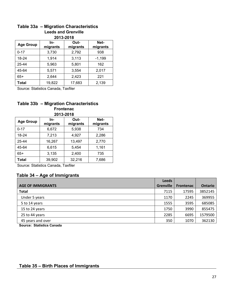#### **Table 33a – Migration Characteristics Leeds and Grenville 2013-2018**

| 2013-2018        |                  |        |          |  |  |
|------------------|------------------|--------|----------|--|--|
| <b>Age Group</b> | Net-<br>migrants |        |          |  |  |
| $0 - 17$         | 3,730            | 2,792  | 938      |  |  |
| 18-24            | 1,914            | 3,113  | $-1,199$ |  |  |
| 25-44            | 5,963            | 5,801  | 162      |  |  |
| 45-64            | 5,571            | 3,554  | 2,017    |  |  |
| $65+$            | 2,644            | 2,423  | 221      |  |  |
| Total            | 19,822           | 17,683 | 2,139    |  |  |

Source: Statistics Canada, Taxfiler

# **Table 33b – Migration Characteristics Frontenac**

| 2013-2018        |                  |        |       |  |
|------------------|------------------|--------|-------|--|
| <b>Age Group</b> | Net-<br>migrants |        |       |  |
| $0 - 17$         | 6,672            | 5,938  | 734   |  |
| 18-24            | 7,213            | 4,927  | 2,286 |  |
| 25-44            | 16,267           | 13,497 | 2,770 |  |
| 45-64            | 6,615            | 5,454  | 1,161 |  |
| $65+$            | 3,135            | 2,400  | 735   |  |
| Total            | 39,902           | 32,216 | 7,686 |  |

Source: Statistics Canada, Taxfiler

# **Table 34 – Age of Immigrants**

|                          | Leeds            |                  |                |
|--------------------------|------------------|------------------|----------------|
| <b>AGE OF IMMIGRANTS</b> | <b>Grenville</b> | <b>Frontenac</b> | <b>Ontario</b> |
| <b>Total</b>             | 7115             | 17595            | 3852145        |
| Under 5 years            | 1170             | 2245             | 369955         |
| 5 to 14 years            | 1555             | 3595             | 685085         |
| 15 to 24 years           | 1750             | 3990             | 855475         |
| 25 to 44 years           | 2285             | 6695             | 1579500        |
| 45 years and over        | 350              | 1070             | 362130         |

**Source: Statistics Canada** 

# **Table 35 – Birth Places of Immigrants**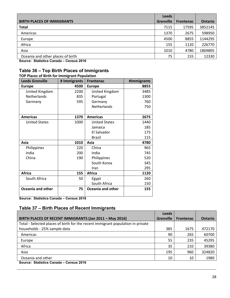|                                   | <b>Leeds</b>     |                  |                |
|-----------------------------------|------------------|------------------|----------------|
| <b>BIRTH PLACES OF IMMIGRANTS</b> | <b>Grenville</b> | <b>Frontenac</b> | <b>Ontario</b> |
| <b>Total</b>                      | 7115             | 17595            | 3852145        |
| Americas                          | 1370             | 2675             | 598950         |
| Europe                            | 4500             | 8855             | 1144295        |
| Africa                            | 155              | 1120             | 226770         |
| Asia                              | 1010             | 4780             | 1869805        |
| Oceania and other places of birth | 75               | 155              | 12330          |

**Source: Statistics Canada – Census 2016** 

# **Table 36 – Top Birth Places of Immigrants**

| <b>TOP Places of Birth for Immigrant Population</b> |              |                      |             |  |  |
|-----------------------------------------------------|--------------|----------------------|-------------|--|--|
| <b>Leeds Grenville</b>                              | # Immigrants | <b>Frontenac</b>     | #Immigrants |  |  |
| <b>Europe</b>                                       | 4500         | <b>Europe</b>        | 8855        |  |  |
| United Kingdom                                      | 2200         | United Kingdom       | 3485        |  |  |
| Netherlands                                         | 835          | Portugal             | 1300        |  |  |
| Germany                                             | 595          | Germany              | 760         |  |  |
|                                                     |              | <b>Netherlands</b>   | 750         |  |  |
|                                                     |              |                      |             |  |  |
| <b>Americas</b>                                     | 1370         | <b>Americas</b>      | 2675        |  |  |
| <b>United States</b>                                | 1000         | <b>United States</b> | 1440        |  |  |
|                                                     |              | Jamaica              | 185         |  |  |
|                                                     |              | El Salvador          | 175         |  |  |
|                                                     |              | Brazil               | 115         |  |  |
| Asia                                                | 1010         | Asia                 | 4780        |  |  |
| Philippines                                         | 220          | China                | 965         |  |  |
| India                                               | 200          | India                | 745         |  |  |
| China                                               | 190          | Philippines          | 520         |  |  |
|                                                     |              | South Korea          | 345         |  |  |
|                                                     |              | Iran                 | 295         |  |  |
| <b>Africa</b>                                       | 155          | <b>Africa</b>        | 1120        |  |  |
| South Africa                                        | 50           | Egypt                | 260         |  |  |
|                                                     |              | South Africa         | 150         |  |  |
| <b>Oceania and other</b>                            | 75           | Oceania and other    | 155         |  |  |

**Source: Statistics Canada – Census 2016** 

# **Table 37 – Birth Places of Recent Immigrants**

|                                                                                 | <b>Leeds</b>     |                  |                |
|---------------------------------------------------------------------------------|------------------|------------------|----------------|
| BIRTH PLACES OF RECENT IMMIGRANTS (Jan 2011 - May 2016)                         | <b>Grenville</b> | <b>Frontenac</b> | <b>Ontario</b> |
| Total - Selected places of birth for the recent immigrant population in private |                  |                  |                |
| households - 25% sample data                                                    | 385              | 1675             | 472170         |
| Americas                                                                        | 90               | 265              | 60700          |
| Europe                                                                          | 55               | 235              | 45295          |
| Africa                                                                          | 35               | 210              | 39380          |
| Asia                                                                            | 195              | 960              | 324820         |
| Oceania and other                                                               | 10               | 10               | 1980           |
| Source: Statistics Canada - Census 2016                                         |                  |                  |                |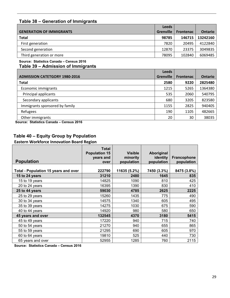# **Table 38 – Generation of Immigrants**

|                                 | <b>Leeds</b>     |                  |                |
|---------------------------------|------------------|------------------|----------------|
| <b>GENERATION OF IMMIGRANTS</b> | <b>Grenville</b> | <b>Frontenac</b> | <b>Ontario</b> |
| <b>Total</b>                    | 98785            | 146715           | 13242160       |
| First generation                | 7820             | 20495            | 4122840        |
| Second generation               | 12870            | 23375            | 3049835        |
| Third generation or more        | 78095            | 102840           | 6069485        |

#### **Source: Statistics Canada – Census 2016**

**Table 39 – Admission of Immigrants**

|                                      | <b>Leeds</b>     |                  |                |
|--------------------------------------|------------------|------------------|----------------|
| <b>ADMISSION CATETGORY 1980-2016</b> | <b>Grenville</b> | <b>Frontenac</b> | <b>Ontario</b> |
| <b>Total</b>                         | 2580             | 9220             | 2825480        |
| Economic immigrants                  | 1215             | 5265             | 1364380        |
| Principal applicants                 | 535              | 2060             | 540795         |
| Secondary applicants                 | 680              | 3205             | 823580         |
| Immigrants sponsored by family       | 1155             | 2825             | 940405         |
| Refugees                             | 190              | 1105             | 482665         |
| Other immigrants                     | 20               | 30               | 38035          |

**Source: Statistics Canada – Census 2016** 

# **Table 40 – Equity Group by Population**

**Eastern Workforce Innovation Board Region** 

| <b>Population</b>                           | <b>Total</b><br><b>Population 15</b><br>years and<br>over | <b>Visible</b><br>minority<br>population | Aboriginal<br>identity<br>population | Francophone<br>population |
|---------------------------------------------|-----------------------------------------------------------|------------------------------------------|--------------------------------------|---------------------------|
| <b>Total - Population 15 years and over</b> | 222790                                                    | 11635 (5.2%)                             | 7450 (3.3%)                          | 8475 (3.8%)               |
| 15 to 24 years                              | 31210                                                     | 2480                                     | 1645                                 | 835                       |
| 15 to 19 years                              | 14825                                                     | 1090                                     | 810                                  | 425                       |
| 20 to 24 years                              | 16395                                                     | 1390                                     | 830                                  | 410                       |
| 25 to 44 years                              | 59030                                                     | 4785                                     | 2625                                 | 2225                      |
| 25 to 29 years                              | 15260                                                     | 1435                                     | 775                                  | 490                       |
| 30 to 34 years                              | 14575                                                     | 1340                                     | 605                                  | 495                       |
| 35 to 39 years                              | 14275                                                     | 1030                                     | 675                                  | 590                       |
| 40 to 44 years                              | 14920                                                     | 980                                      | 580                                  | 650                       |
| 45 years and over                           | 132545                                                    | 4370                                     | 3180                                 | 5415                      |
| 45 to 49 years                              | 17220                                                     | 940                                      | 715                                  | 740                       |
| 50 to 54 years                              | 21270                                                     | 940                                      | 655                                  | 865                       |
| 55 to 59 years                              | 21295                                                     | 690                                      | 605                                  | 970                       |
| 60 to 64 years                              | 19810                                                     | 525                                      | 440                                  | 730                       |
| 65 years and over                           | 52955                                                     | 1285                                     | 760                                  | 2115                      |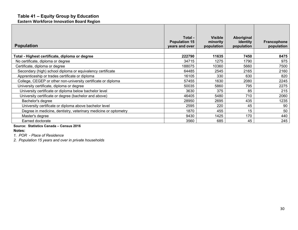# **Table 41 – Equity Group by Education**

**Eastern Workforce Innovation Board Region**

| <b>Population</b>                                               | Total -<br><b>Population 15</b><br>years and over | <b>Visible</b><br>minority<br>population | Aboriginal<br>identity<br>population | Francophone<br>population |
|-----------------------------------------------------------------|---------------------------------------------------|------------------------------------------|--------------------------------------|---------------------------|
| Total - Highest certificate, diploma or degree                  | 222790                                            | 11635                                    | 7450                                 | 8475                      |
| No certificate, diploma or degree                               | 34715                                             | 1275                                     | 1790                                 | 975                       |
| Certificate, diploma or degree                                  | 188075                                            | 10360                                    | 5660                                 | 7500                      |
| Secondary (high) school diploma or equivalency certificate      | 64485                                             | 2545                                     | 2165                                 | 2160                      |
| Apprenticeship or trades certificate or diploma                 | 16105                                             | 330                                      | 630                                  | 820                       |
| College, CEGEP or other non-university certificate or diploma   | 57455                                             | 1630                                     | 2080                                 | 2245                      |
| University certificate, diploma or degree                       | 50035                                             | 5860                                     | 795                                  | 2275                      |
| University certificate or diploma below bachelor level          | 3630                                              | 375                                      | 85                                   | 215                       |
| University certificate or degree (bachelor and above)           | 46405                                             | 5480                                     | 710                                  | 2060                      |
| Bachelor's degree                                               | 28950                                             | 2695                                     | 435                                  | 1235                      |
| University certificate or diploma above bachelor level          | 2595                                              | 220                                      | 45                                   | 90                        |
| Degree in medicine, dentistry, veterinary medicine or optometry | 1870                                              | 455                                      | 15                                   | 50                        |
| Master's degree                                                 | 9430                                              | 1425                                     | 170                                  | 440                       |
| Earned doctorate                                                | 3560                                              | 685                                      | 45                                   | 245                       |

#### **Source: Statistics Canada – Census 2016**

**Notes:** 

*1. POR - Place of Residence* 

*2. Population 15 years and over in private households*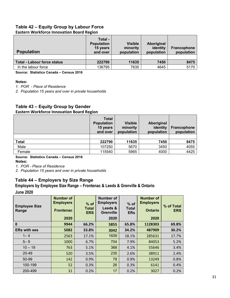# **Table 42 – Equity Group by Labour Force**

## **Eastern Workforce Innovation Board Region**

| <b>Population</b>                  | Total -<br><b>Population</b><br>15 years<br>and over | <b>Visible</b><br>minority<br>population | Aboriginal<br>identity<br>population | <b>Francophone</b><br>population |
|------------------------------------|------------------------------------------------------|------------------------------------------|--------------------------------------|----------------------------------|
| <b>Total - Labour force status</b> | 222790                                               | 11635                                    | 7450                                 | 8475                             |
| In the labour force                | 136795                                               | 7635                                     | 4645                                 | 5170                             |

**Source: Statistics Canada – Census 2016** 

#### **Notes:**

*1. POR - Place of Residence* 

*2. Population 15 years and over in private households* 

# **Table 43 – Equity Group by Gender**

## **Eastern Workforce Innovation Board Region**

|              | <b>Total</b><br><b>Population</b><br>15 years<br>and over | <b>Visible</b><br>minority<br>population | Aboriginal<br>identity<br>population | <b>Francophone</b><br>population |
|--------------|-----------------------------------------------------------|------------------------------------------|--------------------------------------|----------------------------------|
|              |                                                           |                                          |                                      |                                  |
| <b>Total</b> | 222790                                                    | 11635                                    | 7450                                 | 8475                             |
| Male         | 107250                                                    | 5670                                     | 3450                                 | 4055                             |
| Female       | 115540                                                    | 5965                                     | 4000                                 | 4425                             |

#### **Source: Statistics Canada – Census 2016**

**Notes:** 

*1. POR - Place of Residence*<br>2. Population 15 years and over in private households

# **Table 44 – Employers by Size Range**

# **Employers by Employee Size Range – Frontenac & Leeds & Grenville & Ontario June 2020**

| <b>Employee Size</b><br>Range | <b>Number of</b><br><b>Employers</b><br><b>Frontenac</b><br>2020 | $%$ of<br><b>Total</b><br><b>ERS</b> | Number of<br><b>Employers</b><br>Leeds &<br><b>Grenville</b><br>2020 | $%$ of<br><b>Total</b><br><b>ERs</b> | <b>Number of</b><br><b>Employers</b><br><b>Ontario</b><br>2020 | % of Total<br><b>ERS</b> |
|-------------------------------|------------------------------------------------------------------|--------------------------------------|----------------------------------------------------------------------|--------------------------------------|----------------------------------------------------------------|--------------------------|
| 0                             | 9944                                                             | 66.2%                                | 5855                                                                 | 65.8%                                | 1128303                                                        | 69.8%                    |
| <b>ERs with ees</b>           | 5082                                                             | 33.8%                                | 3042                                                                 | 34.2%                                | 487909                                                         | 30.2%                    |
| $1 - 4$                       | 2563                                                             | 17.1%                                | 1609                                                                 | 18.1%                                | 285631                                                         | 17.7%                    |
| $5 - 9$                       | 1000                                                             | 6.7%                                 | 704                                                                  | 7.9%                                 | 84053                                                          | 5.2%                     |
| $10 - 19$                     | 763                                                              | 5.1%                                 | 368                                                                  | 4.1%                                 | 55646                                                          | 3.4%                     |
| 20-49                         | 520                                                              | 3.5%                                 | 235                                                                  | 2.6%                                 | 38911                                                          | 2.4%                     |
| 50-99                         | 142                                                              | 0.9%                                 | 78                                                                   | 0.9%                                 | 13249                                                          | 0.8%                     |
| 100-199                       | 52                                                               | 0.3%                                 | 26                                                                   | 0.3%                                 | 6141                                                           | 0.4%                     |
| 200-499                       | 31                                                               | 0.2%                                 | 17                                                                   | 0.2%                                 | 3027                                                           | 0.2%                     |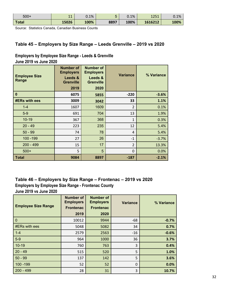| $500+$ | 11<br>ᆠᅶ | 0.1% |      | 0.1% | 751<br>ᆂᄼᅳᆚ | 0.1% |
|--------|----------|------|------|------|-------------|------|
| Total  | 15026    | 100% | 8897 | 100% | 1616212     | 100% |

Source: Statistics Canada, Canadian Business Counts

# **Table 45 – Employers by Size Range – Leeds Grenville – 2019 vs 2020**

# **Employers by Employee Size Range - Leeds & Grenville June 2019 vs June 2020**

| <b>Employee Size</b><br>Range | <b>Number of</b><br><b>Employers</b><br>Leeds &<br><b>Grenville</b><br>2019 | <b>Number of</b><br><b>Employers</b><br>Leeds &<br><b>Grenville</b><br>2020 | <b>Variance</b> | % Variance |
|-------------------------------|-----------------------------------------------------------------------------|-----------------------------------------------------------------------------|-----------------|------------|
| $\bf{0}$                      | 6075                                                                        | 5855                                                                        | $-220$          | $-3.6%$    |
| #ERs with ees                 | 3009                                                                        | 3042                                                                        | 33              | 1.1%       |
| $1 - 4$                       | 1607                                                                        | 1609                                                                        | $\overline{2}$  | 0.1%       |
| $5-9$                         | 691                                                                         | 704                                                                         | 13              | 1.9%       |
| $10 - 19$                     | 367                                                                         | 368                                                                         | 1               | 0.3%       |
| $20 - 49$                     | 223                                                                         | 235                                                                         | 12              | 5.4%       |
| $50 - 99$                     | 74                                                                          | 78                                                                          | 4               | 5.4%       |
| 100 - 199                     | 27                                                                          | 26                                                                          | $-1$            | $-3.7%$    |
| $200 - 499$                   | 15                                                                          | 17                                                                          | $\overline{2}$  | 13.3%      |
| $500+$                        | 5                                                                           | 5                                                                           | 0               | 0.0%       |
| <b>Total</b>                  | 9084                                                                        | 8897                                                                        | $-187$          | $-2.1%$    |

# **Table 46 – Employers by Size Range – Frontenac – 2019 vs 2020 Employers by Employee Size Range - Frontenac County June 2019 vs June 2020**

| <b>Employee Size Range</b> | <b>Number of</b><br><b>Employers</b><br><b>Frontenac</b> | <b>Number of</b><br><b>Employers</b><br><b>Frontenac</b> | <b>Variance</b> | % Variance |
|----------------------------|----------------------------------------------------------|----------------------------------------------------------|-----------------|------------|
|                            | 2019                                                     | 2020                                                     |                 |            |
| $\mathbf 0$                | 10012                                                    | 9944                                                     | $-68$           | $-0.7%$    |
| #ERs with ees              | 5048                                                     | 5082                                                     | 34              | 0.7%       |
| $1 - 4$                    | 2579                                                     | 2563                                                     | $-16$           | $-0.6%$    |
| $5-9$                      | 964                                                      | 1000                                                     | 36              | 3.7%       |
| $10 - 19$                  | 760                                                      | 763                                                      | 3               | 0.4%       |
| $20 - 49$                  | 515                                                      | 520                                                      | 5               | 1.0%       |
| $50 - 99$                  | 137                                                      | 142                                                      | 5               | 3.6%       |
| 100 - 199                  | 52                                                       | 52                                                       | 0               | 0.0%       |
| $200 - 499$                | 28                                                       | 31                                                       | 3               | 10.7%      |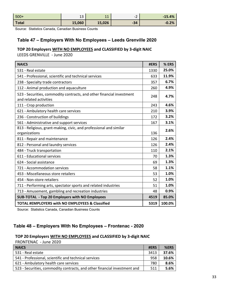| $500+$       | ᅩ      | 11<br>. . | ∽<br>$\overline{\phantom{0}}$<br>- | $-15.4%$ |
|--------------|--------|-----------|------------------------------------|----------|
| <b>Total</b> | 15,060 | 15,026    | $-34$                              | $-0.2%$  |

Source: Statistics Canada, Canadian Business Counts

# **Table 47 – Employers With No Employees – Leeds Grenville 2020**

## **TOP 20 Employers WITH NO EMPLOYEES and CLASSIFIED by 3‐digit NAIC** LEEDS GRENVILLE ‐ June 2020

| <b>NAICS</b>                                                                                    | #ERS | % ERS  |
|-------------------------------------------------------------------------------------------------|------|--------|
| 531 - Real estate                                                                               | 1330 | 25.0%  |
| 541 - Professional, scientific and technical services                                           | 633  | 11.9%  |
| 238 - Specialty trade contractors                                                               | 357  | 6.7%   |
| 112 - Animal production and aquaculture                                                         | 260  | 4.9%   |
| 523 - Securities, commodity contracts, and other financial investment<br>and related activities | 248  | 4.7%   |
| 111 - Crop production                                                                           | 243  | 4.6%   |
| 621 - Ambulatory health care services                                                           | 210  | 3.9%   |
| 236 - Construction of buildings                                                                 | 172  | 3.2%   |
| 561 - Administrative and support services                                                       | 167  | 3.1%   |
| 813 - Religious, grant-making, civic, and professional and similar<br>organizations             | 136  | 2.6%   |
| 811 - Repair and maintenance                                                                    | 126  | 2.4%   |
| 812 - Personal and laundry services                                                             | 126  | 2.4%   |
| 484 - Truck transportation                                                                      | 110  | 2.1%   |
| 611 - Educational services                                                                      | 70   | 1.3%   |
| 624 - Social assistance                                                                         | 69   | 1.3%   |
| 721 - Accommodation services                                                                    | 58   | 1.1%   |
| 453 - Miscellaneous store retailers                                                             | 53   | 1.0%   |
| 454 - Non-store retailers                                                                       | 52   | 1.0%   |
| 711 - Performing arts, spectator sports and related industries                                  | 51   | 1.0%   |
| 713 - Amusement, gambling and recreation industries                                             | 48   | 0.9%   |
| SUB-TOTAL - Top 20 Employers with NO Employees                                                  | 4519 | 85.0%  |
| TOTAL #EMPLOYERS with NO EMPLOYEES & Classified                                                 | 5319 | 100.0% |

Source: Statistics Canada, Canadian Business Counts

# **Table 48 – Employers With No Employees – Frontenac - 2020**

# **TOP 20 Employers WITH NO EMPLOYEES and CLASSIFIED by 3‐digit NAIC**

 $FRONTENAC - June 2020$ 

| <b>NAICS</b>                                                              | #ERS | %ERS  |
|---------------------------------------------------------------------------|------|-------|
| 531 - Real estate                                                         | 3413 | 37.6% |
| 541 - Professional, scientific and technical services                     | 958  | 10.6% |
| 621 - Ambulatory health care services                                     | 780  | 8.6%  |
| 523 - Securities, commodity contracts, and other financial investment and | 511  | 5.6%  |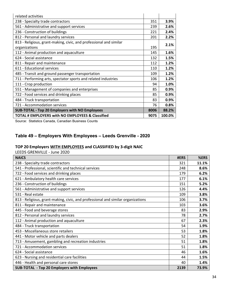| related activities                                                                  |      |        |
|-------------------------------------------------------------------------------------|------|--------|
| 238 - Specialty trade contractors                                                   | 351  | 3.9%   |
| 561 - Administrative and support services                                           | 239  | 2.6%   |
| 236 - Construction of buildings                                                     | 221  | 2.4%   |
| 812 - Personal and laundry services                                                 | 201  | 2.2%   |
| 813 - Religious, grant-making, civic, and professional and similar<br>organizations | 195  | 2.1%   |
| 112 - Animal production and aquaculture                                             | 145  | 1.6%   |
| 624 - Social assistance                                                             | 132  | 1.5%   |
| 811 - Repair and maintenance                                                        | 112  | 1.2%   |
| 611 - Educational services                                                          | 110  | 1.2%   |
| 485 - Transit and ground passenger transportation                                   | 109  | 1.2%   |
| 711 - Performing arts, spectator sports and related industries                      | 106  | 1.2%   |
| 111 - Crop production                                                               | 94   | 1.0%   |
| 551 - Management of companies and enterprises                                       | 85   | 0.9%   |
| 722 - Food services and drinking places                                             | 85   | 0.9%   |
| 484 - Truck transportation                                                          | 83   | 0.9%   |
| 721 - Accommodation services                                                        | 76   | 0.8%   |
| <b>SUB-TOTAL - Top 20 Employers with NO Employees</b>                               | 8006 | 88.2%  |
| TOTAL # EMPLOYERS with NO EMPLOYEES & Classified                                    | 9075 | 100.0% |

Source: Statistics Canada, Canadian Business Counts

# **Table 49 – Employers With Employees – Leeds Grenville - 2020**

# **TOP 20 Employers WITH EMPLOYEES and CLASSIFIED by 3‐digit NAIC**

LEEDS GRENVILLE - June 2020

| <b>NAICS</b>                                                                     | #ERS | %ERS  |
|----------------------------------------------------------------------------------|------|-------|
| 238 - Specialty trade contractors                                                | 321  | 11.1% |
| 541 - Professional, scientific and technical services                            | 248  | 8.6%  |
| 722 - Food services and drinking places                                          | 179  | 6.2%  |
| 621 - Ambulatory health care services                                            | 177  | 6.1%  |
| 236 - Construction of buildings                                                  | 151  | 5.2%  |
| 561 - Administrative and support services                                        | 126  | 4.4%  |
| 531 - Real estate                                                                | 109  | 3.8%  |
| 813 - Religious, grant-making, civic, and professional and similar organizations | 106  | 3.7%  |
| 811 - Repair and maintenance                                                     | 103  | 3.6%  |
| 445 - Food and beverage stores                                                   | 83   | 2.9%  |
| 812 - Personal and laundry services                                              | 78   | 2.7%  |
| 112 - Animal production and aquaculture                                          | 67   | 2.3%  |
| 484 - Truck transportation                                                       | 54   | 1.9%  |
| 453 - Miscellaneous store retailers                                              | 53   | 1.8%  |
| 441 - Motor vehicle and parts dealers                                            | 52   | 1.8%  |
| 713 - Amusement, gambling and recreation industries                              | 51   | 1.8%  |
| 721 - Accommodation services                                                     | 51   | 1.8%  |
| 624 - Social assistance                                                          | 46   | 1.6%  |
| 623 - Nursing and residential care facilities                                    | 44   | 1.5%  |
| 446 - Health and personal care stores                                            | 40   | 1.4%  |
| SUB-TOTAL - Top 20 Employers with Employees                                      | 2139 | 73.9% |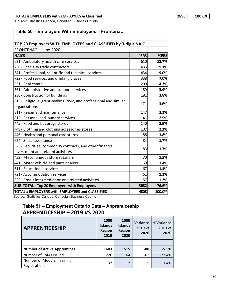#### **TOTAL # EMPLOYERS with EMPLOYEES & Classified 2896 100.0%**

Source: Statistics Canada, Canadian Business Counts

# **Table 50 – Employers With Employees – Frontenac**

| TOP 20 Employers WITH EMPLOYEES and CLASSIFIED by 3-digit NAIC                                             |      |        |
|------------------------------------------------------------------------------------------------------------|------|--------|
| FRONTENAC - June 2020                                                                                      |      |        |
| <b>NAICS</b>                                                                                               | #ERS | %ERS   |
| 621 - Ambulatory health care services                                                                      | 610  | 12.7%  |
| 238 - Specialty trade contractors                                                                          | 436  | 9.1%   |
| 541 - Professional, scientific and technical services                                                      | 434  | 9.0%   |
| 722 - Food services and drinking places                                                                    | 338  | 7.0%   |
| 531 - Real estate                                                                                          | 209  | 4.3%   |
| 561 - Administrative and support services                                                                  | 189  | 3.9%   |
| 236 - Construction of buildings                                                                            | 181  | 3.8%   |
| 813 - Religious, grant-making, civic, and professional and similar<br>organizations                        | 171  | 3.6%   |
| 811 - Repair and maintenance                                                                               | 147  | 3.1%   |
| 812 - Personal and laundry services                                                                        | 141  | 2.9%   |
| 445 - Food and beverage stores                                                                             | 140  | 2.9%   |
| 448 - Clothing and clothing accessories stores                                                             | 107  | 2.2%   |
| 446 - Health and personal care stores                                                                      | 88   | 1.8%   |
| 624 - Social assistance                                                                                    | 84   | 1.7%   |
| 523 - Securities, commodity contracts, and other financial<br>investment and related activities            | 83   | 1.7%   |
| 453 - Miscellaneous store retailers                                                                        | 70   | 1.5%   |
| 441 - Motor vehicle and parts dealers                                                                      | 69   | 1.4%   |
| 611 - Educational services                                                                                 | 67   | 1.4%   |
| 721 - Accommodation services                                                                               | 61   | 1.3%   |
| 522 - Credit intermediation and related activities                                                         | 57   | 1.2%   |
| SUB-TOTAL - Top 20 Employers with Employees                                                                | 3682 | 76.6%  |
| TOTAL # EMPLOYERS with EMPLOYEES and CLASSIFIED<br>$O(t-t)$ at $O(t)$ and $O(t)$ are described to $O(t-t)$ | 4808 | 100.0% |

Source: Statistics Canada, Canadian Business Counts

# **Table 51 – Employment Ontario Data – Apprenticeship APPRENTICESHIP – 2019 VS 2020**

| <b>APPRENTICESHIP</b>                              | 1000<br><b>Islands</b><br><b>Region</b><br>2019 | 1000<br><b>Islands</b><br><b>Region</b><br>2020 | Variance<br>2019 vs<br>2020 | %Variance<br>2019 vs<br>2020 |
|----------------------------------------------------|-------------------------------------------------|-------------------------------------------------|-----------------------------|------------------------------|
|                                                    |                                                 |                                                 |                             |                              |
| <b>Number of Active Apprentices</b>                | 1603                                            | 1515                                            | -88                         | $-5.5%$                      |
| Number of CofAs Issued                             | 226                                             | 164                                             | $-62$                       | $-27.4%$                     |
| <b>Number of Modular Training</b><br>Registrations | 132                                             | 117                                             | $-15$                       | $-11.4%$                     |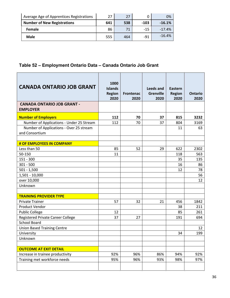| Average Age of Apprentices Registrations | 27  | 27  |        | 0%       |
|------------------------------------------|-----|-----|--------|----------|
| <b>Number of New Registrations</b>       | 641 | 538 | $-103$ | $-16.1%$ |
| Female                                   | 86  | 71  | $-1.5$ | $-17.4%$ |
| <b>Male</b>                              | 555 | 464 | $-91$  | $-16.4%$ |

# **Table 52 – Employment Ontario Data – Canada Ontario Job Grant**

| <b>CANADA ONTARIO JOB GRANT</b>                           | 1000<br><b>Islands</b><br><b>Region</b><br>2020 | <b>Frontenac</b><br>2020 | <b>Leeds and</b><br><b>Grenville</b><br>2020 | <b>Eastern</b><br><b>Region</b><br>2020 | <b>Ontario</b><br>2020 |
|-----------------------------------------------------------|-------------------------------------------------|--------------------------|----------------------------------------------|-----------------------------------------|------------------------|
| <b>CANADA ONTARIO JOB GRANT -</b><br><b>EMPLOYER</b>      |                                                 |                          |                                              |                                         |                        |
| <b>Number of Employers</b>                                | 112                                             | 70                       | 37                                           | 815                                     | 3232                   |
| Number of Applications - Under 25 Stream                  | 112                                             | 70                       | 37                                           | 804                                     | 3169                   |
| Number of Applications - Over 25 stream<br>and Consortium |                                                 |                          |                                              | 11                                      | 63                     |
| # OF EMPLOYEES IN COMPANY                                 |                                                 |                          |                                              |                                         |                        |
| Less than 50                                              | 85                                              | 52                       | 29                                           | 622                                     | 2302                   |
| 50-150                                                    | 11                                              |                          |                                              | 118                                     | 563                    |
| $151 - 300$                                               |                                                 |                          |                                              | 35                                      | 135                    |
| $301 - 500$                                               |                                                 |                          |                                              | 16                                      | 86                     |
| $501 - 1,500$                                             |                                                 |                          |                                              | 12                                      | 78                     |
| 1,501 - 10,000                                            |                                                 |                          |                                              |                                         | 56                     |
| over 10,000                                               |                                                 |                          |                                              |                                         | 12                     |
| Unknown                                                   |                                                 |                          |                                              |                                         |                        |
|                                                           |                                                 |                          |                                              |                                         |                        |
| <b>TRAINING PROVIDER TYPE</b>                             |                                                 |                          |                                              |                                         |                        |
| <b>Private Trainer</b>                                    | 57                                              | 32                       | 21                                           | 456                                     | 1842                   |
| Product Vendor                                            |                                                 |                          |                                              | 38                                      | 211                    |
| <b>Public College</b>                                     | 12                                              |                          |                                              | 85                                      | 261                    |
| Registered Private Career College                         | 37                                              | 27                       |                                              | 191                                     | 694                    |
| <b>School Board</b>                                       |                                                 |                          |                                              |                                         |                        |
| <b>Union Based Training Centre</b>                        |                                                 |                          |                                              |                                         | 12                     |
| University                                                |                                                 |                          |                                              | 34                                      | 199                    |
| Unknown                                                   |                                                 |                          |                                              |                                         |                        |
| <b>OUTCOME AT EXIT DETAIL</b>                             |                                                 |                          |                                              |                                         |                        |
| Increase in trainee productivity                          | 92%                                             | 96%                      | 86%                                          | 94%                                     | 92%                    |
| Training met workforce needs                              | 95%                                             | 96%                      | 93%                                          | 98%                                     | 97%                    |
|                                                           |                                                 |                          |                                              |                                         |                        |
|                                                           |                                                 |                          |                                              |                                         |                        |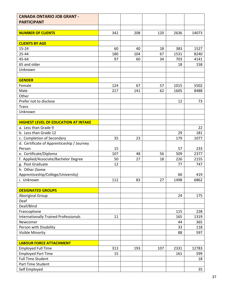| <b>PARTICIPANT</b><br>2636<br>14073<br><b>NUMBER OF CLIENTS</b><br>342<br>208<br>120<br><b>CLIENTS BY AGE</b><br>$15 - 24$<br>60<br>383<br>1527<br>40<br>18<br>25-44<br>180<br>104<br>67<br>1531<br>8240<br>45-64<br>97<br>60<br>34<br>703<br>4141<br>65 and older<br>158<br>18<br>Unknown<br><b>GENDER</b><br>Female<br>67<br>1015<br>5502<br>124<br>57<br>Male<br>217<br>62<br>141<br>1605<br>8488<br>Other<br>12<br>Prefer not to disclose<br>73<br><b>Trans</b><br>Unknown<br><b>HIGHEST LEVEL OF EDUCATION AT INTAKE</b><br>a. Less than Grade 9<br>22<br>b. Less than Grade 12<br>29<br>181<br>c. Completion of Secondary<br>35<br>179<br>1077<br>23<br>d. Certificate of Apprenticeship / Journey<br>15<br>233<br>57<br>Person<br>e. Certificate/Diploma<br>107<br>2377<br>56<br>509<br>48<br>f. Applied/Associate/Bachelor Degree<br>2155<br>50<br>27<br>18<br>226<br>12<br>g. Post Graduate<br>747<br>77<br>h. Other (Some<br>Apprenticeship/College/University)<br>60<br>419<br>1498<br>6862<br>i. Unknown<br>112<br>27<br>83<br><b>DESIGNATED GROUPS</b><br>175<br><b>Aboriginal Group</b><br>24<br>Deaf<br>Deaf/Blind<br>Francophone<br>115<br>228<br><b>Internationally Trained Professionals</b><br>11<br>165<br>1319<br>Newcomer<br>44<br>365<br>Person with Disability<br>33<br>118<br>Visible Minority<br>88<br>597<br><b>LABOUR FORCE ATTACHMENT</b><br><b>Employed Full Time</b><br>313<br>107<br>2331<br>12783<br>193<br><b>Employed Part Time</b><br>15<br>161<br>599<br><b>Full Time Student</b><br>18 | <b>CANADA ONTARIO JOB GRANT -</b> |  |  |  |
|------------------------------------------------------------------------------------------------------------------------------------------------------------------------------------------------------------------------------------------------------------------------------------------------------------------------------------------------------------------------------------------------------------------------------------------------------------------------------------------------------------------------------------------------------------------------------------------------------------------------------------------------------------------------------------------------------------------------------------------------------------------------------------------------------------------------------------------------------------------------------------------------------------------------------------------------------------------------------------------------------------------------------------------------------------------------------------------------------------------------------------------------------------------------------------------------------------------------------------------------------------------------------------------------------------------------------------------------------------------------------------------------------------------------------------------------------------------------------------------------------------------------------|-----------------------------------|--|--|--|
|                                                                                                                                                                                                                                                                                                                                                                                                                                                                                                                                                                                                                                                                                                                                                                                                                                                                                                                                                                                                                                                                                                                                                                                                                                                                                                                                                                                                                                                                                                                              |                                   |  |  |  |
|                                                                                                                                                                                                                                                                                                                                                                                                                                                                                                                                                                                                                                                                                                                                                                                                                                                                                                                                                                                                                                                                                                                                                                                                                                                                                                                                                                                                                                                                                                                              |                                   |  |  |  |
|                                                                                                                                                                                                                                                                                                                                                                                                                                                                                                                                                                                                                                                                                                                                                                                                                                                                                                                                                                                                                                                                                                                                                                                                                                                                                                                                                                                                                                                                                                                              |                                   |  |  |  |
|                                                                                                                                                                                                                                                                                                                                                                                                                                                                                                                                                                                                                                                                                                                                                                                                                                                                                                                                                                                                                                                                                                                                                                                                                                                                                                                                                                                                                                                                                                                              |                                   |  |  |  |
|                                                                                                                                                                                                                                                                                                                                                                                                                                                                                                                                                                                                                                                                                                                                                                                                                                                                                                                                                                                                                                                                                                                                                                                                                                                                                                                                                                                                                                                                                                                              |                                   |  |  |  |
|                                                                                                                                                                                                                                                                                                                                                                                                                                                                                                                                                                                                                                                                                                                                                                                                                                                                                                                                                                                                                                                                                                                                                                                                                                                                                                                                                                                                                                                                                                                              |                                   |  |  |  |
|                                                                                                                                                                                                                                                                                                                                                                                                                                                                                                                                                                                                                                                                                                                                                                                                                                                                                                                                                                                                                                                                                                                                                                                                                                                                                                                                                                                                                                                                                                                              |                                   |  |  |  |
|                                                                                                                                                                                                                                                                                                                                                                                                                                                                                                                                                                                                                                                                                                                                                                                                                                                                                                                                                                                                                                                                                                                                                                                                                                                                                                                                                                                                                                                                                                                              |                                   |  |  |  |
|                                                                                                                                                                                                                                                                                                                                                                                                                                                                                                                                                                                                                                                                                                                                                                                                                                                                                                                                                                                                                                                                                                                                                                                                                                                                                                                                                                                                                                                                                                                              |                                   |  |  |  |
|                                                                                                                                                                                                                                                                                                                                                                                                                                                                                                                                                                                                                                                                                                                                                                                                                                                                                                                                                                                                                                                                                                                                                                                                                                                                                                                                                                                                                                                                                                                              |                                   |  |  |  |
|                                                                                                                                                                                                                                                                                                                                                                                                                                                                                                                                                                                                                                                                                                                                                                                                                                                                                                                                                                                                                                                                                                                                                                                                                                                                                                                                                                                                                                                                                                                              |                                   |  |  |  |
|                                                                                                                                                                                                                                                                                                                                                                                                                                                                                                                                                                                                                                                                                                                                                                                                                                                                                                                                                                                                                                                                                                                                                                                                                                                                                                                                                                                                                                                                                                                              |                                   |  |  |  |
|                                                                                                                                                                                                                                                                                                                                                                                                                                                                                                                                                                                                                                                                                                                                                                                                                                                                                                                                                                                                                                                                                                                                                                                                                                                                                                                                                                                                                                                                                                                              |                                   |  |  |  |
|                                                                                                                                                                                                                                                                                                                                                                                                                                                                                                                                                                                                                                                                                                                                                                                                                                                                                                                                                                                                                                                                                                                                                                                                                                                                                                                                                                                                                                                                                                                              |                                   |  |  |  |
|                                                                                                                                                                                                                                                                                                                                                                                                                                                                                                                                                                                                                                                                                                                                                                                                                                                                                                                                                                                                                                                                                                                                                                                                                                                                                                                                                                                                                                                                                                                              |                                   |  |  |  |
|                                                                                                                                                                                                                                                                                                                                                                                                                                                                                                                                                                                                                                                                                                                                                                                                                                                                                                                                                                                                                                                                                                                                                                                                                                                                                                                                                                                                                                                                                                                              |                                   |  |  |  |
|                                                                                                                                                                                                                                                                                                                                                                                                                                                                                                                                                                                                                                                                                                                                                                                                                                                                                                                                                                                                                                                                                                                                                                                                                                                                                                                                                                                                                                                                                                                              |                                   |  |  |  |
|                                                                                                                                                                                                                                                                                                                                                                                                                                                                                                                                                                                                                                                                                                                                                                                                                                                                                                                                                                                                                                                                                                                                                                                                                                                                                                                                                                                                                                                                                                                              |                                   |  |  |  |
|                                                                                                                                                                                                                                                                                                                                                                                                                                                                                                                                                                                                                                                                                                                                                                                                                                                                                                                                                                                                                                                                                                                                                                                                                                                                                                                                                                                                                                                                                                                              |                                   |  |  |  |
|                                                                                                                                                                                                                                                                                                                                                                                                                                                                                                                                                                                                                                                                                                                                                                                                                                                                                                                                                                                                                                                                                                                                                                                                                                                                                                                                                                                                                                                                                                                              |                                   |  |  |  |
|                                                                                                                                                                                                                                                                                                                                                                                                                                                                                                                                                                                                                                                                                                                                                                                                                                                                                                                                                                                                                                                                                                                                                                                                                                                                                                                                                                                                                                                                                                                              |                                   |  |  |  |
|                                                                                                                                                                                                                                                                                                                                                                                                                                                                                                                                                                                                                                                                                                                                                                                                                                                                                                                                                                                                                                                                                                                                                                                                                                                                                                                                                                                                                                                                                                                              |                                   |  |  |  |
|                                                                                                                                                                                                                                                                                                                                                                                                                                                                                                                                                                                                                                                                                                                                                                                                                                                                                                                                                                                                                                                                                                                                                                                                                                                                                                                                                                                                                                                                                                                              |                                   |  |  |  |
|                                                                                                                                                                                                                                                                                                                                                                                                                                                                                                                                                                                                                                                                                                                                                                                                                                                                                                                                                                                                                                                                                                                                                                                                                                                                                                                                                                                                                                                                                                                              |                                   |  |  |  |
|                                                                                                                                                                                                                                                                                                                                                                                                                                                                                                                                                                                                                                                                                                                                                                                                                                                                                                                                                                                                                                                                                                                                                                                                                                                                                                                                                                                                                                                                                                                              |                                   |  |  |  |
|                                                                                                                                                                                                                                                                                                                                                                                                                                                                                                                                                                                                                                                                                                                                                                                                                                                                                                                                                                                                                                                                                                                                                                                                                                                                                                                                                                                                                                                                                                                              |                                   |  |  |  |
|                                                                                                                                                                                                                                                                                                                                                                                                                                                                                                                                                                                                                                                                                                                                                                                                                                                                                                                                                                                                                                                                                                                                                                                                                                                                                                                                                                                                                                                                                                                              |                                   |  |  |  |
|                                                                                                                                                                                                                                                                                                                                                                                                                                                                                                                                                                                                                                                                                                                                                                                                                                                                                                                                                                                                                                                                                                                                                                                                                                                                                                                                                                                                                                                                                                                              |                                   |  |  |  |
|                                                                                                                                                                                                                                                                                                                                                                                                                                                                                                                                                                                                                                                                                                                                                                                                                                                                                                                                                                                                                                                                                                                                                                                                                                                                                                                                                                                                                                                                                                                              |                                   |  |  |  |
|                                                                                                                                                                                                                                                                                                                                                                                                                                                                                                                                                                                                                                                                                                                                                                                                                                                                                                                                                                                                                                                                                                                                                                                                                                                                                                                                                                                                                                                                                                                              |                                   |  |  |  |
|                                                                                                                                                                                                                                                                                                                                                                                                                                                                                                                                                                                                                                                                                                                                                                                                                                                                                                                                                                                                                                                                                                                                                                                                                                                                                                                                                                                                                                                                                                                              |                                   |  |  |  |
|                                                                                                                                                                                                                                                                                                                                                                                                                                                                                                                                                                                                                                                                                                                                                                                                                                                                                                                                                                                                                                                                                                                                                                                                                                                                                                                                                                                                                                                                                                                              |                                   |  |  |  |
|                                                                                                                                                                                                                                                                                                                                                                                                                                                                                                                                                                                                                                                                                                                                                                                                                                                                                                                                                                                                                                                                                                                                                                                                                                                                                                                                                                                                                                                                                                                              |                                   |  |  |  |
|                                                                                                                                                                                                                                                                                                                                                                                                                                                                                                                                                                                                                                                                                                                                                                                                                                                                                                                                                                                                                                                                                                                                                                                                                                                                                                                                                                                                                                                                                                                              |                                   |  |  |  |
|                                                                                                                                                                                                                                                                                                                                                                                                                                                                                                                                                                                                                                                                                                                                                                                                                                                                                                                                                                                                                                                                                                                                                                                                                                                                                                                                                                                                                                                                                                                              |                                   |  |  |  |
|                                                                                                                                                                                                                                                                                                                                                                                                                                                                                                                                                                                                                                                                                                                                                                                                                                                                                                                                                                                                                                                                                                                                                                                                                                                                                                                                                                                                                                                                                                                              |                                   |  |  |  |
|                                                                                                                                                                                                                                                                                                                                                                                                                                                                                                                                                                                                                                                                                                                                                                                                                                                                                                                                                                                                                                                                                                                                                                                                                                                                                                                                                                                                                                                                                                                              |                                   |  |  |  |
|                                                                                                                                                                                                                                                                                                                                                                                                                                                                                                                                                                                                                                                                                                                                                                                                                                                                                                                                                                                                                                                                                                                                                                                                                                                                                                                                                                                                                                                                                                                              |                                   |  |  |  |
|                                                                                                                                                                                                                                                                                                                                                                                                                                                                                                                                                                                                                                                                                                                                                                                                                                                                                                                                                                                                                                                                                                                                                                                                                                                                                                                                                                                                                                                                                                                              |                                   |  |  |  |
|                                                                                                                                                                                                                                                                                                                                                                                                                                                                                                                                                                                                                                                                                                                                                                                                                                                                                                                                                                                                                                                                                                                                                                                                                                                                                                                                                                                                                                                                                                                              |                                   |  |  |  |
|                                                                                                                                                                                                                                                                                                                                                                                                                                                                                                                                                                                                                                                                                                                                                                                                                                                                                                                                                                                                                                                                                                                                                                                                                                                                                                                                                                                                                                                                                                                              |                                   |  |  |  |
|                                                                                                                                                                                                                                                                                                                                                                                                                                                                                                                                                                                                                                                                                                                                                                                                                                                                                                                                                                                                                                                                                                                                                                                                                                                                                                                                                                                                                                                                                                                              |                                   |  |  |  |
|                                                                                                                                                                                                                                                                                                                                                                                                                                                                                                                                                                                                                                                                                                                                                                                                                                                                                                                                                                                                                                                                                                                                                                                                                                                                                                                                                                                                                                                                                                                              |                                   |  |  |  |
|                                                                                                                                                                                                                                                                                                                                                                                                                                                                                                                                                                                                                                                                                                                                                                                                                                                                                                                                                                                                                                                                                                                                                                                                                                                                                                                                                                                                                                                                                                                              |                                   |  |  |  |
|                                                                                                                                                                                                                                                                                                                                                                                                                                                                                                                                                                                                                                                                                                                                                                                                                                                                                                                                                                                                                                                                                                                                                                                                                                                                                                                                                                                                                                                                                                                              |                                   |  |  |  |
|                                                                                                                                                                                                                                                                                                                                                                                                                                                                                                                                                                                                                                                                                                                                                                                                                                                                                                                                                                                                                                                                                                                                                                                                                                                                                                                                                                                                                                                                                                                              | Part Time Student                 |  |  |  |
| Self Employed<br>35                                                                                                                                                                                                                                                                                                                                                                                                                                                                                                                                                                                                                                                                                                                                                                                                                                                                                                                                                                                                                                                                                                                                                                                                                                                                                                                                                                                                                                                                                                          |                                   |  |  |  |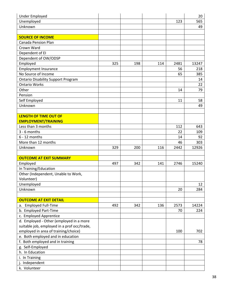| <b>Under Employed</b>                       |     |     |     |      | 20    |
|---------------------------------------------|-----|-----|-----|------|-------|
| Unemployed                                  |     |     |     | 123  | 565   |
| Unknown                                     |     |     |     |      | 49    |
|                                             |     |     |     |      |       |
| <b>SOURCE OF INCOME</b>                     |     |     |     |      |       |
| <b>Canada Pension Plan</b>                  |     |     |     |      |       |
| Crown Ward                                  |     |     |     |      |       |
| Dependent of EI                             |     |     |     |      |       |
| Dependent of OW/ODSP                        |     |     |     |      |       |
| Employed                                    | 325 | 198 | 114 | 2481 | 13247 |
| <b>Employment Insurance</b>                 |     |     |     | 56   | 218   |
| No Source of Income                         |     |     |     | 65   | 385   |
| <b>Ontario Disability Support Program</b>   |     |     |     |      | 14    |
| <b>Ontario Works</b>                        |     |     |     |      | 22    |
| Other                                       |     |     |     | 14   | 79    |
| Pension                                     |     |     |     |      |       |
| Self Employed                               |     |     |     | 11   | 58    |
| Unknown                                     |     |     |     |      | 49    |
|                                             |     |     |     |      |       |
| <b>LENGTH OF TIME OUT OF</b>                |     |     |     |      |       |
| <b>EMPLOYMENT/TRAINING</b>                  |     |     |     |      |       |
| Less than 3 months                          |     |     |     | 112  | 643   |
| $3 - 6$ months                              |     |     |     | 22   | 109   |
| $6 - 12$ months                             |     |     |     | 14   | 92    |
| More than 12 months                         |     |     |     | 46   | 303   |
| Unknown                                     | 329 | 200 | 116 | 2442 | 12926 |
|                                             |     |     |     |      |       |
| <b>OUTCOME AT EXIT SUMMARY</b>              |     |     |     |      |       |
| Employed                                    | 497 | 342 | 141 | 2746 | 15240 |
| In Training/Education                       |     |     |     |      |       |
| Other (Independent, Unable to Work,         |     |     |     |      |       |
| Volunteer)                                  |     |     |     |      |       |
| Unemployed                                  |     |     |     |      | 12    |
| Unknown                                     |     |     |     | 20   | 284   |
|                                             |     |     |     |      |       |
| <b>OUTCOME AT EXIT DETAIL</b>               |     |     |     |      |       |
| <b>Employed Full-Time</b><br>a.             | 492 | 342 | 136 | 2573 | 14224 |
| b. Employed Part-Time                       |     |     |     | 70   | 224   |
| c. Employed Apprentice                      |     |     |     |      |       |
| d. Employed - Other (employed in a more     |     |     |     |      |       |
| suitable job, employed in a prof occ/trade, |     |     |     |      |       |
| employed in area of training/choice)        |     |     |     | 100  | 702   |
| e. Both employed and in education           |     |     |     |      |       |
| f. Both employed and in training            |     |     |     |      | 78    |
| g. Self-Employed                            |     |     |     |      |       |
| h. In Education                             |     |     |     |      |       |
| i. In Training                              |     |     |     |      |       |
| j. Independent                              |     |     |     |      |       |
| k. Volunteer                                |     |     |     |      |       |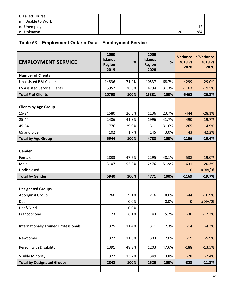| <b>Failed Course</b> |  |    |     |
|----------------------|--|----|-----|
| m. Unable to Work    |  |    |     |
| n. Unemployed        |  |    |     |
| Unknown<br>О.        |  | 20 | 284 |

# **Table 53 – Employment Ontario Data – Employment Service**

| <b>EMPLOYMENT SERVICE</b>                    | 1000<br><b>Islands</b><br><b>Region</b><br>2019 | %     | 1000<br><b>Islands</b><br><b>Region</b><br>2020 | %     | <b>Variance</b><br>2019 vs<br>2020 | %Variance<br>2019 vs<br>2020 |
|----------------------------------------------|-------------------------------------------------|-------|-------------------------------------------------|-------|------------------------------------|------------------------------|
| <b>Number of Clients</b>                     |                                                 |       |                                                 |       |                                    |                              |
| <b>Unassisted R&amp;I Clients</b>            | 14836                                           | 71.4% | 10537                                           | 68.7% | $-4299$                            | $-29.0%$                     |
| <b>ES Assisted Service Clients</b>           | 5957                                            | 28.6% | 4794                                            | 31.3% | $-1163$                            | $-19.5%$                     |
| <b>Total # of Clients</b>                    | 20793                                           | 100%  | 15331                                           | 100%  | $-5462$                            | $-26.3%$                     |
|                                              |                                                 |       |                                                 |       |                                    |                              |
| <b>Clients by Age Group</b>                  |                                                 |       |                                                 |       |                                    |                              |
| $15 - 24$                                    | 1580                                            | 26.6% | 1136                                            | 23.7% | $-444$                             | $-28.1%$                     |
| 25-44                                        | 2486                                            | 41.8% | 1996                                            | 41.7% | $-490$                             | $-19.7%$                     |
| 45-64                                        | 1776                                            | 29.9% | 1511                                            | 31.6% | $-265$                             | $-14.9%$                     |
| 65 and older                                 | 102                                             | 1.7%  | 145                                             | 3.0%  | 43                                 | 42.2%                        |
| <b>Total by Age Group</b>                    | 5944                                            | 100%  | 4788                                            | 100%  | $-1156$                            | $-19.4%$                     |
|                                              |                                                 |       |                                                 |       |                                    |                              |
| Gender                                       |                                                 |       |                                                 |       |                                    |                              |
| Female                                       | 2833                                            | 47.7% | 2295                                            | 48.1% | $-538$                             | $-19.0%$                     |
| Male                                         | 3107                                            | 52.3% | 2476                                            | 51.9% | $-631$                             | $-20.3%$                     |
| Undisclosed                                  |                                                 |       |                                                 |       | 0                                  | #DIV/0!                      |
| <b>Total by Gender</b>                       | 5940                                            | 100%  | 4771                                            | 100%  | $-1169$                            | $-19.7%$                     |
|                                              |                                                 |       |                                                 |       |                                    |                              |
| <b>Designated Groups</b>                     |                                                 |       |                                                 |       |                                    |                              |
| <b>Aboriginal Group</b>                      | 260                                             | 9.1%  | 216                                             | 8.6%  | $-44$                              | $-16.9%$                     |
| Deaf                                         |                                                 | 0.0%  |                                                 | 0.0%  | $\mathbf 0$                        | #DIV/0!                      |
| Deaf/Blind                                   |                                                 | 0.0%  |                                                 |       |                                    |                              |
| Francophone                                  | 173                                             | 6.1%  | 143                                             | 5.7%  | $-30$                              | $-17.3%$                     |
| <b>Internationally Trained Professionals</b> | 325                                             | 11.4% | 311                                             | 12.3% | $-14$                              | $-4.3%$                      |
| Newcomer                                     | 322                                             | 11.3% | 303                                             | 12.0% | $-19$                              | $-5.9%$                      |
| Person with Disability                       | 1391                                            | 48.8% | 1203                                            | 47.6% | $-188$                             | $-13.5%$                     |
| Visible Minority                             | 377                                             | 13.2% | 349                                             | 13.8% | $-28$                              | $-7.4%$                      |
| <b>Total by Designated Groups</b>            | 2848                                            | 100%  | 2525                                            | 100%  | $-323$                             | $-11.3%$                     |
|                                              |                                                 |       |                                                 |       |                                    |                              |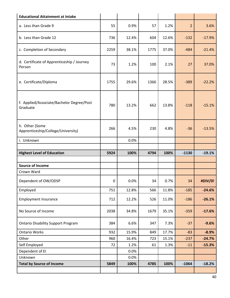| <b>Educational Attainment at Intake</b>               |             |       |      |       |                |          |
|-------------------------------------------------------|-------------|-------|------|-------|----------------|----------|
| a. Less than Grade 9                                  | 55          | 0.9%  | 57   | 1.2%  | $\overline{2}$ | 3.6%     |
| b. Less than Grade 12                                 | 736         | 12.4% | 604  | 12.6% | $-132$         | $-17.9%$ |
| c. Completion of Secondary                            | 2259        | 38.1% | 1775 | 37.0% | $-484$         | $-21.4%$ |
| d. Certificate of Apprenticeship / Journey<br>Person  | 73          | 1.2%  | 100  | 2.1%  | 27             | 37.0%    |
| e. Certificate/Diploma                                | 1755        | 29.6% | 1366 | 28.5% | $-389$         | $-22.2%$ |
| f. Applied/Associate/Bachelor Degree/Post<br>Graduate | 780         | 13.2% | 662  | 13.8% | $-118$         | $-15.1%$ |
| h. Other (Some<br>Apprenticeship/College/University)  | 266         | 4.5%  | 230  | 4.8%  | $-36$          | $-13.5%$ |
| i. Unknown                                            |             | 0.0%  |      |       |                |          |
|                                                       |             |       |      |       |                |          |
| <b>Highest Level of Education</b>                     | 5924        | 100%  | 4794 | 100%  | $-1130$        | $-19.1%$ |
|                                                       |             |       |      |       |                |          |
| <b>Source of Income</b><br>Crown Ward                 |             |       |      |       |                |          |
| Dependent of OW/ODSP                                  |             |       |      |       |                |          |
|                                                       | $\mathbf 0$ | 0.0%  | 34   | 0.7%  | 34             | #DIV/0!  |
| Employed                                              | 751         | 12.8% | 566  | 11.8% | $-185$         | $-24.6%$ |
| <b>Employment Insurance</b>                           | 712         | 12.2% | 526  | 11.0% | $-186$         | $-26.1%$ |
| No Source of Income                                   | 2038        | 34.8% | 1679 | 35.1% | $-359$         | $-17.6%$ |
| <b>Ontario Disability Support Program</b>             | 384         | 6.6%  | 347  | 7.3%  | $-37$          | $-9.6%$  |
| <b>Ontario Works</b>                                  | 932         | 15.9% | 849  | 17.7% | $-83$          | $-8.9%$  |
| Other                                                 | 960         | 16.4% | 723  | 15.1% | $-237$         | $-24.7%$ |
| Self Employed                                         | 72          | 1.2%  | 61   | 1.3%  | $-11$          | $-15.3%$ |
| Dependent of EI                                       |             | 0.0%  |      |       |                |          |
| Unknown                                               |             | 0.0%  |      |       |                |          |
| <b>Total by Source of Income</b>                      | 5849        | 100%  | 4785 | 100%  | $-1064$        | $-18.2%$ |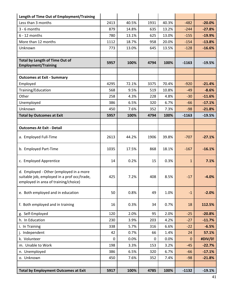| Length of Time Out of Employment/Training                                                                                      |             |       |      |       |              |          |
|--------------------------------------------------------------------------------------------------------------------------------|-------------|-------|------|-------|--------------|----------|
| Less than 3 months                                                                                                             | 2413        | 40.5% | 1931 | 40.3% | $-482$       | $-20.0%$ |
| $3 - 6$ months                                                                                                                 | 879         | 14.8% | 635  | 13.2% | $-244$       | $-27.8%$ |
| $6 - 12$ months                                                                                                                | 780         | 13.1% | 625  | 13.0% | $-155$       | $-19.9%$ |
| More than 12 months                                                                                                            | 1112        | 18.7% | 958  | 20.0% | $-154$       | $-13.8%$ |
| Unknown                                                                                                                        | 773         | 13.0% | 645  | 13.5% | $-128$       | $-16.6%$ |
|                                                                                                                                |             |       |      |       |              |          |
| Total by Length of Time Out of<br><b>Employment/Training</b>                                                                   | 5957        | 100%  | 4794 | 100%  | $-1163$      | $-19.5%$ |
|                                                                                                                                |             |       |      |       |              |          |
| <b>Outcomes at Exit - Summary</b>                                                                                              |             |       |      |       |              |          |
| Employed                                                                                                                       | 4295        | 72.1% | 3375 | 70.4% | $-920$       | $-21.4%$ |
| Training/Education                                                                                                             | 568         | 9.5%  | 519  | 10.8% | $-49$        | $-8.6%$  |
| Other                                                                                                                          | 258         | 4.3%  | 228  | 4.8%  | $-30$        | $-11.6%$ |
| Unemployed                                                                                                                     | 386         | 6.5%  | 320  | 6.7%  | $-66$        | $-17.1%$ |
| Unknown                                                                                                                        | 450         | 7.6%  | 352  | 7.3%  | $-98$        | $-21.8%$ |
| <b>Total by Outcomes at Exit</b>                                                                                               | 5957        | 100%  | 4794 | 100%  | $-1163$      | $-19.5%$ |
|                                                                                                                                |             |       |      |       |              |          |
| <b>Outcomes At Exit - Detail</b>                                                                                               |             |       |      |       |              |          |
| a. Employed Full-Time                                                                                                          | 2613        | 44.2% | 1906 | 39.8% | $-707$       | $-27.1%$ |
| b. Employed Part-Time                                                                                                          | 1035        | 17.5% | 868  | 18.1% | $-167$       | $-16.1%$ |
| c. Employed Apprentice                                                                                                         | 14          | 0.2%  | 15   | 0.3%  | $\mathbf{1}$ | 7.1%     |
| d. Employed - Other (employed in a more<br>suitable job, employed in a prof occ/trade,<br>employed in area of training/choice) | 425         | 7.2%  | 408  | 8.5%  | $-17$        | $-4.0%$  |
| e. Both employed and in education                                                                                              | 50          | 0.8%  | 49   | 1.0%  | $-1$         | $-2.0%$  |
| f. Both employed and in training                                                                                               | 16          | 0.3%  | 34   | 0.7%  | 18           | 112.5%   |
| g. Self-Employed                                                                                                               | 120         | 2.0%  | 95   | 2.0%  | $-25$        | $-20.8%$ |
| h. In Education                                                                                                                | 230         | 3.9%  | 203  | 4.2%  | $-27$        | $-11.7%$ |
| i. In Training                                                                                                                 | 338         | 5.7%  | 316  | 6.6%  | $-22$        | $-6.5%$  |
| j. Independent                                                                                                                 | 42          | 0.7%  | 66   | 1.4%  | 24           | 57.1%    |
| k. Volunteer                                                                                                                   | $\mathbf 0$ | 0.0%  | 0    | 0.0%  | 0            | #DIV/0!  |
| m. Unable to Work                                                                                                              | 198         | 3.3%  | 153  | 3.2%  | $-45$        | $-22.7%$ |
| n. Unemployed                                                                                                                  | 386         | 6.5%  | 320  | 6.7%  | $-66$        | $-17.1%$ |
| o. Unknown                                                                                                                     | 450         | 7.6%  | 352  | 7.4%  | $-98$        | $-21.8%$ |
|                                                                                                                                |             |       |      |       |              |          |
| <b>Total by Employment Outcomes at Exit</b>                                                                                    | 5917        | 100%  | 4785 | 100%  | $-1132$      | $-19.1%$ |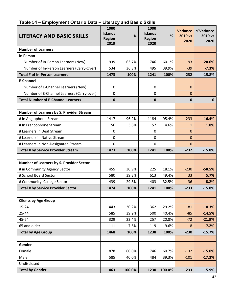| <b>LITERACY AND BASIC SKILLS</b>          | 1000<br><b>Islands</b><br><b>Region</b><br>2019 | %      | 1000<br><b>Islands</b><br><b>Region</b><br>2020 | %      | <b>Variance</b><br>2019 vs<br>2020 | %Variance<br>2019 vs<br>2020 |
|-------------------------------------------|-------------------------------------------------|--------|-------------------------------------------------|--------|------------------------------------|------------------------------|
| <b>Number of Learners</b>                 |                                                 |        |                                                 |        |                                    |                              |
| <b>In Person</b>                          |                                                 |        |                                                 |        |                                    |                              |
| Number of In-Person Learners (New)        | 939                                             | 63.7%  | 746                                             | 60.1%  | $-193$                             | $-20.6%$                     |
| Number of In-Person Learners (Carry-Over) | 534                                             | 36.3%  | 495                                             | 39.9%  | $-39$                              | $-7.3%$                      |
| <b>Total # of In-Person Learners</b>      | 1473                                            | 100%   | 1241                                            | 100%   | $-232$                             | $-15.8%$                     |
| <b>E-Channel</b>                          |                                                 |        |                                                 |        |                                    |                              |
| Number of E-Channel Learners (New)        | $\mathbf 0$                                     |        | 0                                               |        | 0                                  |                              |
| Number of E-Channel Learners (Carry-over) | 0                                               |        | 0                                               |        | 0                                  |                              |
| <b>Total Number of E-Channel Learners</b> | 0                                               |        | 0                                               |        | 0                                  | $\mathbf 0$                  |
|                                           |                                                 |        |                                                 |        |                                    |                              |
| Number of Learners by S. Provider Stream  |                                                 |        |                                                 |        |                                    |                              |
| # In Anglophone Stream                    | 1417                                            | 96.2%  | 1184                                            | 95.4%  | $-233$                             | $-16.4%$                     |
| # In Francophone Stream                   | 56                                              | 3.8%   | 57                                              | 4.6%   | $\mathbf{1}$                       | 1.8%                         |
| # Learners in Deaf Stream                 | 0                                               |        | $\Omega$                                        |        | $\overline{0}$                     |                              |
| # Learners in Native Stream               | 0                                               |        | 0                                               |        | 0                                  |                              |
| # Learners in Non-Designated Stream       | 0                                               |        | 0                                               |        | 0                                  |                              |
| <b>Total # by Service Provider Stream</b> | 1473                                            | 100%   | 1241                                            | 100%   | $-232$                             | $-15.8%$                     |
|                                           |                                                 |        |                                                 |        |                                    |                              |
| Number of Learners by S. Provider Sector  |                                                 |        |                                                 |        |                                    |                              |
| # in Community Agency Sector              | 455                                             | 30.9%  | 225                                             | 18.1%  | $-230$                             | $-50.5%$                     |
| # School Board Sector                     | 580                                             | 39.3%  | 613                                             | 49.4%  | 33                                 | 5.7%                         |
| # Community College Sector                | 439                                             | 29.8%  | 403                                             | 32.5%  | $-36$                              | $-8.2%$                      |
| <b>Total # by Service Provider Sector</b> | 1474                                            | 100%   | 1241                                            | 100%   | $-233$                             | $-15.8%$                     |
|                                           |                                                 |        |                                                 |        |                                    |                              |
| <b>Clients by Age Group</b>               |                                                 |        |                                                 |        |                                    |                              |
| $15 - 24$                                 | 443                                             | 30.2%  | 362                                             | 29.2%  | $-81$                              | $-18.3%$                     |
| 25-44                                     | 585                                             | 39.9%  | 500                                             | 40.4%  | $-85$                              | $-14.5%$                     |
| 45-64                                     | 329                                             | 22.4%  | 257                                             | 20.8%  | $-72$                              | $-21.9%$                     |
| 65 and older                              | 111                                             | 7.6%   | 119                                             | 9.6%   | 8                                  | 7.2%                         |
| <b>Total by Age Group</b>                 | 1468                                            | 100%   | 1238                                            | 100%   | $-230$                             | $-15.7%$                     |
|                                           |                                                 |        |                                                 |        |                                    |                              |
| Gender                                    |                                                 |        |                                                 |        |                                    |                              |
| Female                                    | 878                                             | 60.0%  | 746                                             | 60.7%  | $-132$                             | $-15.0%$                     |
| Male                                      | 585                                             | 40.0%  | 484                                             | 39.3%  | $-101$                             | $-17.3%$                     |
| Undisclosed                               |                                                 |        |                                                 |        |                                    |                              |
| <b>Total by Gender</b>                    | 1463                                            | 100.0% | 1230                                            | 100.0% | $-233$                             | $-15.9%$                     |

#### **Table 54 – Employment Ontario Data – Literacy and Basic Skills**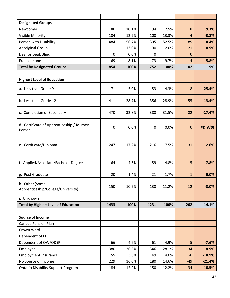| <b>Designated Groups</b>                             |             |       |      |       |              |          |
|------------------------------------------------------|-------------|-------|------|-------|--------------|----------|
| Newcomer                                             | 86          | 10.1% | 94   | 12.5% | 8            | 9.3%     |
| Visible Minority                                     | 104         | 12.2% | 100  | 13.3% | $-4$         | $-3.8%$  |
| Person with Disability                               | 484         | 56.7% | 395  | 52.5% | $-89$        | $-18.4%$ |
| <b>Aboriginal Group</b>                              | 111         | 13.0% | 90   | 12.0% | $-21$        | $-18.9%$ |
| Deaf or Deaf/Blind                                   | $\mathbf 0$ | 0.0%  | 0    |       | 0            |          |
| Francophone                                          | 69          | 8.1%  | 73   | 9.7%  | 4            | 5.8%     |
| <b>Total by Designated Groups</b>                    | 854         | 100%  | 752  | 100%  | $-102$       | $-11.9%$ |
|                                                      |             |       |      |       |              |          |
| <b>Highest Level of Education</b>                    |             |       |      |       |              |          |
| a. Less than Grade 9                                 | 71          | 5.0%  | 53   | 4.3%  | $-18$        | $-25.4%$ |
| b. Less than Grade 12                                | 411         | 28.7% | 356  | 28.9% | $-55$        | $-13.4%$ |
| c. Completion of Secondary                           | 470         | 32.8% | 388  | 31.5% | $-82$        | $-17.4%$ |
| d. Certificate of Apprenticeship / Journey<br>Person | $\mathbf 0$ | 0.0%  | 0    | 0.0%  | $\mathbf 0$  | #DIV/0!  |
| e. Certificate/Diploma                               | 247         | 17.2% | 216  | 17.5% | $-31$        | $-12.6%$ |
| f. Applied/Associate/Bachelor Degree                 | 64          | 4.5%  | 59   | 4.8%  | $-5$         | $-7.8%$  |
| g. Post Graduate                                     | 20          | 1.4%  | 21   | 1.7%  | $\mathbf{1}$ | 5.0%     |
| h. Other (Some<br>Apprenticeship/College/University) | 150         | 10.5% | 138  | 11.2% | $-12$        | $-8.0%$  |
| i. Unknown                                           |             |       |      |       |              |          |
| <b>Total by Highest Level of Education</b>           | 1433        | 100%  | 1231 | 100%  | $-202$       | $-14.1%$ |
|                                                      |             |       |      |       |              |          |
| <b>Source of Income</b>                              |             |       |      |       |              |          |
| <b>Canada Pension Plan</b>                           |             |       |      |       |              |          |
| Crown Ward                                           |             |       |      |       |              |          |
| Dependent of EI                                      |             |       |      |       |              |          |
| Dependent of OW/ODSP                                 | 66          | 4.6%  | 61   | 4.9%  | $-5$         | $-7.6%$  |
| Employed                                             | 380         | 26.6% | 346  | 28.1% | $-34$        | $-8.9%$  |
| <b>Employment Insurance</b>                          | 55          | 3.8%  | 49   | 4.0%  | $-6$         | $-10.9%$ |
| No Source of Income                                  | 229         | 16.0% | 180  | 14.6% | $-49$        | $-21.4%$ |
| <b>Ontario Disability Support Program</b>            | 184         | 12.9% | 150  | 12.2% | $-34$        | $-18.5%$ |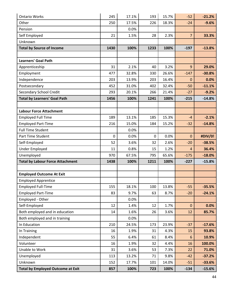| <b>Ontario Works</b>                     | 245         | 17.1% | 193  | 15.7% | $-52$          | $-21.2%$ |
|------------------------------------------|-------------|-------|------|-------|----------------|----------|
| Other                                    | 250         | 17.5% | 226  | 18.3% | $-24$          | $-9.6%$  |
| Pension                                  |             | 0.0%  |      |       |                |          |
| Self Employed                            | 21          | 1.5%  | 28   | 2.3%  | $\overline{7}$ | 33.3%    |
| Unknown                                  |             |       |      |       |                |          |
| <b>Total by Source of Income</b>         | 1430        | 100%  | 1233 | 100%  | $-197$         | $-13.8%$ |
|                                          |             |       |      |       |                |          |
| <b>Learners' Goal Path</b>               |             |       |      |       |                |          |
| Apprenticeship                           | 31          | 2.1%  | 40   | 3.2%  | 9              | 29.0%    |
| Employment                               | 477         | 32.8% | 330  | 26.6% | $-147$         | $-30.8%$ |
| Independence                             | 203         | 13.9% | 203  | 16.4% | $\mathbf{0}$   | 0.0%     |
| Postsecondary                            | 452         | 31.0% | 402  | 32.4% | $-50$          | $-11.1%$ |
| Secondary School Credit                  | 293         | 20.1% | 266  | 21.4% | $-27$          | $-9.2%$  |
| <b>Total by Learners' Goal Path</b>      | 1456        | 100%  | 1241 | 100%  | $-215$         | $-14.8%$ |
|                                          |             |       |      |       |                |          |
| <b>Labour Force Attachment</b>           |             |       |      |       |                |          |
| <b>Employed Full Time</b>                | 189         | 13.1% | 185  | 15.3% | $-4$           | $-2.1%$  |
| <b>Employed Part-Time</b>                | 216         | 15.0% | 184  | 15.2% | $-32$          | $-14.8%$ |
| <b>Full Time Student</b>                 |             | 0.0%  |      |       |                |          |
| Part Time Student                        | $\mathbf 0$ | 0.0%  | 0    | 0.0%  | $\mathbf 0$    | #DIV/0!  |
| Self-Employed                            | 52          | 3.6%  | 32   | 2.6%  | $-20$          | $-38.5%$ |
| <b>Under Employed</b>                    | 11          | 0.8%  | 15   | 1.2%  | 4              | 36.4%    |
| Unemployed                               | 970         | 67.5% | 795  | 65.6% | $-175$         | $-18.0%$ |
| <b>Total by Labour Force Attachment</b>  | 1438        | 100%  | 1211 | 100%  | $-227$         | $-15.8%$ |
|                                          |             |       |      |       |                |          |
| <b>Employed Outcome At Exit</b>          |             |       |      |       |                |          |
| <b>Employed Apprentice</b>               |             |       |      |       |                |          |
| <b>Employed Full-Time</b>                | 155         | 18.1% | 100  | 13.8% | $-55$          | $-35.5%$ |
| <b>Employed Part-Time</b>                | 83          | 9.7%  | 63   | 8.7%  | $-20$          | $-24.1%$ |
| Employed - Other                         |             | 0.0%  |      |       |                |          |
| Self-Employed                            | 12          | 1.4%  | 12   | 1.7%  | $\mathbf 0$    | 0.0%     |
| Both employed and in education           | 14          | 1.6%  | 26   | 3.6%  | 12             | 85.7%    |
| Both employed and in training            |             | 0.0%  |      |       |                |          |
| In Education                             | 210         | 24.5% | 173  | 23.9% | $-37$          | $-17.6%$ |
| In Training                              | 16          | 1.9%  | 31   | 4.3%  | 15             | 93.8%    |
| Independent                              | 55          | 6.4%  | 61   | 8.4%  | 6              | 10.9%    |
| Volunteer                                | 16          | 1.9%  | 32   | 4.4%  | 16             | 100.0%   |
| Unable to Work                           | 31          | 3.6%  | 53   | 7.3%  | 22             | 71.0%    |
| Unemployed                               | 113         | 13.2% | 71   | 9.8%  | $-42$          | $-37.2%$ |
| Unknown                                  | 152         | 17.7% | 101  | 14.0% | $-51$          | $-33.6%$ |
| <b>Total by Employed Outcome at Exit</b> | 857         | 100%  | 723  | 100%  | $-134$         | $-15.6%$ |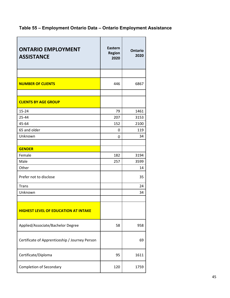# **Table 55 – Employment Ontario Data – Ontario Employment Assistance**

| <b>ONTARIO EMPLOYMENT</b><br><b>ASSISTANCE</b> | <b>Eastern</b><br><b>Region</b><br>2020 | <b>Ontario</b><br>2020 |
|------------------------------------------------|-----------------------------------------|------------------------|
| <b>NUMBER OF CLIENTS</b>                       | 446                                     | 6867                   |
| <b>CLIENTS BY AGE GROUP</b>                    |                                         |                        |
| 15-24                                          | 79                                      | 1461                   |
| 25-44                                          | 207                                     | 3153                   |
| 45-64                                          | 152                                     | 2100                   |
| 65 and older                                   | 0                                       | 119                    |
| Unknown                                        | $\mathbf 0$                             | 34                     |
|                                                |                                         |                        |
| <b>GENDER</b>                                  |                                         |                        |
| Female                                         | 182                                     | 3194                   |
| Male                                           | 257                                     | 3599                   |
| Other                                          |                                         | 14                     |
| Prefer not to disclose                         |                                         | 35                     |
| <b>Trans</b>                                   |                                         | 24                     |
| Unknown                                        |                                         | 34                     |
|                                                |                                         |                        |
| <b>HIGHEST LEVEL OF EDUCATION AT INTAKE</b>    |                                         |                        |
| Applied/Associate/Bachelor Degree              | 58                                      | 958                    |
| Certificate of Apprenticeship / Journey Person |                                         | 69                     |
| Certificate/Diploma                            | 95                                      | 1611                   |
| <b>Completion of Secondary</b>                 | 120                                     | 1759                   |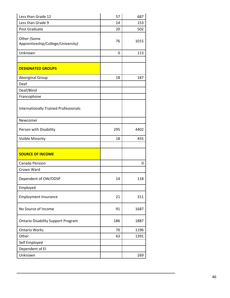| Less than Grade 12                                | 57          | 687  |
|---------------------------------------------------|-------------|------|
| Less than Grade 9                                 | 14          | 153  |
| Post Graduate                                     | 20          | 502  |
| Other (Some<br>Apprenticeship/College/University) | 76          | 1015 |
| Unknown                                           | $\mathbf 0$ | 113  |
|                                                   |             |      |
| <b>DESIGNATED GROUPS</b>                          |             |      |
| Aboriginal Group                                  | 18          | 187  |
| Deaf                                              |             |      |
| Deaf/Blind                                        |             |      |
| Francophone                                       |             |      |
| <b>Internationally Trained Professionals</b>      |             |      |
| Newcomer                                          |             |      |
| Person with Disability                            | 295         | 4402 |
| Visible Minority                                  | 18          | 455  |
|                                                   |             |      |
| <b>SOURCE OF INCOME</b>                           |             |      |
| Canada Pension                                    |             | 0    |
| Crown Ward                                        |             |      |
| Dependent of OW/ODSP                              | 14          | 118  |
| Employed                                          |             |      |
| <b>Employment Insurance</b>                       | 21          | 311  |
| No Source of Income                               | 91          | 1687 |
| <b>Ontario Disability Support Program</b>         | 186         | 1887 |
| <b>Ontario Works</b>                              | 70          | 1196 |
| Other                                             | 63          | 1391 |
| Self Employed                                     |             |      |
| Dependent of EI                                   |             |      |
| Unknown                                           |             | 269  |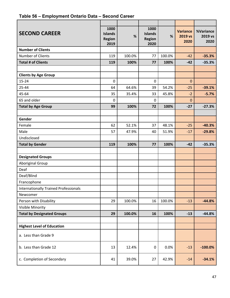# **Table 56 – Employment Ontario Data – Second Career**

| <b>SECOND CAREER</b>                         | 1000<br><b>Islands</b><br><b>Region</b><br>2019 | %      | 1000<br><b>Islands</b><br>Region<br>2020 | %      | <b>Variance</b><br>2019 vs<br>2020 | %Variance<br>2019 vs<br>2020 |
|----------------------------------------------|-------------------------------------------------|--------|------------------------------------------|--------|------------------------------------|------------------------------|
| <b>Number of Clients</b>                     |                                                 |        |                                          |        |                                    |                              |
| Number of Clients                            | 119                                             | 100.0% | 77                                       | 100.0% | $-42$                              | $-35.3%$                     |
| <b>Total # of Clients</b>                    | 119                                             | 100%   | 77                                       | 100%   | $-42$                              | $-35.3%$                     |
|                                              |                                                 |        |                                          |        |                                    |                              |
| <b>Clients by Age Group</b>                  |                                                 |        |                                          |        |                                    |                              |
| $15 - 24$                                    | $\mathbf 0$                                     |        | $\mathbf 0$                              |        | $\mathbf 0$                        |                              |
| 25-44                                        | 64                                              | 64.6%  | 39                                       | 54.2%  | $-25$                              | $-39.1%$                     |
| 45-64                                        | 35                                              | 35.4%  | 33                                       | 45.8%  | $-2$                               | $-5.7%$                      |
| 65 and older                                 | 0                                               |        | 0                                        |        | 0                                  |                              |
| <b>Total by Age Group</b>                    | 99                                              | 100%   | 72                                       | 100%   | $-27$                              | $-27.3%$                     |
|                                              |                                                 |        |                                          |        |                                    |                              |
| Gender                                       |                                                 |        |                                          |        |                                    |                              |
| Female                                       | 62                                              | 52.1%  | 37                                       | 48.1%  | $-25$                              | $-40.3%$                     |
| Male                                         | 57                                              | 47.9%  | 40                                       | 51.9%  | $-17$                              | $-29.8%$                     |
| Undisclosed                                  |                                                 |        |                                          |        |                                    |                              |
| <b>Total by Gender</b>                       | 119                                             | 100%   | 77                                       | 100%   | $-42$                              | $-35.3%$                     |
|                                              |                                                 |        |                                          |        |                                    |                              |
| <b>Designated Groups</b>                     |                                                 |        |                                          |        |                                    |                              |
| <b>Aboriginal Group</b>                      |                                                 |        |                                          |        |                                    |                              |
| Deaf                                         |                                                 |        |                                          |        |                                    |                              |
| Deaf/Blind                                   |                                                 |        |                                          |        |                                    |                              |
| Francophone                                  |                                                 |        |                                          |        |                                    |                              |
| <b>Internationally Trained Professionals</b> |                                                 |        |                                          |        |                                    |                              |
| Newcomer                                     |                                                 |        |                                          |        |                                    |                              |
| Person with Disability                       | 29                                              | 100.0% | 16                                       | 100.0% | $-13$                              | $-44.8%$                     |
| Visible Minority                             |                                                 |        |                                          |        |                                    |                              |
| <b>Total by Designated Groups</b>            | 29                                              | 100.0% | 16                                       | 100%   | $-13$                              | $-44.8%$                     |
|                                              |                                                 |        |                                          |        |                                    |                              |
| <b>Highest Level of Education</b>            |                                                 |        |                                          |        |                                    |                              |
| a. Less than Grade 9                         |                                                 |        |                                          |        |                                    |                              |
| b. Less than Grade 12                        | 13                                              | 12.4%  | 0                                        | 0.0%   | $-13$                              | $-100.0%$                    |
| c. Completion of Secondary                   | 41                                              | 39.0%  | 27                                       | 42.9%  | $-14$                              | $-34.1%$                     |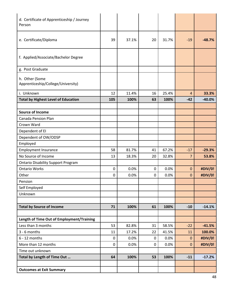| d. Certificate of Apprenticeship / Journey<br>Person |           |       |    |       |                |          |
|------------------------------------------------------|-----------|-------|----|-------|----------------|----------|
| e. Certificate/Diploma                               | 39        | 37.1% | 20 | 31.7% | $-19$          | $-48.7%$ |
| f. Applied/Associate/Bachelor Degree                 |           |       |    |       |                |          |
| g. Post Graduate                                     |           |       |    |       |                |          |
| h. Other (Some<br>Apprenticeship/College/University) |           |       |    |       |                |          |
| i. Unknown                                           | 12        | 11.4% | 16 | 25.4% | 4              | 33.3%    |
| <b>Total by Highest Level of Education</b>           | 105       | 100%  | 63 | 100%  | $-42$          | $-40.0%$ |
|                                                      |           |       |    |       |                |          |
| <b>Source of Income</b>                              |           |       |    |       |                |          |
| <b>Canada Pension Plan</b>                           |           |       |    |       |                |          |
| Crown Ward                                           |           |       |    |       |                |          |
| Dependent of EI                                      |           |       |    |       |                |          |
| Dependent of OW/ODSP                                 |           |       |    |       |                |          |
| Employed                                             |           |       |    |       |                |          |
| <b>Employment Insurance</b>                          | 58        | 81.7% | 41 | 67.2% | $-17$          | $-29.3%$ |
| No Source of Income                                  | 13        | 18.3% | 20 | 32.8% | $\overline{7}$ | 53.8%    |
| <b>Ontario Disability Support Program</b>            |           |       |    |       |                |          |
| <b>Ontario Works</b>                                 | 0         | 0.0%  | 0  | 0.0%  | $\pmb{0}$      | #DIV/0!  |
| Other                                                | 0         | 0.0%  | 0  | 0.0%  | $\pmb{0}$      | #DIV/0!  |
| Pension                                              |           |       |    |       |                |          |
| Self Employed                                        |           |       |    |       |                |          |
| Unknown                                              |           |       |    |       |                |          |
| <b>Total by Source of Income</b>                     | 71        | 100%  | 61 | 100%  | $-10$          | $-14.1%$ |
|                                                      |           |       |    |       |                |          |
| Length of Time Out of Employment/Training            |           |       |    |       |                |          |
| Less than 3 months                                   | 53        | 82.8% | 31 | 58.5% | $-22$          | $-41.5%$ |
| 3 - 6 months                                         | 11        | 17.2% | 22 | 41.5% | 11             | 100.0%   |
| $6 - 12$ months                                      | $\pmb{0}$ | 0.0%  | 0  | 0.0%  | $\mathbf{O}$   | #DIV/0!  |
| More than 12 months                                  | $\pmb{0}$ | 0.0%  | 0  | 0.0%  | $\mathbf{0}$   | #DIV/0!  |
| Time out unknown                                     |           |       |    |       |                |          |
| Total by Length of Time Out                          | 64        | 100%  | 53 | 100%  | $-11$          | $-17.2%$ |
|                                                      |           |       |    |       |                |          |
| <b>Outcomes at Exit Summary</b>                      |           |       |    |       |                |          |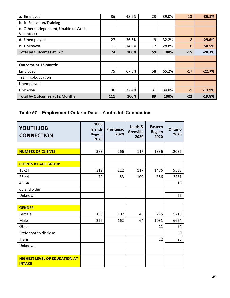| a. Employed                                          | 36  | 48.6% | 23 | 39.0% | $-13$ | $-36.1%$ |
|------------------------------------------------------|-----|-------|----|-------|-------|----------|
| b. In Education/Training                             |     |       |    |       |       |          |
| c. Other (Independent, Unable to Work,<br>Volunteer) |     |       |    |       |       |          |
| d. Unemployed                                        | 27  | 36.5% | 19 | 32.2% | -8    | $-29.6%$ |
| e. Unknown                                           | 11  | 14.9% | 17 | 28.8% | 6     | 54.5%    |
| <b>Total by Outcomes at Exit</b>                     | 74  | 100%  | 59 | 100%  | $-15$ | $-20.3%$ |
|                                                      |     |       |    |       |       |          |
| <b>Outcome at 12 Months</b>                          |     |       |    |       |       |          |
| Employed                                             | 75  | 67.6% | 58 | 65.2% | $-17$ | $-22.7%$ |
| Training/Education                                   |     |       |    |       |       |          |
| Unemployed                                           |     |       |    |       |       |          |
| Unknown                                              | 36  | 32.4% | 31 | 34.8% | $-5$  | $-13.9%$ |
| <b>Total by Outcomes at 12 Months</b>                | 111 | 100%  | 89 | 100%  | $-22$ | $-19.8%$ |

# **Table 57 – Employment Ontario Data – Youth Job Connection**

| <b>YOUTH JOB</b><br><b>CONNECTION</b>                 | 1000<br><b>Islands</b><br><b>Region</b><br>2020 | <b>Frontenac</b><br>2020 | Leeds &<br><b>Grenville</b><br>2020 | Eastern<br><b>Region</b><br>2020 | <b>Ontario</b><br>2020 |
|-------------------------------------------------------|-------------------------------------------------|--------------------------|-------------------------------------|----------------------------------|------------------------|
|                                                       |                                                 |                          |                                     |                                  |                        |
| <b>NUMBER OF CLIENTS</b>                              | 383                                             | 266                      | 117                                 | 1836                             | 12036                  |
|                                                       |                                                 |                          |                                     |                                  |                        |
| <b>CLIENTS BY AGE GROUP</b>                           |                                                 |                          |                                     |                                  |                        |
| $15 - 24$                                             | 312                                             | 212                      | 117                                 | 1476                             | 9588                   |
| 25-44                                                 | 70                                              | 53                       | 100                                 | 356                              | 2431                   |
| 45-64                                                 |                                                 |                          |                                     |                                  | 18                     |
| 65 and older                                          |                                                 |                          |                                     |                                  |                        |
| Unknown                                               |                                                 |                          |                                     |                                  | 25                     |
|                                                       |                                                 |                          |                                     |                                  |                        |
| <b>GENDER</b>                                         |                                                 |                          |                                     |                                  |                        |
| Female                                                | 150                                             | 102                      | 48                                  | 775                              | 5210                   |
| Male                                                  | 226                                             | 162                      | 64                                  | 1031                             | 6654                   |
| Other                                                 |                                                 |                          |                                     | 11                               | 54                     |
| Prefer not to disclose                                |                                                 |                          |                                     |                                  | 50                     |
| <b>Trans</b>                                          |                                                 |                          |                                     | 12                               | 95                     |
| Unknown                                               |                                                 |                          |                                     |                                  |                        |
|                                                       |                                                 |                          |                                     |                                  |                        |
| <b>HIGHEST LEVEL OF EDUCATION AT</b><br><b>INTAKE</b> |                                                 |                          |                                     |                                  |                        |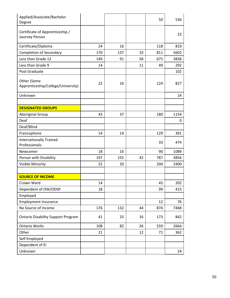| Applied/Associate/Bachelor<br>Degree              |     |     |    | 50  | 536  |
|---------------------------------------------------|-----|-----|----|-----|------|
| Certificate of Apprenticeship /<br>Journey Person |     |     |    |     | 23   |
| Certificate/Diploma                               | 24  | 16  |    | 118 | 819  |
| <b>Completion of Secondary</b>                    | 170 | 137 | 33 | 811 | 5602 |
| Less than Grade 12                                | 149 | 91  | 58 | 675 | 3838 |
| Less than Grade 9                                 | 14  |     | 11 | 49  | 292  |
| Post Graduate                                     |     |     |    |     | 102  |
| Other (Some<br>Apprenticeship/College/University) | 22  | 16  |    | 124 | 827  |
| Unknown                                           |     |     |    |     | 24   |
|                                                   |     |     |    |     |      |
| <b>DESIGNATED GROUPS</b>                          |     |     |    |     |      |
| Aboriginal Group                                  | 43  | 37  |    | 180 | 1154 |
| Deaf                                              |     |     |    |     | 0    |
| Deaf/Blind                                        |     |     |    |     |      |
| Francophone                                       | 14  | 14  |    | 129 | 391  |
| <b>Internationally Trained</b><br>Professionals   |     |     |    | 33  | 474  |
| Newcomer                                          | 18  | 16  |    | 90  | 1089 |
| Person with Disability                            | 197 | 155 | 42 | 787 | 3856 |
| Visible Minority                                  | 22  | 20  |    | 204 | 2400 |
|                                                   |     |     |    |     |      |
| <b>SOURCE OF INCOME</b>                           |     |     |    |     |      |
| Crown Ward                                        | 14  |     |    | 45  | 202  |
| Dependent of OW/ODSP                              | 18  |     |    | 99  | 415  |
| Employed                                          |     |     |    |     |      |
| <b>Employment Insurance</b>                       |     |     |    | 12  | 76   |
| No Source of Income                               | 176 | 132 | 44 | 874 | 7468 |
| <b>Ontario Disability Support Program</b>         | 41  | 25  | 16 | 173 | 842  |
| <b>Ontario Works</b>                              | 108 | 82  | 26 | 559 | 2664 |
| Other                                             | 21  |     | 12 | 71  | 362  |
| Self Employed                                     |     |     |    |     |      |
| Dependent of EI                                   |     |     |    |     |      |
| Unknown                                           |     |     |    |     | 24   |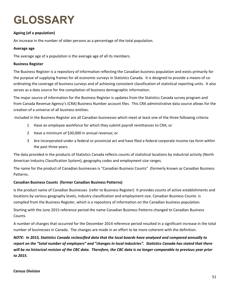# **GLOSSARY**

# **Ageing (of a population)**

An increase in the number of older persons as a percentage of the total population.

#### **Average age**

The average age of a population is the average age of all its members.

#### **Business Register**

The Business Register is a repository of information reflecting the Canadian business population and exists primarily for the purpose of supplying frames for all economic surveys in Statistics Canada. It is designed to provide a means of co‐ ordinating the coverage of business surveys and of achieving consistent classification of statistical reporting units. It also serves as a data source for the compilation of business demographic information.

The major source of information for the Business Register is updates from the Statistics Canada survey program and from Canada Revenue Agency's (CRA) Business Number account files. This CRA administrative data source allows for the creation of a universe of all business entities.

‐Included in the Business Register are all Canadian businesses which meet at least one of the three following criteria:

- 1 Have an employee workforce for which they submit payroll remittances to CRA; or
- 2 Have a minimum of \$30,000 in annual revenue; or
- 3 Are incorporated under a federal or provincial act and have filed a federal corporate income tax form within the past three years.

The data provided in the products of Statistics Canada reflects counts of statistical locations by industrial activity (North American Industry Classification System), geography codes and employment size ranges.

The name for the product of Canadian businesses is "Canadian Business Counts" (formerly known as Canadian Business Patterns.

### **Canadian Business Counts (former Canadian Business Patterns)**

Is the product name of Canadian Businesses (refer to Business Register) It provides counts of active establishments and locations by various geography levels, industry classification and employment size. Canadian Business Counts is compiled from the Business Register, which is a repository of information on the Canadian business population.

Starting with the June 2015 reference period the name Canadian Business Patterns changed to Canadian Business Counts.

A number of changes that occurred for the December 2014 reference period resulted in a significant increase in the total number of businesses in Canada. The changes are made in an effort to be more coherent with the definition.

NOTE: In 2015, Statistics Canada reclassified data that the local boards have analyzed and compared annually to report on the "total number of employers" and "changes in local industries". Statistics Canada has stated that there will be no historical revision of the CBC data. Therefore, the CBC data is no longer comparable to previous year prior *to 2015.*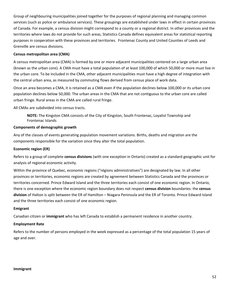Group of neighbouring municipalities joined together for the purposes of regional planning and managing common services (such as police or ambulance services). These groupings are established under laws in effect in certain provinces of Canada. For example, a census division might correspond to a county or a regional district. In other provinces and the territories where laws do not provide for such areas, Statistics Canada defines equivalent areas for statistical reporting purposes in cooperation with these provinces and territories. Frontenac County and United Counties of Leeds and Grenville are census divisions.

#### **Census metropolitan area (CMA)**

A census metropolitan area (CMA) is formed by one or more adjacent municipalities centered on a large urban area (known as the urban core). A CMA must have a total population of at least 100,000 of which 50,000 or more must live in the urban core. To be included in the CMA, other adjacent municipalities must have a high degree of integration with the central urban area, as measured by commuting flows derived from census place of work data.

Once an area becomes a CMA, it is retained as a CMA even if the population declines below 100,000 or its urban core population declines below 50,000. The urban areas in the CMA that are not contiguous to the urban core are called urban fringe. Rural areas in the CMA are called rural fringe.

All CMAs are subdivided into census tracts.

**NOTE:** The Kingston CMA consists of the City of Kingston, South Frontenac, Loyalist Township and Frontenac Islands

#### **Components of demographic growth**

Any of the classes of events generating population movement variations. Births, deaths and migration are the components responsible for the variation since they alter the total population.

#### **Economic region (ER)**

Refers to a group of complete **census divisions** (with one exception in Ontario) created as a standard geographic unit for analysis of regional economic activity.

Within the province of Quebec, economic regions ("régions administratives") are designated by law. In all other provinces or territories, economic regions are created by agreement between Statistics Canada and the provinces or territories concerned. Prince Edward Island and the three territories each consist of one economic region. In Ontario, there is one exception where the economic region boundary does not respect **census division** boundaries: the **census division** of Halton is split between the ER of Hamilton – Niagara Peninsula and the ER of Toronto. Prince Edward Island and the three territories each consist of one economic region.

#### **Emigrant**

Canadian citizen or **immigrant** who has left Canada to establish a permanent residence in another country.

#### **Employment Rate**

Refers to the number of persons employed in the week expressed as a percentage of the total population 15 years of age and over.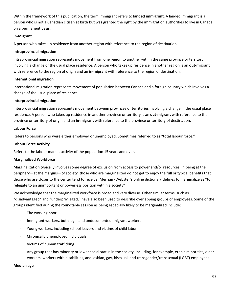Within the framework of this publication, the term immigrant refers to **landed immigrant**. A landed immigrant is a person who is not a Canadian citizen at birth but was granted the right by the immigration authorities to live in Canada on a permanent basis.

#### **In‐Migrant**

A person who takes up residence from another region with reference to the region of destination

#### **Intraprovincial migration**

Intraprovincial migration represents movement from one region to another within the same province or territory involving a change of the usual place residence. A person who takes up residence in another region is an **out‐migrant** with reference to the region of origin and an **in-migran**t with reference to the region of destination.

#### **International migration**

International migration represents movement of population between Canada and a foreign country which involves a change of the usual place of residence.

#### **Interprovincial migration**

Interprovincial migration represents movement between provinces or territories involving a change in the usual place residence. A person who takes up residence in another province or territory is an **out‐migrant** with reference to the province or territory of origin and an **in‐migrant** with reference to the province or territory of destination.

#### **Labour Force**

Refers to persons who were either employed or unemployed. Sometimes referred to as "total labour force."

#### **Labour Force Activity**

Refers to the labour market activity of the population 15 years and over.

### **Marginalized Workforce**

Marginalization typically involves some degree of exclusion from access to power and/or resources. In being at the periphery—at the margins—of society, those who are marginalized do not get to enjoy the full or typical benefits that those who are closer to the center tend to receive. Merriam‐Webster's online dictionary defines to marginalize as "to relegate to an unimportant or powerless position within a society"

We acknowledge that the marginalized workforce is broad and very diverse. Other similar terms, such as "disadvantaged" and "underprivileged," have also been used to describe overlapping groups of employees. Some of the groups identified during the roundtable session as being especially likely to be marginalized include:

- ∙ The working poor
- ∙ Immigrant workers, both legal and undocumented; migrant workers
- ∙ Young workers, including school leavers and victims of child labor
- ∙ Chronically unemployed individuals
- ∙ Victims of human trafficking
- ∙ Any group that has minority or lower social status in the society, including, for example, ethnic minorities, older workers, workers with disabilities, and lesbian, gay, bisexual, and transgender/transsexual (LGBT) employees

#### **Median age**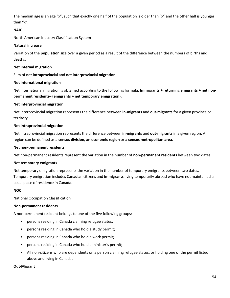The median age is an age "x", such that exactly one half of the population is older than "x" and the other half is younger than "x".

#### **NAIC**

North American Industry Classification System

#### **Natural increase**

Variation of the **population** size over a given period as a result of the difference between the numbers of births and deaths.

#### **Net internal migration**

Sum of **net intraprovincial** and **net interprovincial migration**.

#### **Net international migration**

Net international migration is obtained according to the following formula: **Immigrants + returning emigrants + net non‐ permanent residents– (emigrants + net temporary emigration).**

#### **Net interprovincial migration**

Net interprovincial migration represents the difference between **in‐migrants** and **out‐migrants** for a given province or territory.

#### **Net intraprovincial migration**

Net intraprovincial migration represents the difference between **in‐migrants** and **out‐migrants** in a given region. A region can be defined as a **census division, an economic region** or a **census metropolitan area**.

#### **Net non‐permanent residents**

Net non-permanent residents represent the variation in the number of non-permanent residents between two dates.

#### **Net temporary emigrants**

Net temporary emigration represents the variation in the number of temporary emigrants between two dates. Temporary emigration includes Canadian citizens and **immigrants** living temporarily abroad who have not maintained a usual place of residence in Canada.

#### **NOC**

National Occupation Classification

#### **Non‐permanent residents**

A non‐permanent resident belongs to one of the five following groups:

- persons residing in Canada claiming refugee status;
- persons residing in Canada who hold a study permit;
- persons residing in Canada who hold a work permit;
- persons residing in Canada who hold a minister's permit;
- All non-citizens who are dependents on a person claiming refugee status, or holding one of the permit listed above and living in Canada.

#### **Out‐Migrant**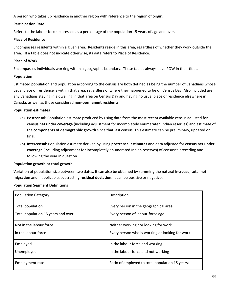A person who takes up residence in another region with reference to the region of origin.

#### **Participation Rate**

Refers to the labour force expressed as a percentage of the population 15 years of age and over.

#### **Place of Residence**

Encompasses residents within a given area. Residents reside in this area, regardless of whether they work outside the area. If a table does not indicate otherwise, its data refers to Place of Residence.

#### **Place of Work**

Encompasses individuals working within a geographic boundary. These tables always have POW in their titles.

#### **Population**

Estimated population and population according to the census are both defined as being the number of Canadians whose usual place of residence is within that area, regardless of where they happened to be on Census Day. Also included are any Canadians staying in a dwelling in that area on Census Day and having no usual place of residence elsewhere in Canada, as well as those considered **non‐permanent residents**.

#### **Population estimates**

- (a) **Postcensal:** Population estimate produced by using data from the most recent available census adjusted for **census net under coverage** (including adjustment for incompletely enumerated Indian reserves) and estimate of the **components of demographic growth** since that last census. This estimate can be preliminary, updated or final.
- (b) **Intercensal:** Population estimate derived by using **postcensal estimates** and data adjusted for **census net under coverage** (including adjustment for incompletely enumerated Indian reserves) of censuses preceding and following the year in question.

### **Population growth or total growth**

Variation of population size between two dates. It can also be obtained by summing the n**atural increase, total net migration** and if applicable, subtracting **residual deviation**. It can be positive or negative.

| <b>Population Category</b>         | Description                                     |
|------------------------------------|-------------------------------------------------|
| Total population                   | Every person in the geographical area           |
| Total population 15 years and over | Every person of labour-force age                |
| Not in the labour force            | Neither working nor looking for work            |
| in the labour force                | Every person who is working or looking for work |
| Employed                           | In the labour force and working                 |
| Unemployed                         | In the labour force and not working             |
| <b>Employment rate</b>             | Ratio of employed to total population 15 years+ |

### **Population Segment Definitions**